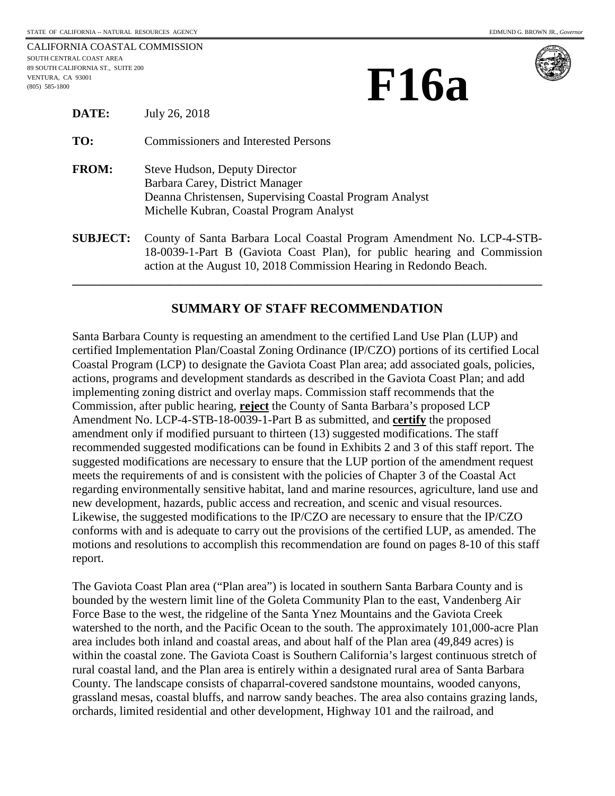CALIFORNIA COASTAL COMMISSION SOUTH CENTRAL COAST AREA 89 SOUTH CALIFORNIA ST., SUITE 200 VENTURA, CA 93001 **EXECUTE CALIFORNIA ST.**, SUITE 200 **FEATURA**, CA 93001 **FOR TURA**, CA 93001 **FOR TURA**, CA 93001 **FOR TURA** 





| <b>DATE:</b>    | July 26, 2018                                                                                                                                                           |
|-----------------|-------------------------------------------------------------------------------------------------------------------------------------------------------------------------|
| TO:             | <b>Commissioners and Interested Persons</b>                                                                                                                             |
| <b>FROM:</b>    | Steve Hudson, Deputy Director<br>Barbara Carey, District Manager<br>Deanna Christensen, Supervising Coastal Program Analyst<br>Michelle Kubran, Coastal Program Analyst |
| <b>SUBJECT:</b> | County of Santa Barbara Local Coastal Program Amendment No. LCP-4-STB-<br>18-0039-1-Part B (Gaviota Coast Plan), for public hearing and Commission                      |

# **SUMMARY OF STAFF RECOMMENDATION**

action at the August 10, 2018 Commission Hearing in Redondo Beach. **\_\_\_\_\_\_\_\_\_\_\_\_\_\_\_\_\_\_\_\_\_\_\_\_\_\_\_\_\_\_\_\_\_\_\_\_\_\_\_\_\_\_\_\_\_\_\_\_\_\_\_\_\_\_\_\_\_\_\_\_\_\_\_\_\_\_\_\_\_\_\_\_\_\_\_\_\_\_** 

Santa Barbara County is requesting an amendment to the certified Land Use Plan (LUP) and certified Implementation Plan/Coastal Zoning Ordinance (IP/CZO) portions of its certified Local Coastal Program (LCP) to designate the Gaviota Coast Plan area; add associated goals, policies, actions, programs and development standards as described in the Gaviota Coast Plan; and add implementing zoning district and overlay maps. Commission staff recommends that the Commission, after public hearing, **reject** the County of Santa Barbara's proposed LCP Amendment No. LCP-4-STB-18-0039-1-Part B as submitted, and **certify** the proposed amendment only if modified pursuant to thirteen (13) suggested modifications. The staff recommended suggested modifications can be found in Exhibits 2 and 3 of this staff report. The suggested modifications are necessary to ensure that the LUP portion of the amendment request meets the requirements of and is consistent with the policies of Chapter 3 of the Coastal Act regarding environmentally sensitive habitat, land and marine resources, agriculture, land use and new development, hazards, public access and recreation, and scenic and visual resources. Likewise, the suggested modifications to the IP/CZO are necessary to ensure that the IP/CZO conforms with and is adequate to carry out the provisions of the certified LUP, as amended. The motions and resolutions to accomplish this recommendation are found on pages 8-10 of this staff report.

The Gaviota Coast Plan area ("Plan area") is located in southern Santa Barbara County and is bounded by the western limit line of the Goleta Community Plan to the east, Vandenberg Air Force Base to the west, the ridgeline of the Santa Ynez Mountains and the Gaviota Creek watershed to the north, and the Pacific Ocean to the south. The approximately 101,000-acre Plan area includes both inland and coastal areas, and about half of the Plan area (49,849 acres) is within the coastal zone. The Gaviota Coast is Southern California's largest continuous stretch of rural coastal land, and the Plan area is entirely within a designated rural area of Santa Barbara County. The landscape consists of chaparral-covered sandstone mountains, wooded canyons, grassland mesas, coastal bluffs, and narrow sandy beaches. The area also contains grazing lands, orchards, limited residential and other development, Highway 101 and the railroad, and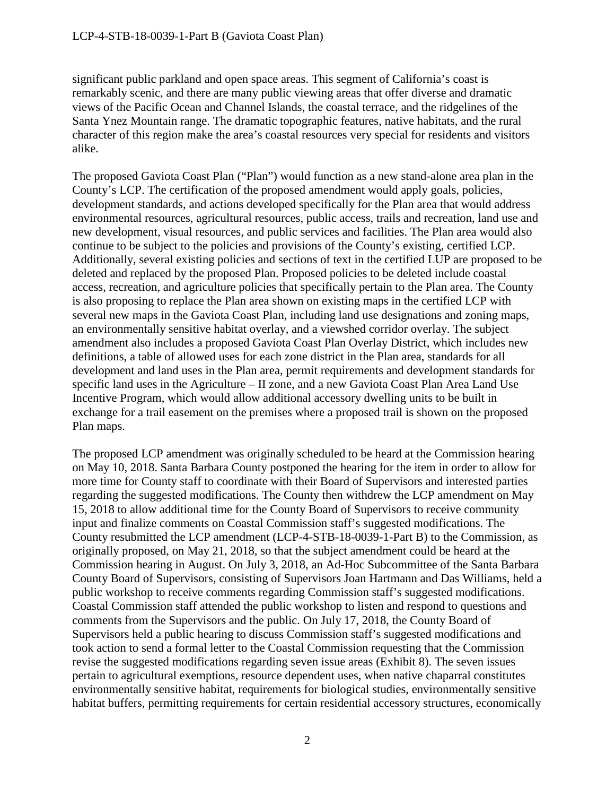significant public parkland and open space areas. This segment of California's coast is remarkably scenic, and there are many public viewing areas that offer diverse and dramatic views of the Pacific Ocean and Channel Islands, the coastal terrace, and the ridgelines of the Santa Ynez Mountain range. The dramatic topographic features, native habitats, and the rural character of this region make the area's coastal resources very special for residents and visitors alike.

The proposed Gaviota Coast Plan ("Plan") would function as a new stand-alone area plan in the County's LCP. The certification of the proposed amendment would apply goals, policies, development standards, and actions developed specifically for the Plan area that would address environmental resources, agricultural resources, public access, trails and recreation, land use and new development, visual resources, and public services and facilities. The Plan area would also continue to be subject to the policies and provisions of the County's existing, certified LCP. Additionally, several existing policies and sections of text in the certified LUP are proposed to be deleted and replaced by the proposed Plan. Proposed policies to be deleted include coastal access, recreation, and agriculture policies that specifically pertain to the Plan area. The County is also proposing to replace the Plan area shown on existing maps in the certified LCP with several new maps in the Gaviota Coast Plan, including land use designations and zoning maps, an environmentally sensitive habitat overlay, and a viewshed corridor overlay. The subject amendment also includes a proposed Gaviota Coast Plan Overlay District, which includes new definitions, a table of allowed uses for each zone district in the Plan area, standards for all development and land uses in the Plan area, permit requirements and development standards for specific land uses in the Agriculture – II zone, and a new Gaviota Coast Plan Area Land Use Incentive Program, which would allow additional accessory dwelling units to be built in exchange for a trail easement on the premises where a proposed trail is shown on the proposed Plan maps.

The proposed LCP amendment was originally scheduled to be heard at the Commission hearing on May 10, 2018. Santa Barbara County postponed the hearing for the item in order to allow for more time for County staff to coordinate with their Board of Supervisors and interested parties regarding the suggested modifications. The County then withdrew the LCP amendment on May 15, 2018 to allow additional time for the County Board of Supervisors to receive community input and finalize comments on Coastal Commission staff's suggested modifications. The County resubmitted the LCP amendment (LCP-4-STB-18-0039-1-Part B) to the Commission, as originally proposed, on May 21, 2018, so that the subject amendment could be heard at the Commission hearing in August. On July 3, 2018, an Ad-Hoc Subcommittee of the Santa Barbara County Board of Supervisors, consisting of Supervisors Joan Hartmann and Das Williams, held a public workshop to receive comments regarding Commission staff's suggested modifications. Coastal Commission staff attended the public workshop to listen and respond to questions and comments from the Supervisors and the public. On July 17, 2018, the County Board of Supervisors held a public hearing to discuss Commission staff's suggested modifications and took action to send a formal letter to the Coastal Commission requesting that the Commission revise the suggested modifications regarding seven issue areas (Exhibit 8). The seven issues pertain to agricultural exemptions, resource dependent uses, when native chaparral constitutes environmentally sensitive habitat, requirements for biological studies, environmentally sensitive habitat buffers, permitting requirements for certain residential accessory structures, economically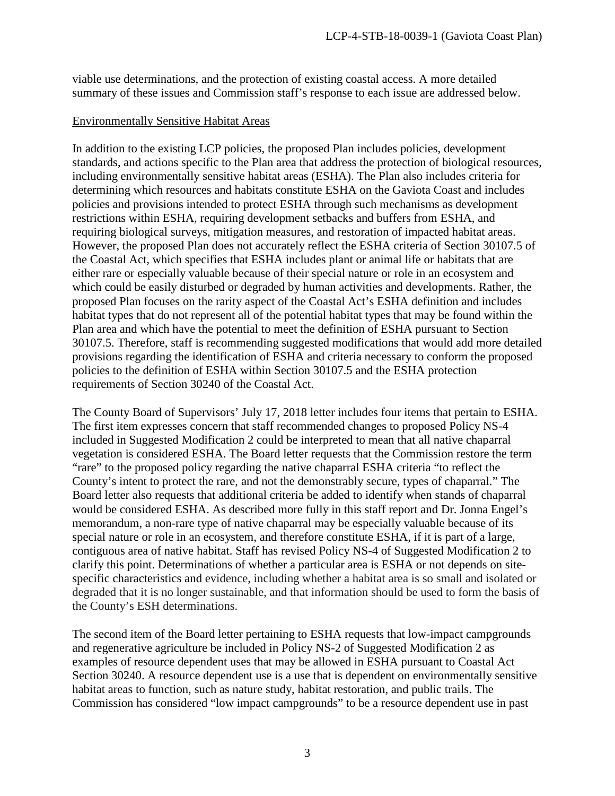viable use determinations, and the protection of existing coastal access. A more detailed summary of these issues and Commission staff's response to each issue are addressed below.

### Environmentally Sensitive Habitat Areas

In addition to the existing LCP policies, the proposed Plan includes policies, development standards, and actions specific to the Plan area that address the protection of biological resources, including environmentally sensitive habitat areas (ESHA). The Plan also includes criteria for determining which resources and habitats constitute ESHA on the Gaviota Coast and includes policies and provisions intended to protect ESHA through such mechanisms as development restrictions within ESHA, requiring development setbacks and buffers from ESHA, and requiring biological surveys, mitigation measures, and restoration of impacted habitat areas. However, the proposed Plan does not accurately reflect the ESHA criteria of Section 30107.5 of the Coastal Act, which specifies that ESHA includes plant or animal life or habitats that are either rare or especially valuable because of their special nature or role in an ecosystem and which could be easily disturbed or degraded by human activities and developments. Rather, the proposed Plan focuses on the rarity aspect of the Coastal Act's ESHA definition and includes habitat types that do not represent all of the potential habitat types that may be found within the Plan area and which have the potential to meet the definition of ESHA pursuant to Section 30107.5. Therefore, staff is recommending suggested modifications that would add more detailed provisions regarding the identification of ESHA and criteria necessary to conform the proposed policies to the definition of ESHA within Section 30107.5 and the ESHA protection requirements of Section 30240 of the Coastal Act.

The County Board of Supervisors' July 17, 2018 letter includes four items that pertain to ESHA. The first item expresses concern that staff recommended changes to proposed Policy NS-4 included in Suggested Modification 2 could be interpreted to mean that all native chaparral vegetation is considered ESHA. The Board letter requests that the Commission restore the term "rare" to the proposed policy regarding the native chaparral ESHA criteria "to reflect the County's intent to protect the rare, and not the demonstrably secure, types of chaparral." The Board letter also requests that additional criteria be added to identify when stands of chaparral would be considered ESHA. As described more fully in this staff report and Dr. Jonna Engel's memorandum, a non-rare type of native chaparral may be especially valuable because of its special nature or role in an ecosystem, and therefore constitute ESHA, if it is part of a large, contiguous area of native habitat. Staff has revised Policy NS-4 of Suggested Modification 2 to clarify this point. Determinations of whether a particular area is ESHA or not depends on sitespecific characteristics and evidence, including whether a habitat area is so small and isolated or degraded that it is no longer sustainable, and that information should be used to form the basis of the County's ESH determinations.

The second item of the Board letter pertaining to ESHA requests that low-impact campgrounds and regenerative agriculture be included in Policy NS-2 of Suggested Modification 2 as examples of resource dependent uses that may be allowed in ESHA pursuant to Coastal Act Section 30240. A resource dependent use is a use that is dependent on environmentally sensitive habitat areas to function, such as nature study, habitat restoration, and public trails. The Commission has considered "low impact campgrounds" to be a resource dependent use in past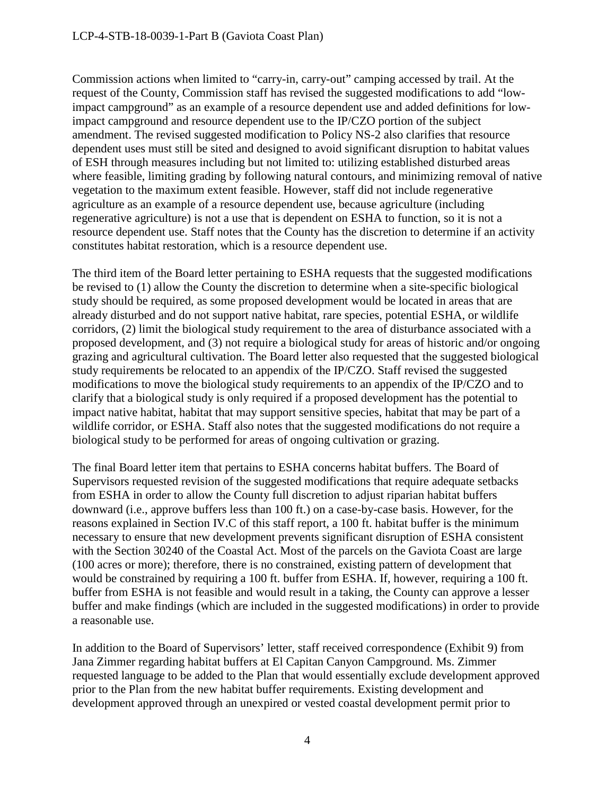Commission actions when limited to "carry-in, carry-out" camping accessed by trail. At the request of the County, Commission staff has revised the suggested modifications to add "lowimpact campground" as an example of a resource dependent use and added definitions for lowimpact campground and resource dependent use to the IP/CZO portion of the subject amendment. The revised suggested modification to Policy NS-2 also clarifies that resource dependent uses must still be sited and designed to avoid significant disruption to habitat values of ESH through measures including but not limited to: utilizing established disturbed areas where feasible, limiting grading by following natural contours, and minimizing removal of native vegetation to the maximum extent feasible. However, staff did not include regenerative agriculture as an example of a resource dependent use, because agriculture (including regenerative agriculture) is not a use that is dependent on ESHA to function, so it is not a resource dependent use. Staff notes that the County has the discretion to determine if an activity constitutes habitat restoration, which is a resource dependent use.

The third item of the Board letter pertaining to ESHA requests that the suggested modifications be revised to (1) allow the County the discretion to determine when a site-specific biological study should be required, as some proposed development would be located in areas that are already disturbed and do not support native habitat, rare species, potential ESHA, or wildlife corridors, (2) limit the biological study requirement to the area of disturbance associated with a proposed development, and (3) not require a biological study for areas of historic and/or ongoing grazing and agricultural cultivation. The Board letter also requested that the suggested biological study requirements be relocated to an appendix of the IP/CZO. Staff revised the suggested modifications to move the biological study requirements to an appendix of the IP/CZO and to clarify that a biological study is only required if a proposed development has the potential to impact native habitat, habitat that may support sensitive species, habitat that may be part of a wildlife corridor, or ESHA. Staff also notes that the suggested modifications do not require a biological study to be performed for areas of ongoing cultivation or grazing.

The final Board letter item that pertains to ESHA concerns habitat buffers. The Board of Supervisors requested revision of the suggested modifications that require adequate setbacks from ESHA in order to allow the County full discretion to adjust riparian habitat buffers downward (i.e., approve buffers less than 100 ft.) on a case-by-case basis. However, for the reasons explained in Section IV.C of this staff report, a 100 ft. habitat buffer is the minimum necessary to ensure that new development prevents significant disruption of ESHA consistent with the Section 30240 of the Coastal Act. Most of the parcels on the Gaviota Coast are large (100 acres or more); therefore, there is no constrained, existing pattern of development that would be constrained by requiring a 100 ft. buffer from ESHA. If, however, requiring a 100 ft. buffer from ESHA is not feasible and would result in a taking, the County can approve a lesser buffer and make findings (which are included in the suggested modifications) in order to provide a reasonable use.

In addition to the Board of Supervisors' letter, staff received correspondence (Exhibit 9) from Jana Zimmer regarding habitat buffers at El Capitan Canyon Campground. Ms. Zimmer requested language to be added to the Plan that would essentially exclude development approved prior to the Plan from the new habitat buffer requirements. Existing development and development approved through an unexpired or vested coastal development permit prior to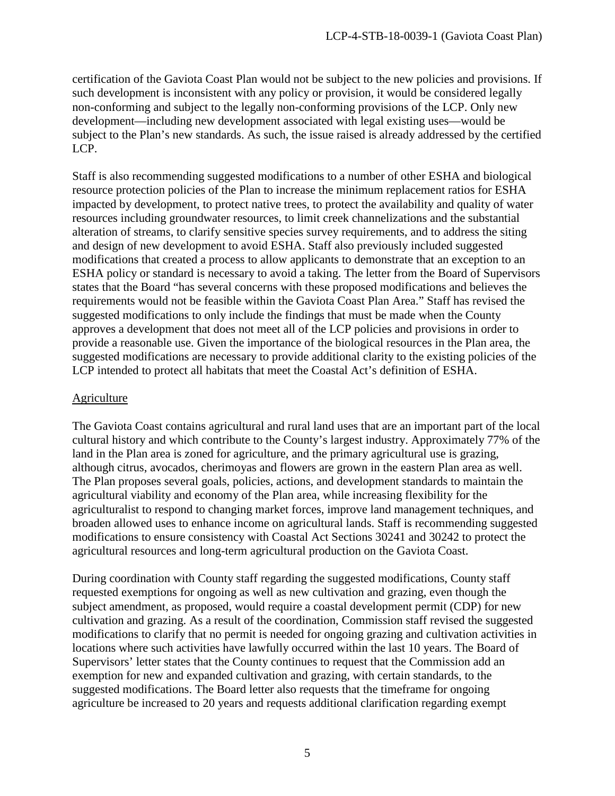certification of the Gaviota Coast Plan would not be subject to the new policies and provisions. If such development is inconsistent with any policy or provision, it would be considered legally non-conforming and subject to the legally non-conforming provisions of the LCP. Only new development—including new development associated with legal existing uses—would be subject to the Plan's new standards. As such, the issue raised is already addressed by the certified LCP.

Staff is also recommending suggested modifications to a number of other ESHA and biological resource protection policies of the Plan to increase the minimum replacement ratios for ESHA impacted by development, to protect native trees, to protect the availability and quality of water resources including groundwater resources, to limit creek channelizations and the substantial alteration of streams, to clarify sensitive species survey requirements, and to address the siting and design of new development to avoid ESHA. Staff also previously included suggested modifications that created a process to allow applicants to demonstrate that an exception to an ESHA policy or standard is necessary to avoid a taking. The letter from the Board of Supervisors states that the Board "has several concerns with these proposed modifications and believes the requirements would not be feasible within the Gaviota Coast Plan Area." Staff has revised the suggested modifications to only include the findings that must be made when the County approves a development that does not meet all of the LCP policies and provisions in order to provide a reasonable use. Given the importance of the biological resources in the Plan area, the suggested modifications are necessary to provide additional clarity to the existing policies of the LCP intended to protect all habitats that meet the Coastal Act's definition of ESHA.

#### **Agriculture**

The Gaviota Coast contains agricultural and rural land uses that are an important part of the local cultural history and which contribute to the County's largest industry. Approximately 77% of the land in the Plan area is zoned for agriculture, and the primary agricultural use is grazing, although citrus, avocados, cherimoyas and flowers are grown in the eastern Plan area as well. The Plan proposes several goals, policies, actions, and development standards to maintain the agricultural viability and economy of the Plan area, while increasing flexibility for the agriculturalist to respond to changing market forces, improve land management techniques, and broaden allowed uses to enhance income on agricultural lands. Staff is recommending suggested modifications to ensure consistency with Coastal Act Sections 30241 and 30242 to protect the agricultural resources and long-term agricultural production on the Gaviota Coast.

During coordination with County staff regarding the suggested modifications, County staff requested exemptions for ongoing as well as new cultivation and grazing, even though the subject amendment, as proposed, would require a coastal development permit (CDP) for new cultivation and grazing. As a result of the coordination, Commission staff revised the suggested modifications to clarify that no permit is needed for ongoing grazing and cultivation activities in locations where such activities have lawfully occurred within the last 10 years. The Board of Supervisors' letter states that the County continues to request that the Commission add an exemption for new and expanded cultivation and grazing, with certain standards, to the suggested modifications. The Board letter also requests that the timeframe for ongoing agriculture be increased to 20 years and requests additional clarification regarding exempt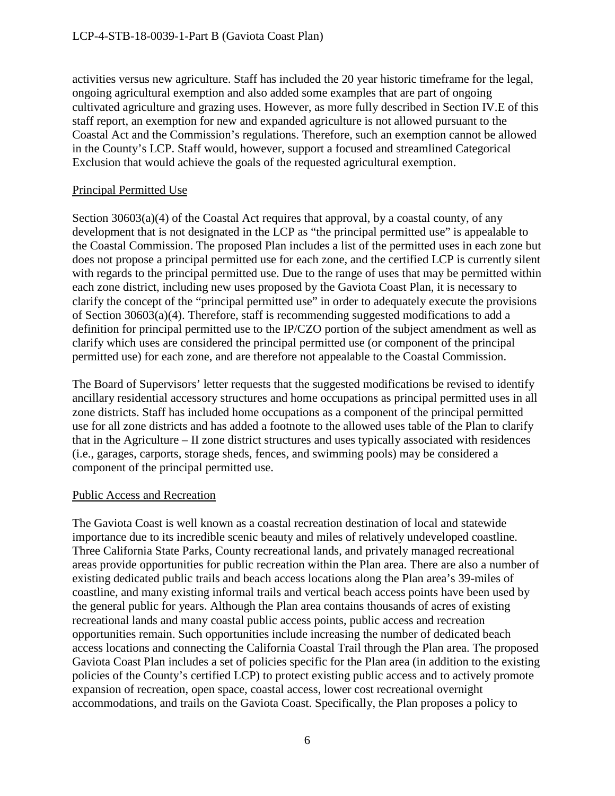activities versus new agriculture. Staff has included the 20 year historic timeframe for the legal, ongoing agricultural exemption and also added some examples that are part of ongoing cultivated agriculture and grazing uses. However, as more fully described in Section IV.E of this staff report, an exemption for new and expanded agriculture is not allowed pursuant to the Coastal Act and the Commission's regulations. Therefore, such an exemption cannot be allowed in the County's LCP. Staff would, however, support a focused and streamlined Categorical Exclusion that would achieve the goals of the requested agricultural exemption.

### Principal Permitted Use

Section  $30603(a)(4)$  of the Coastal Act requires that approval, by a coastal county, of any development that is not designated in the LCP as "the principal permitted use" is appealable to the Coastal Commission. The proposed Plan includes a list of the permitted uses in each zone but does not propose a principal permitted use for each zone, and the certified LCP is currently silent with regards to the principal permitted use. Due to the range of uses that may be permitted within each zone district, including new uses proposed by the Gaviota Coast Plan, it is necessary to clarify the concept of the "principal permitted use" in order to adequately execute the provisions of Section 30603(a)(4). Therefore, staff is recommending suggested modifications to add a definition for principal permitted use to the IP/CZO portion of the subject amendment as well as clarify which uses are considered the principal permitted use (or component of the principal permitted use) for each zone, and are therefore not appealable to the Coastal Commission.

The Board of Supervisors' letter requests that the suggested modifications be revised to identify ancillary residential accessory structures and home occupations as principal permitted uses in all zone districts. Staff has included home occupations as a component of the principal permitted use for all zone districts and has added a footnote to the allowed uses table of the Plan to clarify that in the Agriculture – II zone district structures and uses typically associated with residences (i.e., garages, carports, storage sheds, fences, and swimming pools) may be considered a component of the principal permitted use.

#### Public Access and Recreation

The Gaviota Coast is well known as a coastal recreation destination of local and statewide importance due to its incredible scenic beauty and miles of relatively undeveloped coastline. Three California State Parks, County recreational lands, and privately managed recreational areas provide opportunities for public recreation within the Plan area. There are also a number of existing dedicated public trails and beach access locations along the Plan area's 39-miles of coastline, and many existing informal trails and vertical beach access points have been used by the general public for years. Although the Plan area contains thousands of acres of existing recreational lands and many coastal public access points, public access and recreation opportunities remain. Such opportunities include increasing the number of dedicated beach access locations and connecting the California Coastal Trail through the Plan area. The proposed Gaviota Coast Plan includes a set of policies specific for the Plan area (in addition to the existing policies of the County's certified LCP) to protect existing public access and to actively promote expansion of recreation, open space, coastal access, lower cost recreational overnight accommodations, and trails on the Gaviota Coast. Specifically, the Plan proposes a policy to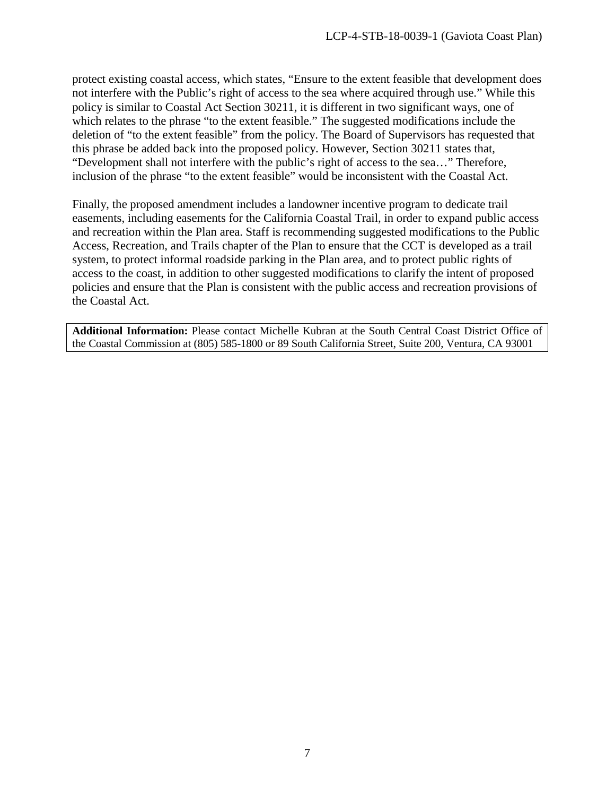protect existing coastal access, which states, "Ensure to the extent feasible that development does not interfere with the Public's right of access to the sea where acquired through use." While this policy is similar to Coastal Act Section 30211, it is different in two significant ways, one of which relates to the phrase "to the extent feasible." The suggested modifications include the deletion of "to the extent feasible" from the policy. The Board of Supervisors has requested that this phrase be added back into the proposed policy. However, Section 30211 states that, "Development shall not interfere with the public's right of access to the sea…" Therefore, inclusion of the phrase "to the extent feasible" would be inconsistent with the Coastal Act.

Finally, the proposed amendment includes a landowner incentive program to dedicate trail easements, including easements for the California Coastal Trail, in order to expand public access and recreation within the Plan area. Staff is recommending suggested modifications to the Public Access, Recreation, and Trails chapter of the Plan to ensure that the CCT is developed as a trail system, to protect informal roadside parking in the Plan area, and to protect public rights of access to the coast, in addition to other suggested modifications to clarify the intent of proposed policies and ensure that the Plan is consistent with the public access and recreation provisions of the Coastal Act.

**Additional Information:** Please contact Michelle Kubran at the South Central Coast District Office of the Coastal Commission at (805) 585-1800 or 89 South California Street, Suite 200, Ventura, CA 93001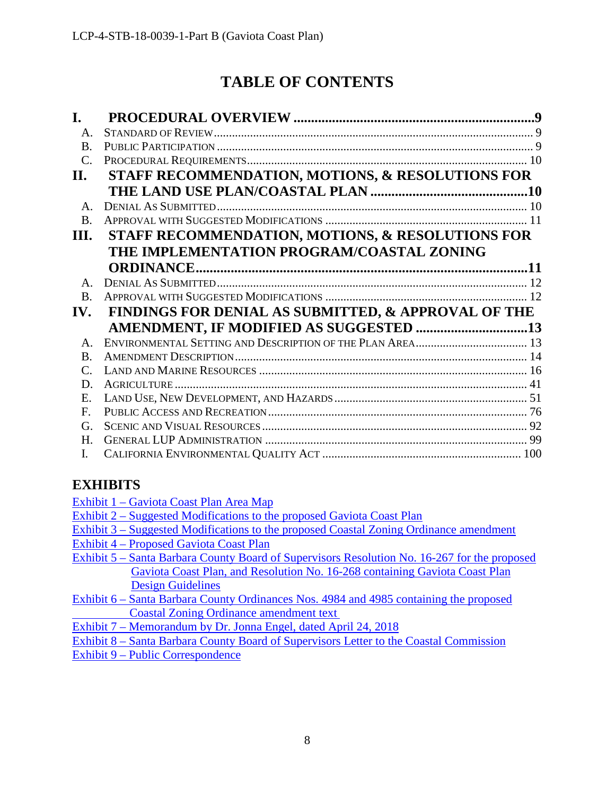# **TABLE OF CONTENTS**

| I.                          |                                                     |  |  |
|-----------------------------|-----------------------------------------------------|--|--|
| $A_{\cdot}$                 |                                                     |  |  |
| <b>B.</b>                   |                                                     |  |  |
| $\mathcal{C}$ .             |                                                     |  |  |
| II.                         | STAFF RECOMMENDATION, MOTIONS, & RESOLUTIONS FOR    |  |  |
|                             |                                                     |  |  |
| $\mathsf{A}$ .              |                                                     |  |  |
| <b>B.</b>                   |                                                     |  |  |
| Ш.                          | STAFF RECOMMENDATION, MOTIONS, & RESOLUTIONS FOR    |  |  |
|                             | THE IMPLEMENTATION PROGRAM/COASTAL ZONING           |  |  |
|                             |                                                     |  |  |
| $\mathbf{A}$                |                                                     |  |  |
| <b>B.</b>                   |                                                     |  |  |
| IV.                         | FINDINGS FOR DENIAL AS SUBMITTED, & APPROVAL OF THE |  |  |
|                             |                                                     |  |  |
| $\mathbf{A}$                |                                                     |  |  |
| $\bf{B}$                    |                                                     |  |  |
| $\mathcal{C}_{\mathcal{C}}$ |                                                     |  |  |
| D.                          |                                                     |  |  |
| E.                          |                                                     |  |  |
| F.                          |                                                     |  |  |
| G.                          |                                                     |  |  |
| H.                          |                                                     |  |  |
| I.                          |                                                     |  |  |

# **EXHIBITS**

- [Exhibit 1 Gaviota Coast](https://documents.coastal.ca.gov/reports/2018/8/F16a/F16a-8-2018-exhibits.pdf) Plan Area Map
- [Exhibit 2 Suggested Modifications to the proposed Gaviota Coast Plan](https://documents.coastal.ca.gov/reports/2018/8/F16a/F16a-8-2018-exhibits.pdf)
- [Exhibit 3 Suggested Modifications to the proposed Coastal Zoning Ordinance amendment](https://documents.coastal.ca.gov/reports/2018/8/F16a/F16a-8-2018-exhibits.pdf)
- [Exhibit 4 Proposed Gaviota Coast Plan](https://documents.coastal.ca.gov/reports/2018/8/F16a/F16a-8-2018-exhibits.pdf)
- [Exhibit 5 Santa Barbara County Board of Supervisors Resolution No. 16-267 for the proposed](https://documents.coastal.ca.gov/reports/2018/8/F16a/F16a-8-2018-exhibits.pdf)  [Gaviota Coast Plan, and Resolution No. 16-268 containing Gaviota Coast Plan](https://documents.coastal.ca.gov/reports/2018/8/F16a/F16a-8-2018-exhibits.pdf)  [Design Guidelines](https://documents.coastal.ca.gov/reports/2018/8/F16a/F16a-8-2018-exhibits.pdf)
- [Exhibit 6 Santa Barbara County Ordinances Nos. 4984 and 4985 containing the proposed](https://documents.coastal.ca.gov/reports/2018/8/F16a/F16a-8-2018-exhibits.pdf)   [Coastal Zoning Ordinance amendment text](https://documents.coastal.ca.gov/reports/2018/8/F16a/F16a-8-2018-exhibits.pdf)
- [Exhibit 7 Memorandum by Dr. Jonna Engel, dated April 24, 2018](https://documents.coastal.ca.gov/reports/2018/8/F16a/F16a-8-2018-exhibits.pdf)
- [Exhibit 8 Santa Barbara County Board of Supervisors Letter to the Coastal Commission](https://documents.coastal.ca.gov/reports/2018/8/F16a/F16a-8-2018-exhibits.pdf)
- [Exhibit 9 Public Correspondence](https://documents.coastal.ca.gov/reports/2018/8/F16a/F16a-8-2018-exhibits.pdf)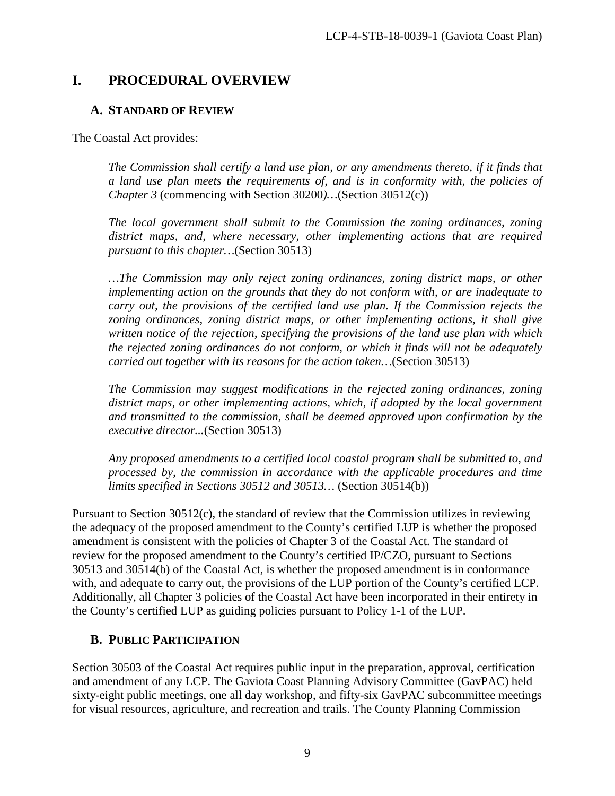# <span id="page-8-0"></span>**I. PROCEDURAL OVERVIEW**

### <span id="page-8-1"></span>**A. STANDARD OF REVIEW**

The Coastal Act provides:

*The Commission shall certify a land use plan, or any amendments thereto, if it finds that a land use plan meets the requirements of, and is in conformity with, the policies of Chapter 3* (commencing with Section 30200*)…*(Section 30512(c))

*The local government shall submit to the Commission the zoning ordinances, zoning district maps, and, where necessary, other implementing actions that are required pursuant to this chapter…*(Section 30513)

*…The Commission may only reject zoning ordinances, zoning district maps, or other implementing action on the grounds that they do not conform with, or are inadequate to carry out, the provisions of the certified land use plan. If the Commission rejects the zoning ordinances, zoning district maps, or other implementing actions, it shall give written notice of the rejection, specifying the provisions of the land use plan with which the rejected zoning ordinances do not conform, or which it finds will not be adequately carried out together with its reasons for the action taken…*(Section 30513)

*The Commission may suggest modifications in the rejected zoning ordinances, zoning*  district maps, or other implementing actions, which, if adopted by the local government *and transmitted to the commission, shall be deemed approved upon confirmation by the executive director...*(Section 30513)

*Any proposed amendments to a certified local coastal program shall be submitted to, and processed by, the commission in accordance with the applicable procedures and time limits specified in Sections 30512 and 30513…* (Section 30514(b))

Pursuant to Section 30512(c), the standard of review that the Commission utilizes in reviewing the adequacy of the proposed amendment to the County's certified LUP is whether the proposed amendment is consistent with the policies of Chapter 3 of the Coastal Act. The standard of review for the proposed amendment to the County's certified IP/CZO, pursuant to Sections 30513 and 30514(b) of the Coastal Act, is whether the proposed amendment is in conformance with, and adequate to carry out, the provisions of the LUP portion of the County's certified LCP. Additionally, all Chapter 3 policies of the Coastal Act have been incorporated in their entirety in the County's certified LUP as guiding policies pursuant to Policy 1-1 of the LUP.

# <span id="page-8-2"></span>**B. PUBLIC PARTICIPATION**

Section 30503 of the Coastal Act requires public input in the preparation, approval, certification and amendment of any LCP. The Gaviota Coast Planning Advisory Committee (GavPAC) held sixty-eight public meetings, one all day workshop, and fifty-six GavPAC subcommittee meetings for visual resources, agriculture, and recreation and trails. The County Planning Commission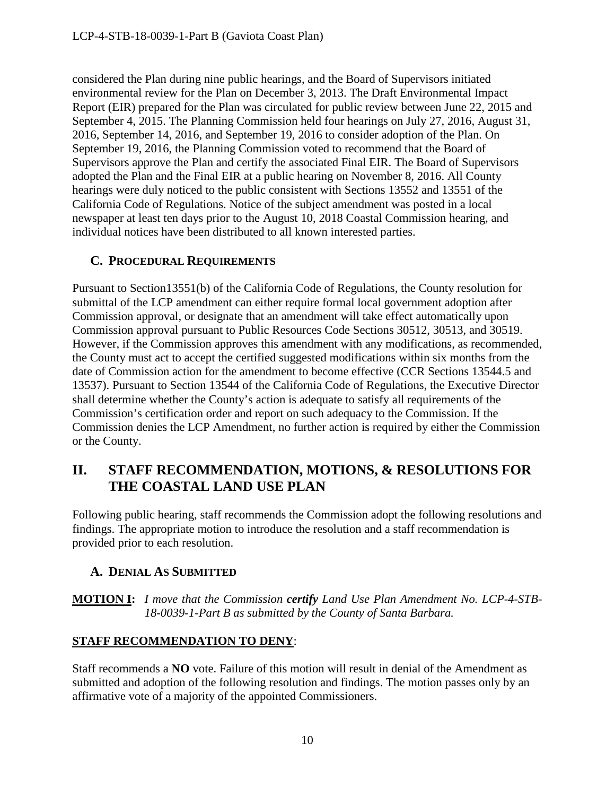considered the Plan during nine public hearings, and the Board of Supervisors initiated environmental review for the Plan on December 3, 2013. The Draft Environmental Impact Report (EIR) prepared for the Plan was circulated for public review between June 22, 2015 and September 4, 2015. The Planning Commission held four hearings on July 27, 2016, August 31, 2016, September 14, 2016, and September 19, 2016 to consider adoption of the Plan. On September 19, 2016, the Planning Commission voted to recommend that the Board of Supervisors approve the Plan and certify the associated Final EIR. The Board of Supervisors adopted the Plan and the Final EIR at a public hearing on November 8, 2016. All County hearings were duly noticed to the public consistent with Sections 13552 and 13551 of the California Code of Regulations. Notice of the subject amendment was posted in a local newspaper at least ten days prior to the August 10, 2018 Coastal Commission hearing, and individual notices have been distributed to all known interested parties.

# <span id="page-9-0"></span>**C. PROCEDURAL REQUIREMENTS**

Pursuant to Section13551(b) of the California Code of Regulations, the County resolution for submittal of the LCP amendment can either require formal local government adoption after Commission approval, or designate that an amendment will take effect automatically upon Commission approval pursuant to Public Resources Code Sections 30512, 30513, and 30519. However, if the Commission approves this amendment with any modifications, as recommended, the County must act to accept the certified suggested modifications within six months from the date of Commission action for the amendment to become effective (CCR Sections 13544.5 and 13537). Pursuant to Section 13544 of the California Code of Regulations, the Executive Director shall determine whether the County's action is adequate to satisfy all requirements of the Commission's certification order and report on such adequacy to the Commission. If the Commission denies the LCP Amendment, no further action is required by either the Commission or the County.

# <span id="page-9-1"></span>**II. STAFF RECOMMENDATION, MOTIONS, & RESOLUTIONS FOR THE COASTAL LAND USE PLAN**

Following public hearing, staff recommends the Commission adopt the following resolutions and findings. The appropriate motion to introduce the resolution and a staff recommendation is provided prior to each resolution.

# <span id="page-9-2"></span>**A. DENIAL AS SUBMITTED**

**MOTION I:** *I move that the Commission certify Land Use Plan Amendment No. LCP-4-STB-18-0039-1-Part B as submitted by the County of Santa Barbara.*

# **STAFF RECOMMENDATION TO DENY**:

Staff recommends a **NO** vote. Failure of this motion will result in denial of the Amendment as submitted and adoption of the following resolution and findings. The motion passes only by an affirmative vote of a majority of the appointed Commissioners.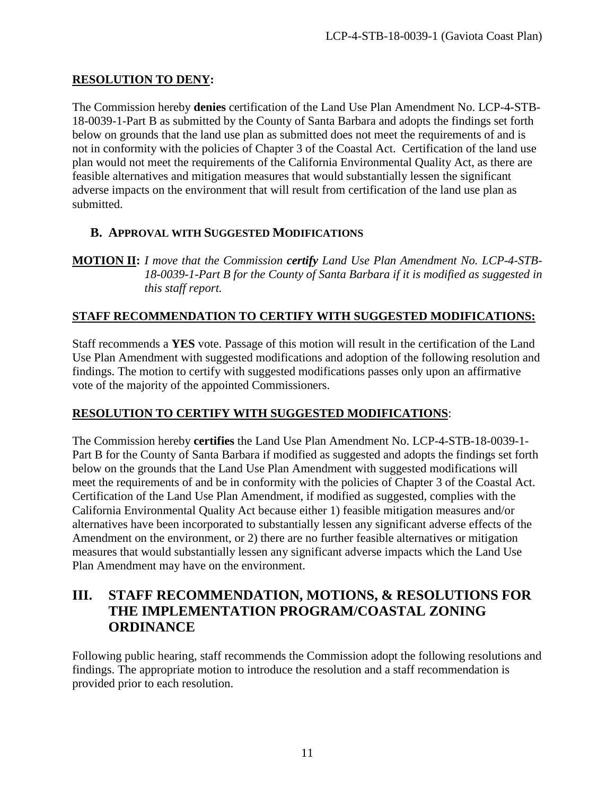### **RESOLUTION TO DENY:**

The Commission hereby **denies** certification of the Land Use Plan Amendment No. LCP-4-STB-18-0039-1-Part B as submitted by the County of Santa Barbara and adopts the findings set forth below on grounds that the land use plan as submitted does not meet the requirements of and is not in conformity with the policies of Chapter 3 of the Coastal Act. Certification of the land use plan would not meet the requirements of the California Environmental Quality Act, as there are feasible alternatives and mitigation measures that would substantially lessen the significant adverse impacts on the environment that will result from certification of the land use plan as submitted.

# <span id="page-10-0"></span>**B. APPROVAL WITH SUGGESTED MODIFICATIONS**

**MOTION II:** *I move that the Commission certify Land Use Plan Amendment No. LCP-4-STB-18-0039-1-Part B for the County of Santa Barbara if it is modified as suggested in this staff report.*

### **STAFF RECOMMENDATION TO CERTIFY WITH SUGGESTED MODIFICATIONS:**

Staff recommends a **YES** vote. Passage of this motion will result in the certification of the Land Use Plan Amendment with suggested modifications and adoption of the following resolution and findings. The motion to certify with suggested modifications passes only upon an affirmative vote of the majority of the appointed Commissioners.

# **RESOLUTION TO CERTIFY WITH SUGGESTED MODIFICATIONS**:

The Commission hereby **certifies** the Land Use Plan Amendment No. LCP-4-STB-18-0039-1- Part B for the County of Santa Barbara if modified as suggested and adopts the findings set forth below on the grounds that the Land Use Plan Amendment with suggested modifications will meet the requirements of and be in conformity with the policies of Chapter 3 of the Coastal Act. Certification of the Land Use Plan Amendment, if modified as suggested, complies with the California Environmental Quality Act because either 1) feasible mitigation measures and/or alternatives have been incorporated to substantially lessen any significant adverse effects of the Amendment on the environment, or 2) there are no further feasible alternatives or mitigation measures that would substantially lessen any significant adverse impacts which the Land Use Plan Amendment may have on the environment.

# <span id="page-10-1"></span>**III. STAFF RECOMMENDATION, MOTIONS, & RESOLUTIONS FOR THE IMPLEMENTATION PROGRAM/COASTAL ZONING ORDINANCE**

Following public hearing, staff recommends the Commission adopt the following resolutions and findings. The appropriate motion to introduce the resolution and a staff recommendation is provided prior to each resolution.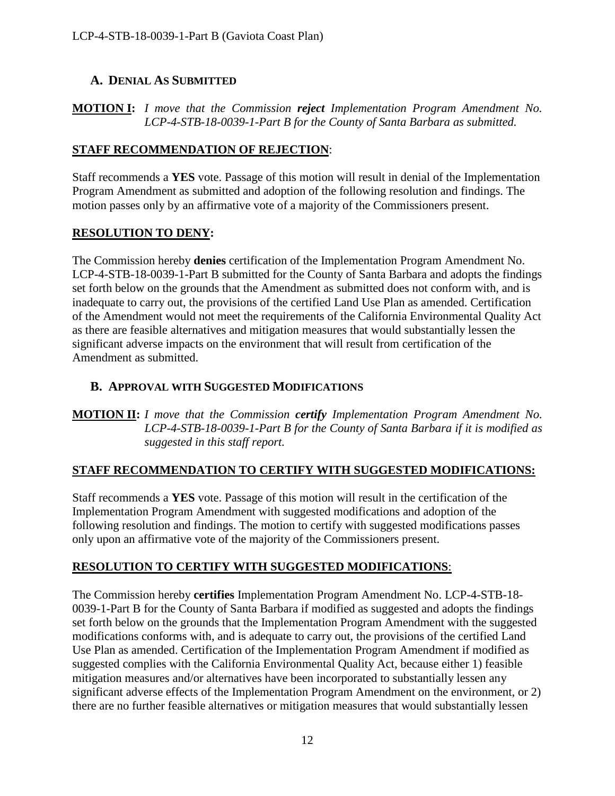# <span id="page-11-0"></span>**A. DENIAL AS SUBMITTED**

**MOTION I:** *I move that the Commission reject Implementation Program Amendment No. LCP-4-STB-18-0039-1-Part B for the County of Santa Barbara as submitted.*

# **STAFF RECOMMENDATION OF REJECTION**:

Staff recommends a **YES** vote. Passage of this motion will result in denial of the Implementation Program Amendment as submitted and adoption of the following resolution and findings. The motion passes only by an affirmative vote of a majority of the Commissioners present.

# **RESOLUTION TO DENY:**

The Commission hereby **denies** certification of the Implementation Program Amendment No. LCP-4-STB-18-0039-1-Part B submitted for the County of Santa Barbara and adopts the findings set forth below on the grounds that the Amendment as submitted does not conform with, and is inadequate to carry out, the provisions of the certified Land Use Plan as amended. Certification of the Amendment would not meet the requirements of the California Environmental Quality Act as there are feasible alternatives and mitigation measures that would substantially lessen the significant adverse impacts on the environment that will result from certification of the Amendment as submitted.

# <span id="page-11-1"></span>**B. APPROVAL WITH SUGGESTED MODIFICATIONS**

**MOTION II:** *I move that the Commission certify Implementation Program Amendment No. LCP-4-STB-18-0039-1-Part B for the County of Santa Barbara if it is modified as suggested in this staff report.*

# **STAFF RECOMMENDATION TO CERTIFY WITH SUGGESTED MODIFICATIONS:**

Staff recommends a **YES** vote. Passage of this motion will result in the certification of the Implementation Program Amendment with suggested modifications and adoption of the following resolution and findings. The motion to certify with suggested modifications passes only upon an affirmative vote of the majority of the Commissioners present.

# **RESOLUTION TO CERTIFY WITH SUGGESTED MODIFICATIONS**:

The Commission hereby **certifies** Implementation Program Amendment No. LCP-4-STB-18- 0039-1-Part B for the County of Santa Barbara if modified as suggested and adopts the findings set forth below on the grounds that the Implementation Program Amendment with the suggested modifications conforms with, and is adequate to carry out, the provisions of the certified Land Use Plan as amended. Certification of the Implementation Program Amendment if modified as suggested complies with the California Environmental Quality Act, because either 1) feasible mitigation measures and/or alternatives have been incorporated to substantially lessen any significant adverse effects of the Implementation Program Amendment on the environment, or 2) there are no further feasible alternatives or mitigation measures that would substantially lessen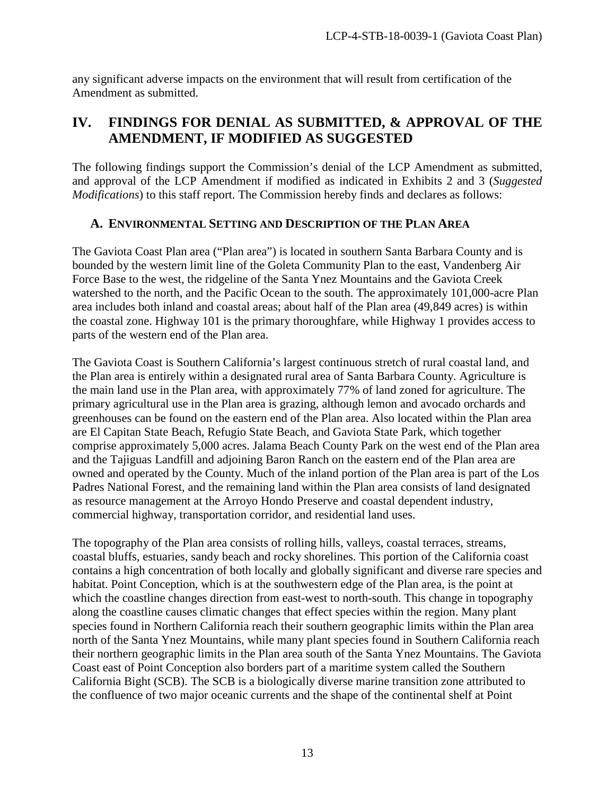any significant adverse impacts on the environment that will result from certification of the Amendment as submitted.

# <span id="page-12-0"></span>**IV. FINDINGS FOR DENIAL AS SUBMITTED, & APPROVAL OF THE AMENDMENT, IF MODIFIED AS SUGGESTED**

The following findings support the Commission's denial of the LCP Amendment as submitted, and approval of the LCP Amendment if modified as indicated in Exhibits 2 and 3 (*Suggested Modifications*) to this staff report. The Commission hereby finds and declares as follows:

# <span id="page-12-1"></span>**A. ENVIRONMENTAL SETTING AND DESCRIPTION OF THE PLAN AREA**

The Gaviota Coast Plan area ("Plan area") is located in southern Santa Barbara County and is bounded by the western limit line of the Goleta Community Plan to the east, Vandenberg Air Force Base to the west, the ridgeline of the Santa Ynez Mountains and the Gaviota Creek watershed to the north, and the Pacific Ocean to the south. The approximately 101,000-acre Plan area includes both inland and coastal areas; about half of the Plan area (49,849 acres) is within the coastal zone. Highway 101 is the primary thoroughfare, while Highway 1 provides access to parts of the western end of the Plan area.

The Gaviota Coast is Southern California's largest continuous stretch of rural coastal land, and the Plan area is entirely within a designated rural area of Santa Barbara County. Agriculture is the main land use in the Plan area, with approximately 77% of land zoned for agriculture. The primary agricultural use in the Plan area is grazing, although lemon and avocado orchards and greenhouses can be found on the eastern end of the Plan area. Also located within the Plan area are El Capitan State Beach, Refugio State Beach, and Gaviota State Park, which together comprise approximately 5,000 acres. Jalama Beach County Park on the west end of the Plan area and the Tajiguas Landfill and adjoining Baron Ranch on the eastern end of the Plan area are owned and operated by the County. Much of the inland portion of the Plan area is part of the Los Padres National Forest, and the remaining land within the Plan area consists of land designated as resource management at the Arroyo Hondo Preserve and coastal dependent industry, commercial highway, transportation corridor, and residential land uses.

The topography of the Plan area consists of rolling hills, valleys, coastal terraces, streams, coastal bluffs, estuaries, sandy beach and rocky shorelines. This portion of the California coast contains a high concentration of both locally and globally significant and diverse rare species and habitat. Point Conception, which is at the southwestern edge of the Plan area, is the point at which the coastline changes direction from east-west to north-south. This change in topography along the coastline causes climatic changes that effect species within the region. Many plant species found in Northern California reach their southern geographic limits within the Plan area north of the Santa Ynez Mountains, while many plant species found in Southern California reach their northern geographic limits in the Plan area south of the Santa Ynez Mountains. The Gaviota Coast east of Point Conception also borders part of a maritime system called the Southern California Bight (SCB). The SCB is a biologically diverse marine transition zone attributed to the confluence of two major oceanic currents and the shape of the continental shelf at Point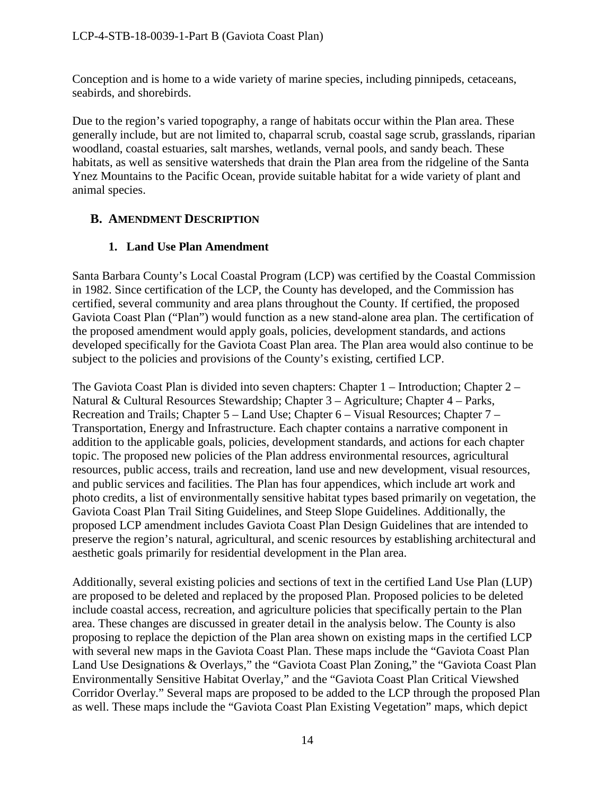Conception and is home to a wide variety of marine species, including pinnipeds, cetaceans, seabirds, and shorebirds.

Due to the region's varied topography, a range of habitats occur within the Plan area. These generally include, but are not limited to, chaparral scrub, coastal sage scrub, grasslands, riparian woodland, coastal estuaries, salt marshes, wetlands, vernal pools, and sandy beach. These habitats, as well as sensitive watersheds that drain the Plan area from the ridgeline of the Santa Ynez Mountains to the Pacific Ocean, provide suitable habitat for a wide variety of plant and animal species.

# <span id="page-13-0"></span>**B. AMENDMENT DESCRIPTION**

# **1. Land Use Plan Amendment**

Santa Barbara County's Local Coastal Program (LCP) was certified by the Coastal Commission in 1982. Since certification of the LCP, the County has developed, and the Commission has certified, several community and area plans throughout the County. If certified, the proposed Gaviota Coast Plan ("Plan") would function as a new stand-alone area plan. The certification of the proposed amendment would apply goals, policies, development standards, and actions developed specifically for the Gaviota Coast Plan area. The Plan area would also continue to be subject to the policies and provisions of the County's existing, certified LCP.

The Gaviota Coast Plan is divided into seven chapters: Chapter 1 – Introduction; Chapter 2 – Natural & Cultural Resources Stewardship; Chapter 3 – Agriculture; Chapter 4 – Parks, Recreation and Trails; Chapter 5 – Land Use; Chapter 6 – Visual Resources; Chapter 7 – Transportation, Energy and Infrastructure. Each chapter contains a narrative component in addition to the applicable goals, policies, development standards, and actions for each chapter topic. The proposed new policies of the Plan address environmental resources, agricultural resources, public access, trails and recreation, land use and new development, visual resources, and public services and facilities. The Plan has four appendices, which include art work and photo credits, a list of environmentally sensitive habitat types based primarily on vegetation, the Gaviota Coast Plan Trail Siting Guidelines, and Steep Slope Guidelines. Additionally, the proposed LCP amendment includes Gaviota Coast Plan Design Guidelines that are intended to preserve the region's natural, agricultural, and scenic resources by establishing architectural and aesthetic goals primarily for residential development in the Plan area.

Additionally, several existing policies and sections of text in the certified Land Use Plan (LUP) are proposed to be deleted and replaced by the proposed Plan. Proposed policies to be deleted include coastal access, recreation, and agriculture policies that specifically pertain to the Plan area. These changes are discussed in greater detail in the analysis below. The County is also proposing to replace the depiction of the Plan area shown on existing maps in the certified LCP with several new maps in the Gaviota Coast Plan. These maps include the "Gaviota Coast Plan Land Use Designations & Overlays," the "Gaviota Coast Plan Zoning," the "Gaviota Coast Plan Environmentally Sensitive Habitat Overlay," and the "Gaviota Coast Plan Critical Viewshed Corridor Overlay." Several maps are proposed to be added to the LCP through the proposed Plan as well. These maps include the "Gaviota Coast Plan Existing Vegetation" maps, which depict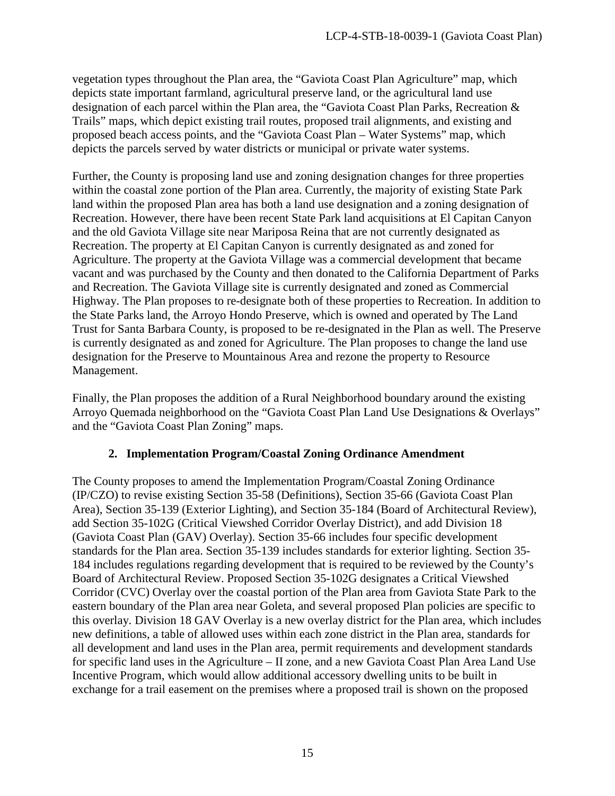vegetation types throughout the Plan area, the "Gaviota Coast Plan Agriculture" map, which depicts state important farmland, agricultural preserve land, or the agricultural land use designation of each parcel within the Plan area, the "Gaviota Coast Plan Parks, Recreation & Trails" maps, which depict existing trail routes, proposed trail alignments, and existing and proposed beach access points, and the "Gaviota Coast Plan – Water Systems" map, which depicts the parcels served by water districts or municipal or private water systems.

Further, the County is proposing land use and zoning designation changes for three properties within the coastal zone portion of the Plan area. Currently, the majority of existing State Park land within the proposed Plan area has both a land use designation and a zoning designation of Recreation. However, there have been recent State Park land acquisitions at El Capitan Canyon and the old Gaviota Village site near Mariposa Reina that are not currently designated as Recreation. The property at El Capitan Canyon is currently designated as and zoned for Agriculture. The property at the Gaviota Village was a commercial development that became vacant and was purchased by the County and then donated to the California Department of Parks and Recreation. The Gaviota Village site is currently designated and zoned as Commercial Highway. The Plan proposes to re-designate both of these properties to Recreation. In addition to the State Parks land, the Arroyo Hondo Preserve, which is owned and operated by The Land Trust for Santa Barbara County, is proposed to be re-designated in the Plan as well. The Preserve is currently designated as and zoned for Agriculture. The Plan proposes to change the land use designation for the Preserve to Mountainous Area and rezone the property to Resource Management.

Finally, the Plan proposes the addition of a Rural Neighborhood boundary around the existing Arroyo Quemada neighborhood on the "Gaviota Coast Plan Land Use Designations & Overlays" and the "Gaviota Coast Plan Zoning" maps.

# **2. Implementation Program/Coastal Zoning Ordinance Amendment**

The County proposes to amend the Implementation Program/Coastal Zoning Ordinance (IP/CZO) to revise existing Section 35-58 (Definitions), Section 35-66 (Gaviota Coast Plan Area), Section 35-139 (Exterior Lighting), and Section 35-184 (Board of Architectural Review), add Section 35-102G (Critical Viewshed Corridor Overlay District), and add Division 18 (Gaviota Coast Plan (GAV) Overlay). Section 35-66 includes four specific development standards for the Plan area. Section 35-139 includes standards for exterior lighting. Section 35- 184 includes regulations regarding development that is required to be reviewed by the County's Board of Architectural Review. Proposed Section 35-102G designates a Critical Viewshed Corridor (CVC) Overlay over the coastal portion of the Plan area from Gaviota State Park to the eastern boundary of the Plan area near Goleta, and several proposed Plan policies are specific to this overlay. Division 18 GAV Overlay is a new overlay district for the Plan area, which includes new definitions, a table of allowed uses within each zone district in the Plan area, standards for all development and land uses in the Plan area, permit requirements and development standards for specific land uses in the Agriculture – II zone, and a new Gaviota Coast Plan Area Land Use Incentive Program, which would allow additional accessory dwelling units to be built in exchange for a trail easement on the premises where a proposed trail is shown on the proposed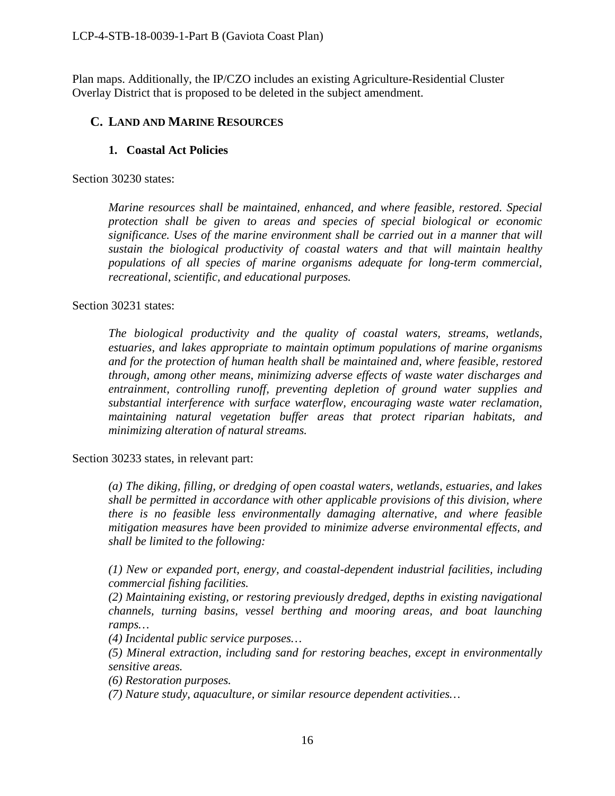Plan maps. Additionally, the IP/CZO includes an existing Agriculture-Residential Cluster Overlay District that is proposed to be deleted in the subject amendment.

### <span id="page-15-0"></span>**C. LAND AND MARINE RESOURCES**

### **1. Coastal Act Policies**

Section 30230 states:

*Marine resources shall be maintained, enhanced, and where feasible, restored. Special protection shall be given to areas and species of special biological or economic significance. Uses of the marine environment shall be carried out in a manner that will sustain the biological productivity of coastal waters and that will maintain healthy populations of all species of marine organisms adequate for long-term commercial, recreational, scientific, and educational purposes.* 

#### Section 30231 states:

*The biological productivity and the quality of coastal waters, streams, wetlands, estuaries, and lakes appropriate to maintain optimum populations of marine organisms and for the protection of human health shall be maintained and, where feasible, restored through, among other means, minimizing adverse effects of waste water discharges and entrainment, controlling runoff, preventing depletion of ground water supplies and substantial interference with surface waterflow, encouraging waste water reclamation, maintaining natural vegetation buffer areas that protect riparian habitats, and minimizing alteration of natural streams.* 

Section 30233 states, in relevant part:

*(a) The diking, filling, or dredging of open coastal waters, wetlands, estuaries, and lakes shall be permitted in accordance with other applicable provisions of this division, where there is no feasible less environmentally damaging alternative, and where feasible mitigation measures have been provided to minimize adverse environmental effects, and shall be limited to the following:* 

*(1) New or expanded port, energy, and coastal-dependent industrial facilities, including commercial fishing facilities.*

*(2) Maintaining existing, or restoring previously dredged, depths in existing navigational channels, turning basins, vessel berthing and mooring areas, and boat launching ramps…* 

*(4) Incidental public service purposes…* 

*(5) Mineral extraction, including sand for restoring beaches, except in environmentally sensitive areas.*

*(6) Restoration purposes.* 

*(7) Nature study, aquaculture, or similar resource dependent activities…*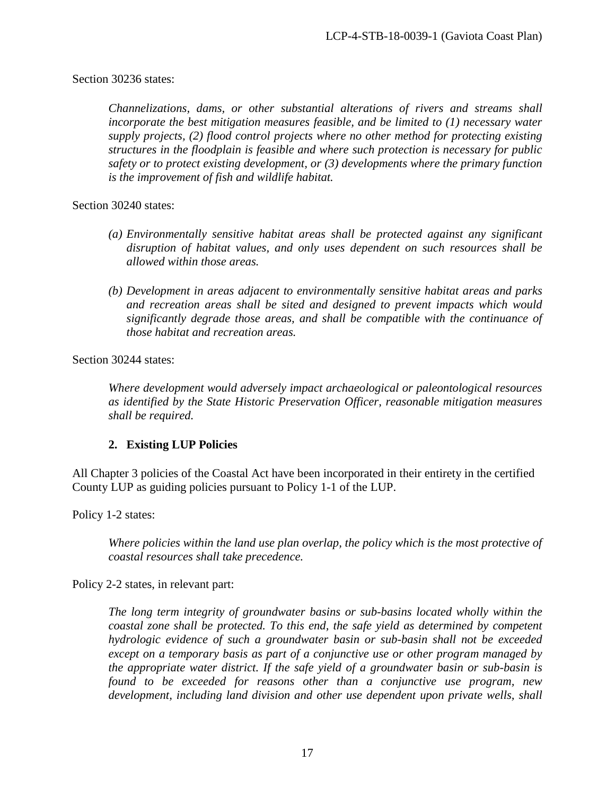### Section 30236 states:

*Channelizations, dams, or other substantial alterations of rivers and streams shall incorporate the best mitigation measures feasible, and be limited to (1) necessary water supply projects, (2) flood control projects where no other method for protecting existing structures in the floodplain is feasible and where such protection is necessary for public safety or to protect existing development, or (3) developments where the primary function is the improvement of fish and wildlife habitat.* 

Section 30240 states:

- *(a) Environmentally sensitive habitat areas shall be protected against any significant disruption of habitat values, and only uses dependent on such resources shall be allowed within those areas.*
- *(b) Development in areas adjacent to environmentally sensitive habitat areas and parks and recreation areas shall be sited and designed to prevent impacts which would significantly degrade those areas, and shall be compatible with the continuance of those habitat and recreation areas.*

Section 30244 states:

*Where development would adversely impact archaeological or paleontological resources as identified by the State Historic Preservation Officer, reasonable mitigation measures shall be required.* 

# **2. Existing LUP Policies**

All Chapter 3 policies of the Coastal Act have been incorporated in their entirety in the certified County LUP as guiding policies pursuant to Policy 1-1 of the LUP.

Policy 1-2 states:

*Where policies within the land use plan overlap, the policy which is the most protective of coastal resources shall take precedence.*

Policy 2-2 states, in relevant part:

*The long term integrity of groundwater basins or sub-basins located wholly within the coastal zone shall be protected. To this end, the safe yield as determined by competent hydrologic evidence of such a groundwater basin or sub-basin shall not be exceeded except on a temporary basis as part of a conjunctive use or other program managed by the appropriate water district. If the safe yield of a groundwater basin or sub-basin is found to be exceeded for reasons other than a conjunctive use program, new development, including land division and other use dependent upon private wells, shall*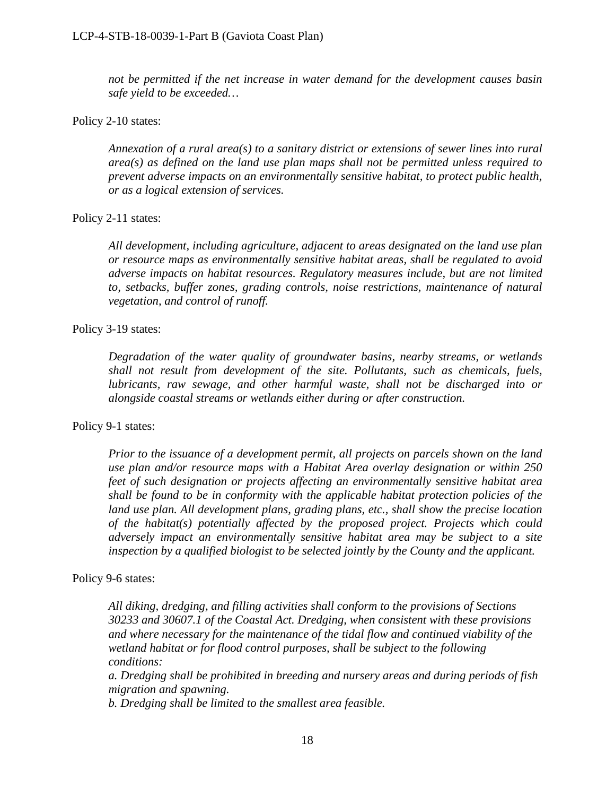*not be permitted if the net increase in water demand for the development causes basin safe yield to be exceeded…*

#### Policy 2-10 states:

*Annexation of a rural area(s) to a sanitary district or extensions of sewer lines into rural area(s) as defined on the land use plan maps shall not be permitted unless required to prevent adverse impacts on an environmentally sensitive habitat, to protect public health, or as a logical extension of services.*

#### Policy 2-11 states:

*All development, including agriculture, adjacent to areas designated on the land use plan or resource maps as environmentally sensitive habitat areas, shall be regulated to avoid adverse impacts on habitat resources. Regulatory measures include, but are not limited to, setbacks, buffer zones, grading controls, noise restrictions, maintenance of natural vegetation, and control of runoff.* 

#### Policy 3-19 states:

*Degradation of the water quality of groundwater basins, nearby streams, or wetlands shall not result from development of the site. Pollutants, such as chemicals, fuels, lubricants, raw sewage, and other harmful waste, shall not be discharged into or alongside coastal streams or wetlands either during or after construction.* 

#### Policy 9-1 states:

*Prior to the issuance of a development permit, all projects on parcels shown on the land use plan and/or resource maps with a Habitat Area overlay designation or within 250 feet of such designation or projects affecting an environmentally sensitive habitat area shall be found to be in conformity with the applicable habitat protection policies of the land use plan. All development plans, grading plans, etc., shall show the precise location of the habitat(s) potentially affected by the proposed project. Projects which could adversely impact an environmentally sensitive habitat area may be subject to a site inspection by a qualified biologist to be selected jointly by the County and the applicant.*

#### Policy 9-6 states:

*All diking, dredging, and filling activities shall conform to the provisions of Sections 30233 and 30607.1 of the Coastal Act. Dredging, when consistent with these provisions and where necessary for the maintenance of the tidal flow and continued viability of the wetland habitat or for flood control purposes, shall be subject to the following conditions:* 

*a. Dredging shall be prohibited in breeding and nursery areas and during periods of fish migration and spawning.* 

*b. Dredging shall be limited to the smallest area feasible.*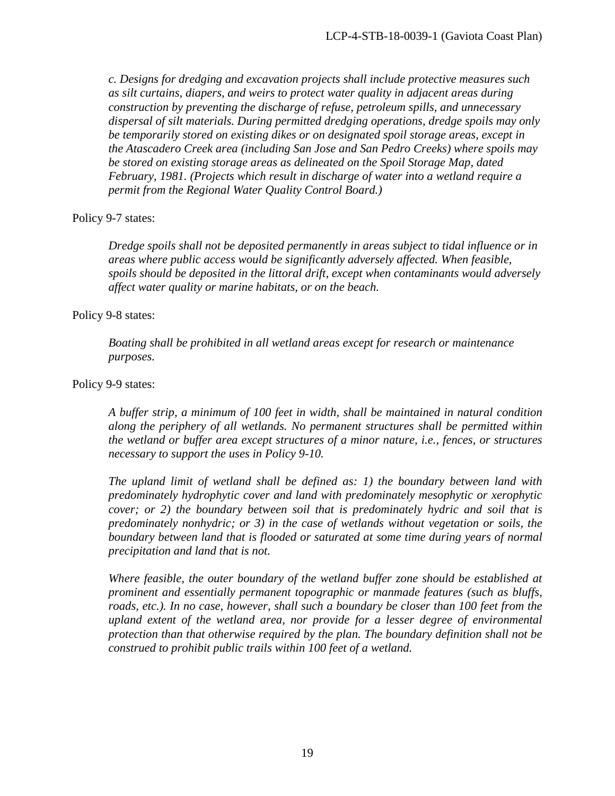*c. Designs for dredging and excavation projects shall include protective measures such as silt curtains, diapers, and weirs to protect water quality in adjacent areas during construction by preventing the discharge of refuse, petroleum spills, and unnecessary dispersal of silt materials. During permitted dredging operations, dredge spoils may only be temporarily stored on existing dikes or on designated spoil storage areas, except in the Atascadero Creek area (including San Jose and San Pedro Creeks) where spoils may be stored on existing storage areas as delineated on the Spoil Storage Map, dated February, 1981. (Projects which result in discharge of water into a wetland require a permit from the Regional Water Quality Control Board.)* 

#### Policy 9-7 states:

*Dredge spoils shall not be deposited permanently in areas subject to tidal influence or in areas where public access would be significantly adversely affected. When feasible, spoils should be deposited in the littoral drift, except when contaminants would adversely affect water quality or marine habitats, or on the beach.* 

#### Policy 9-8 states:

*Boating shall be prohibited in all wetland areas except for research or maintenance purposes.* 

#### Policy 9-9 states:

*A buffer strip, a minimum of 100 feet in width, shall be maintained in natural condition along the periphery of all wetlands. No permanent structures shall be permitted within the wetland or buffer area except structures of a minor nature, i.e., fences, or structures necessary to support the uses in Policy 9-10.*

*The upland limit of wetland shall be defined as: 1) the boundary between land with predominately hydrophytic cover and land with predominately mesophytic or xerophytic cover; or 2) the boundary between soil that is predominately hydric and soil that is predominately nonhydric; or 3) in the case of wetlands without vegetation or soils, the boundary between land that is flooded or saturated at some time during years of normal precipitation and land that is not.* 

*Where feasible, the outer boundary of the wetland buffer zone should be established at prominent and essentially permanent topographic or manmade features (such as bluffs,*  roads, etc.). In no case, however, shall such a boundary be closer than 100 feet from the *upland extent of the wetland area, nor provide for a lesser degree of environmental protection than that otherwise required by the plan. The boundary definition shall not be construed to prohibit public trails within 100 feet of a wetland.*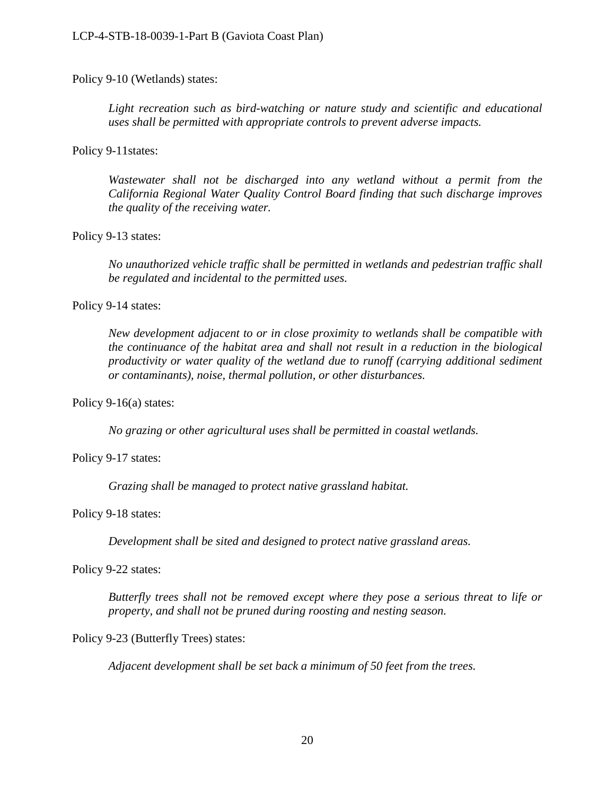Policy 9-10 (Wetlands) states:

Light recreation such as bird-watching or nature study and scientific and educational *uses shall be permitted with appropriate controls to prevent adverse impacts.*

Policy 9-11states:

*Wastewater shall not be discharged into any wetland without a permit from the California Regional Water Quality Control Board finding that such discharge improves the quality of the receiving water.* 

#### Policy 9-13 states:

*No unauthorized vehicle traffic shall be permitted in wetlands and pedestrian traffic shall be regulated and incidental to the permitted uses.* 

#### Policy 9-14 states:

*New development adjacent to or in close proximity to wetlands shall be compatible with the continuance of the habitat area and shall not result in a reduction in the biological productivity or water quality of the wetland due to runoff (carrying additional sediment or contaminants), noise, thermal pollution, or other disturbances.* 

Policy 9-16(a) states:

*No grazing or other agricultural uses shall be permitted in coastal wetlands.* 

Policy 9-17 states:

*Grazing shall be managed to protect native grassland habitat.*

#### Policy 9-18 states:

*Development shall be sited and designed to protect native grassland areas.* 

Policy 9-22 states:

*Butterfly trees shall not be removed except where they pose a serious threat to life or property, and shall not be pruned during roosting and nesting season.* 

#### Policy 9-23 (Butterfly Trees) states:

*Adjacent development shall be set back a minimum of 50 feet from the trees.*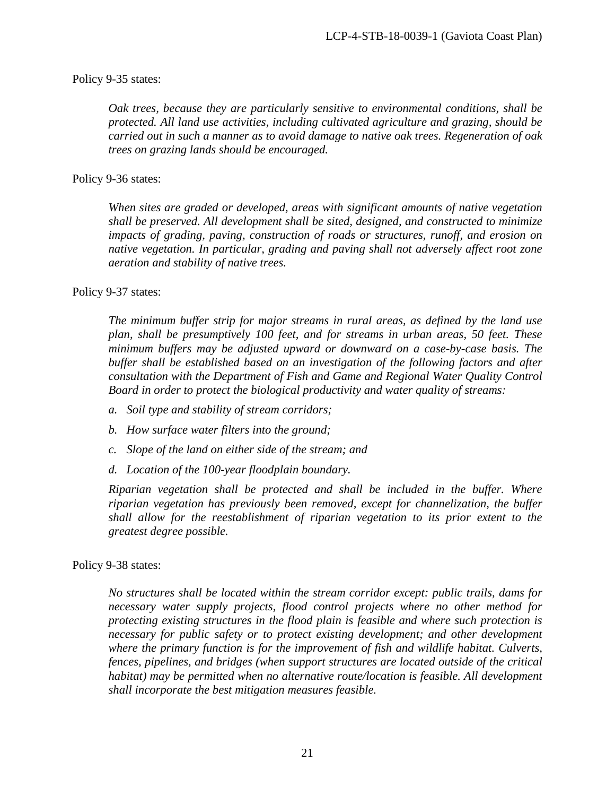#### Policy 9-35 states:

*Oak trees, because they are particularly sensitive to environmental conditions, shall be protected. All land use activities, including cultivated agriculture and grazing, should be carried out in such a manner as to avoid damage to native oak trees. Regeneration of oak trees on grazing lands should be encouraged.*

#### Policy 9-36 states:

*When sites are graded or developed, areas with significant amounts of native vegetation shall be preserved. All development shall be sited, designed, and constructed to minimize impacts of grading, paving, construction of roads or structures, runoff, and erosion on native vegetation. In particular, grading and paving shall not adversely affect root zone aeration and stability of native trees.*

#### Policy 9-37 states:

*The minimum buffer strip for major streams in rural areas, as defined by the land use plan, shall be presumptively 100 feet, and for streams in urban areas, 50 feet. These minimum buffers may be adjusted upward or downward on a case-by-case basis. The buffer shall be established based on an investigation of the following factors and after consultation with the Department of Fish and Game and Regional Water Quality Control Board in order to protect the biological productivity and water quality of streams:* 

- *a. Soil type and stability of stream corridors;*
- *b. How surface water filters into the ground;*
- *c. Slope of the land on either side of the stream; and*
- *d. Location of the 100-year floodplain boundary.*

*Riparian vegetation shall be protected and shall be included in the buffer. Where riparian vegetation has previously been removed, except for channelization, the buffer shall allow for the reestablishment of riparian vegetation to its prior extent to the greatest degree possible.*

#### Policy 9-38 states:

*No structures shall be located within the stream corridor except: public trails, dams for necessary water supply projects, flood control projects where no other method for protecting existing structures in the flood plain is feasible and where such protection is necessary for public safety or to protect existing development; and other development where the primary function is for the improvement of fish and wildlife habitat. Culverts, fences, pipelines, and bridges (when support structures are located outside of the critical habitat) may be permitted when no alternative route/location is feasible. All development shall incorporate the best mitigation measures feasible.*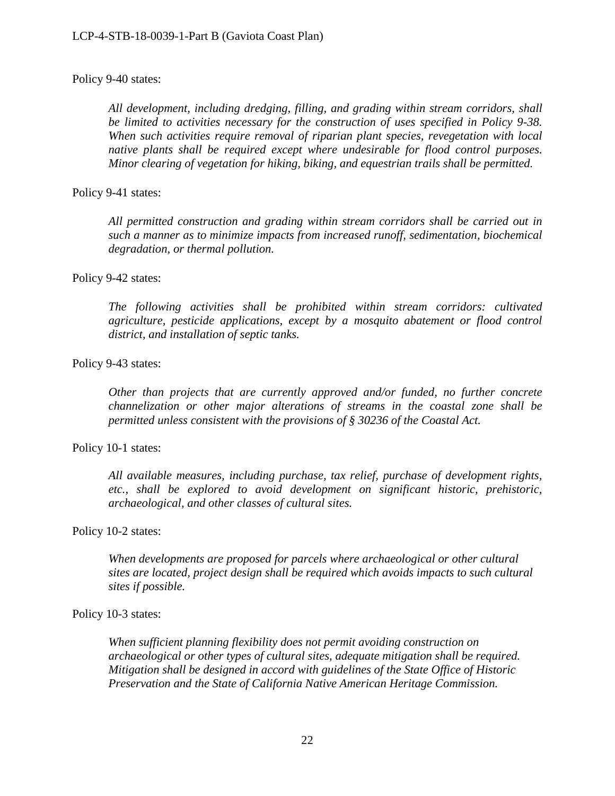### Policy 9-40 states:

*All development, including dredging, filling, and grading within stream corridors, shall be limited to activities necessary for the construction of uses specified in Policy 9-38. When such activities require removal of riparian plant species, revegetation with local native plants shall be required except where undesirable for flood control purposes. Minor clearing of vegetation for hiking, biking, and equestrian trails shall be permitted.*

### Policy 9-41 states:

*All permitted construction and grading within stream corridors shall be carried out in such a manner as to minimize impacts from increased runoff, sedimentation, biochemical degradation, or thermal pollution.*

#### Policy 9-42 states:

*The following activities shall be prohibited within stream corridors: cultivated agriculture, pesticide applications, except by a mosquito abatement or flood control district, and installation of septic tanks.*

#### Policy 9-43 states:

*Other than projects that are currently approved and/or funded, no further concrete channelization or other major alterations of streams in the coastal zone shall be permitted unless consistent with the provisions of § 30236 of the Coastal Act.* 

#### Policy 10-1 states:

*All available measures, including purchase, tax relief, purchase of development rights, etc., shall be explored to avoid development on significant historic, prehistoric, archaeological, and other classes of cultural sites.*

#### Policy 10-2 states:

*When developments are proposed for parcels where archaeological or other cultural sites are located, project design shall be required which avoids impacts to such cultural sites if possible.*

### Policy 10-3 states:

*When sufficient planning flexibility does not permit avoiding construction on archaeological or other types of cultural sites, adequate mitigation shall be required. Mitigation shall be designed in accord with guidelines of the State Office of Historic Preservation and the State of California Native American Heritage Commission.*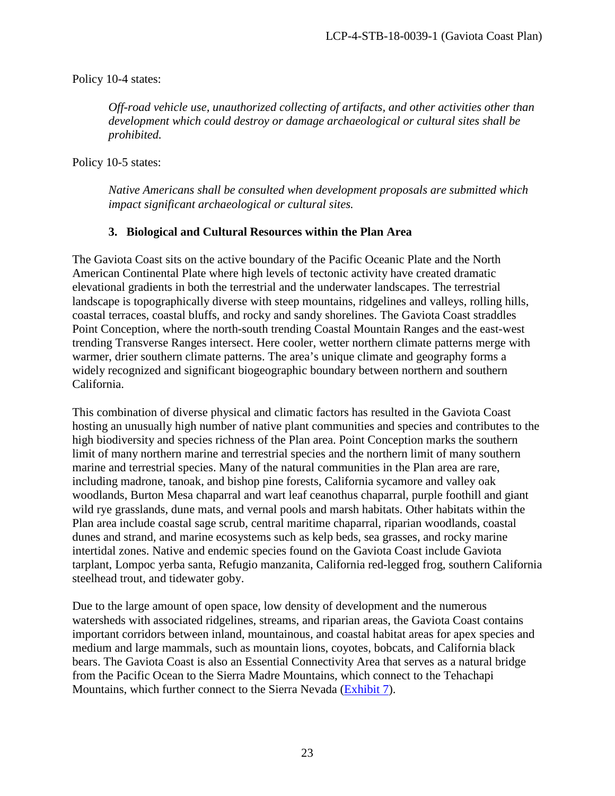Policy 10-4 states:

*Off-road vehicle use, unauthorized collecting of artifacts, and other activities other than development which could destroy or damage archaeological or cultural sites shall be prohibited.* 

Policy 10-5 states:

*Native Americans shall be consulted when development proposals are submitted which impact significant archaeological or cultural sites.* 

# **3. Biological and Cultural Resources within the Plan Area**

The Gaviota Coast sits on the active boundary of the Pacific Oceanic Plate and the North American Continental Plate where high levels of tectonic activity have created dramatic elevational gradients in both the terrestrial and the underwater landscapes. The terrestrial landscape is topographically diverse with steep mountains, ridgelines and valleys, rolling hills, coastal terraces, coastal bluffs, and rocky and sandy shorelines. The Gaviota Coast straddles Point Conception, where the north-south trending Coastal Mountain Ranges and the east-west trending Transverse Ranges intersect. Here cooler, wetter northern climate patterns merge with warmer, drier southern climate patterns. The area's unique climate and geography forms a widely recognized and significant biogeographic boundary between northern and southern California.

This combination of diverse physical and climatic factors has resulted in the Gaviota Coast hosting an unusually high number of native plant communities and species and contributes to the high biodiversity and species richness of the Plan area. Point Conception marks the southern limit of many northern marine and terrestrial species and the northern limit of many southern marine and terrestrial species. Many of the natural communities in the Plan area are rare, including madrone, tanoak, and bishop pine forests, California sycamore and valley oak woodlands, Burton Mesa chaparral and wart leaf ceanothus chaparral, purple foothill and giant wild rye grasslands, dune mats, and vernal pools and marsh habitats. Other habitats within the Plan area include coastal sage scrub, central maritime chaparral, riparian woodlands, coastal dunes and strand, and marine ecosystems such as kelp beds, sea grasses, and rocky marine intertidal zones. Native and endemic species found on the Gaviota Coast include Gaviota tarplant, Lompoc yerba santa, Refugio manzanita, California red-legged frog, southern California steelhead trout, and tidewater goby.

Due to the large amount of open space, low density of development and the numerous watersheds with associated ridgelines, streams, and riparian areas, the Gaviota Coast contains important corridors between inland, mountainous, and coastal habitat areas for apex species and medium and large mammals, such as mountain lions, coyotes, bobcats, and California black bears. The Gaviota Coast is also an Essential Connectivity Area that serves as a natural bridge from the Pacific Ocean to the Sierra Madre Mountains, which connect to the Tehachapi Mountains, which further connect to the Sierra Nevada [\(Exhibit 7\)](https://documents.coastal.ca.gov/reports/2018/8/F16a/F16a-8-2018-exhibits.pdf).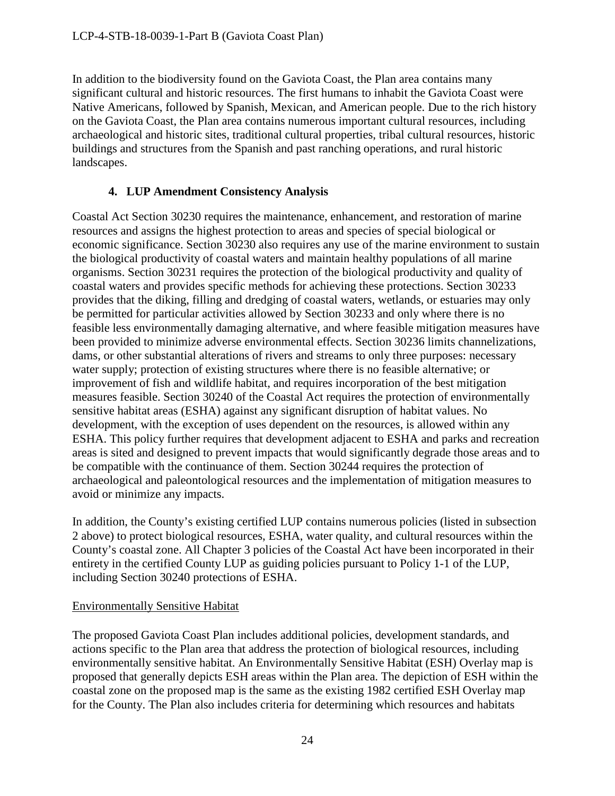In addition to the biodiversity found on the Gaviota Coast, the Plan area contains many significant cultural and historic resources. The first humans to inhabit the Gaviota Coast were Native Americans, followed by Spanish, Mexican, and American people. Due to the rich history on the Gaviota Coast, the Plan area contains numerous important cultural resources, including archaeological and historic sites, traditional cultural properties, tribal cultural resources, historic buildings and structures from the Spanish and past ranching operations, and rural historic landscapes.

# **4. LUP Amendment Consistency Analysis**

Coastal Act Section 30230 requires the maintenance, enhancement, and restoration of marine resources and assigns the highest protection to areas and species of special biological or economic significance. Section 30230 also requires any use of the marine environment to sustain the biological productivity of coastal waters and maintain healthy populations of all marine organisms. Section 30231 requires the protection of the biological productivity and quality of coastal waters and provides specific methods for achieving these protections. Section 30233 provides that the diking, filling and dredging of coastal waters, wetlands, or estuaries may only be permitted for particular activities allowed by Section 30233 and only where there is no feasible less environmentally damaging alternative, and where feasible mitigation measures have been provided to minimize adverse environmental effects. Section 30236 limits channelizations, dams, or other substantial alterations of rivers and streams to only three purposes: necessary water supply; protection of existing structures where there is no feasible alternative; or improvement of fish and wildlife habitat, and requires incorporation of the best mitigation measures feasible. Section 30240 of the Coastal Act requires the protection of environmentally sensitive habitat areas (ESHA) against any significant disruption of habitat values. No development, with the exception of uses dependent on the resources, is allowed within any ESHA. This policy further requires that development adjacent to ESHA and parks and recreation areas is sited and designed to prevent impacts that would significantly degrade those areas and to be compatible with the continuance of them. Section 30244 requires the protection of archaeological and paleontological resources and the implementation of mitigation measures to avoid or minimize any impacts.

In addition, the County's existing certified LUP contains numerous policies (listed in subsection 2 above) to protect biological resources, ESHA, water quality, and cultural resources within the County's coastal zone. All Chapter 3 policies of the Coastal Act have been incorporated in their entirety in the certified County LUP as guiding policies pursuant to Policy 1-1 of the LUP, including Section 30240 protections of ESHA.

# Environmentally Sensitive Habitat

The proposed Gaviota Coast Plan includes additional policies, development standards, and actions specific to the Plan area that address the protection of biological resources, including environmentally sensitive habitat. An Environmentally Sensitive Habitat (ESH) Overlay map is proposed that generally depicts ESH areas within the Plan area. The depiction of ESH within the coastal zone on the proposed map is the same as the existing 1982 certified ESH Overlay map for the County. The Plan also includes criteria for determining which resources and habitats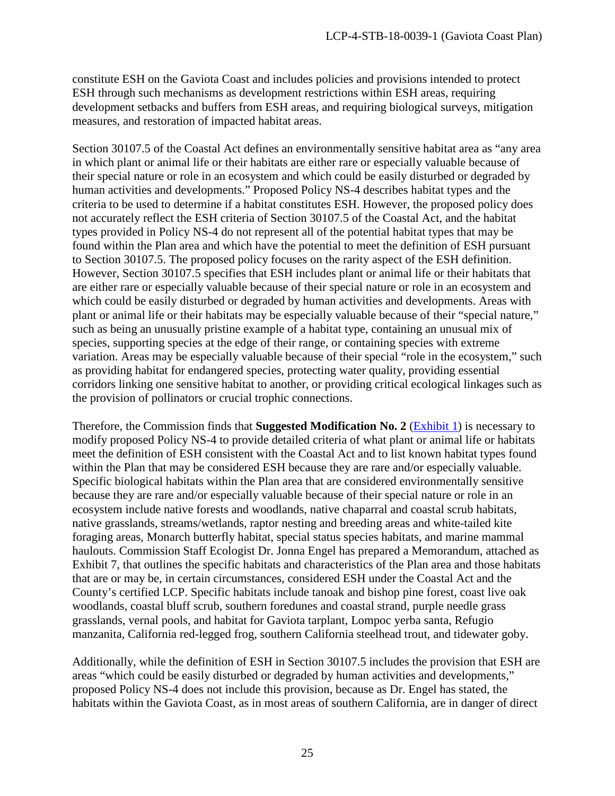constitute ESH on the Gaviota Coast and includes policies and provisions intended to protect ESH through such mechanisms as development restrictions within ESH areas, requiring development setbacks and buffers from ESH areas, and requiring biological surveys, mitigation measures, and restoration of impacted habitat areas.

Section 30107.5 of the Coastal Act defines an environmentally sensitive habitat area as "any area in which plant or animal life or their habitats are either rare or especially valuable because of their special nature or role in an ecosystem and which could be easily disturbed or degraded by human activities and developments." Proposed Policy NS-4 describes habitat types and the criteria to be used to determine if a habitat constitutes ESH. However, the proposed policy does not accurately reflect the ESH criteria of Section 30107.5 of the Coastal Act, and the habitat types provided in Policy NS-4 do not represent all of the potential habitat types that may be found within the Plan area and which have the potential to meet the definition of ESH pursuant to Section 30107.5. The proposed policy focuses on the rarity aspect of the ESH definition. However, Section 30107.5 specifies that ESH includes plant or animal life or their habitats that are either rare or especially valuable because of their special nature or role in an ecosystem and which could be easily disturbed or degraded by human activities and developments. Areas with plant or animal life or their habitats may be especially valuable because of their "special nature," such as being an unusually pristine example of a habitat type, containing an unusual mix of species, supporting species at the edge of their range, or containing species with extreme variation. Areas may be especially valuable because of their special "role in the ecosystem," such as providing habitat for endangered species, protecting water quality, providing essential corridors linking one sensitive habitat to another, or providing critical ecological linkages such as the provision of pollinators or crucial trophic connections.

Therefore, the Commission finds that **Suggested Modification No. 2** [\(Exhibit 1\)](https://documents.coastal.ca.gov/reports/2018/8/F16a/F16a-8-2018-exhibits.pdf) is necessary to modify proposed Policy NS-4 to provide detailed criteria of what plant or animal life or habitats meet the definition of ESH consistent with the Coastal Act and to list known habitat types found within the Plan that may be considered ESH because they are rare and/or especially valuable. Specific biological habitats within the Plan area that are considered environmentally sensitive because they are rare and/or especially valuable because of their special nature or role in an ecosystem include native forests and woodlands, native chaparral and coastal scrub habitats, native grasslands, streams/wetlands, raptor nesting and breeding areas and white-tailed kite foraging areas, Monarch butterfly habitat, special status species habitats, and marine mammal haulouts. Commission Staff Ecologist Dr. Jonna Engel has prepared a Memorandum, attached as Exhibit 7, that outlines the specific habitats and characteristics of the Plan area and those habitats that are or may be, in certain circumstances, considered ESH under the Coastal Act and the County's certified LCP. Specific habitats include tanoak and bishop pine forest, coast live oak woodlands, coastal bluff scrub, southern foredunes and coastal strand, purple needle grass grasslands, vernal pools, and habitat for Gaviota tarplant, Lompoc yerba santa, Refugio manzanita, California red-legged frog, southern California steelhead trout, and tidewater goby.

Additionally, while the definition of ESH in Section 30107.5 includes the provision that ESH are areas "which could be easily disturbed or degraded by human activities and developments," proposed Policy NS-4 does not include this provision, because as Dr. Engel has stated, the habitats within the Gaviota Coast, as in most areas of southern California, are in danger of direct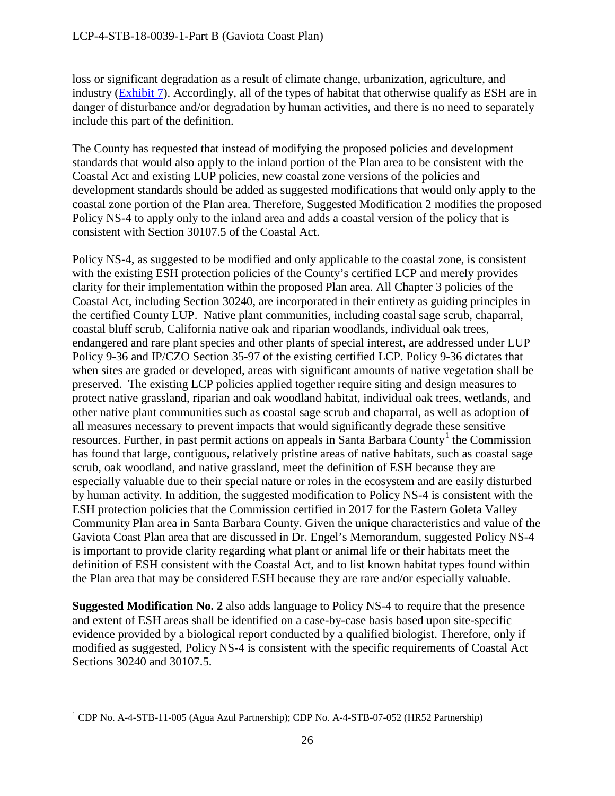loss or significant degradation as a result of climate change, urbanization, agriculture, and industry [\(Exhibit 7\)](https://documents.coastal.ca.gov/reports/2018/8/F16a/F16a-8-2018-exhibits.pdf). Accordingly, all of the types of habitat that otherwise qualify as ESH are in danger of disturbance and/or degradation by human activities, and there is no need to separately include this part of the definition.

The County has requested that instead of modifying the proposed policies and development standards that would also apply to the inland portion of the Plan area to be consistent with the Coastal Act and existing LUP policies, new coastal zone versions of the policies and development standards should be added as suggested modifications that would only apply to the coastal zone portion of the Plan area. Therefore, Suggested Modification 2 modifies the proposed Policy NS-4 to apply only to the inland area and adds a coastal version of the policy that is consistent with Section 30107.5 of the Coastal Act.

Policy NS-4, as suggested to be modified and only applicable to the coastal zone, is consistent with the existing ESH protection policies of the County's certified LCP and merely provides clarity for their implementation within the proposed Plan area. All Chapter 3 policies of the Coastal Act, including Section 30240, are incorporated in their entirety as guiding principles in the certified County LUP. Native plant communities, including coastal sage scrub, chaparral, coastal bluff scrub, California native oak and riparian woodlands, individual oak trees, endangered and rare plant species and other plants of special interest, are addressed under LUP Policy 9-36 and IP/CZO Section 35-97 of the existing certified LCP. Policy 9-36 dictates that when sites are graded or developed, areas with significant amounts of native vegetation shall be preserved. The existing LCP policies applied together require siting and design measures to protect native grassland, riparian and oak woodland habitat, individual oak trees, wetlands, and other native plant communities such as coastal sage scrub and chaparral, as well as adoption of all measures necessary to prevent impacts that would significantly degrade these sensitive resources. Further, in past permit actions on appeals in Santa Barbara County<sup>[1](#page-25-0)</sup> the Commission has found that large, contiguous, relatively pristine areas of native habitats, such as coastal sage scrub, oak woodland, and native grassland, meet the definition of ESH because they are especially valuable due to their special nature or roles in the ecosystem and are easily disturbed by human activity. In addition, the suggested modification to Policy NS-4 is consistent with the ESH protection policies that the Commission certified in 2017 for the Eastern Goleta Valley Community Plan area in Santa Barbara County. Given the unique characteristics and value of the Gaviota Coast Plan area that are discussed in Dr. Engel's Memorandum, suggested Policy NS-4 is important to provide clarity regarding what plant or animal life or their habitats meet the definition of ESH consistent with the Coastal Act, and to list known habitat types found within the Plan area that may be considered ESH because they are rare and/or especially valuable.

**Suggested Modification No. 2** also adds language to Policy NS-4 to require that the presence and extent of ESH areas shall be identified on a case-by-case basis based upon site-specific evidence provided by a biological report conducted by a qualified biologist. Therefore, only if modified as suggested, Policy NS-4 is consistent with the specific requirements of Coastal Act Sections 30240 and 30107.5.

<span id="page-25-0"></span> $\overline{a}$ <sup>1</sup> CDP No. A-4-STB-11-005 (Agua Azul Partnership); CDP No. A-4-STB-07-052 (HR52 Partnership)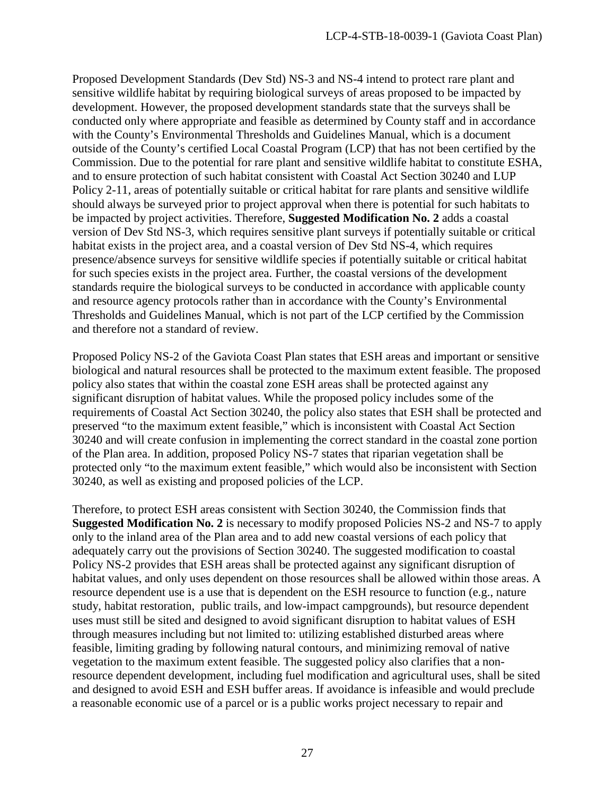Proposed Development Standards (Dev Std) NS-3 and NS-4 intend to protect rare plant and sensitive wildlife habitat by requiring biological surveys of areas proposed to be impacted by development. However, the proposed development standards state that the surveys shall be conducted only where appropriate and feasible as determined by County staff and in accordance with the County's Environmental Thresholds and Guidelines Manual, which is a document outside of the County's certified Local Coastal Program (LCP) that has not been certified by the Commission. Due to the potential for rare plant and sensitive wildlife habitat to constitute ESHA, and to ensure protection of such habitat consistent with Coastal Act Section 30240 and LUP Policy 2-11, areas of potentially suitable or critical habitat for rare plants and sensitive wildlife should always be surveyed prior to project approval when there is potential for such habitats to be impacted by project activities. Therefore, **Suggested Modification No. 2** adds a coastal version of Dev Std NS-3, which requires sensitive plant surveys if potentially suitable or critical habitat exists in the project area, and a coastal version of Dev Std NS-4, which requires presence/absence surveys for sensitive wildlife species if potentially suitable or critical habitat for such species exists in the project area. Further, the coastal versions of the development standards require the biological surveys to be conducted in accordance with applicable county and resource agency protocols rather than in accordance with the County's Environmental Thresholds and Guidelines Manual, which is not part of the LCP certified by the Commission and therefore not a standard of review.

Proposed Policy NS-2 of the Gaviota Coast Plan states that ESH areas and important or sensitive biological and natural resources shall be protected to the maximum extent feasible. The proposed policy also states that within the coastal zone ESH areas shall be protected against any significant disruption of habitat values. While the proposed policy includes some of the requirements of Coastal Act Section 30240, the policy also states that ESH shall be protected and preserved "to the maximum extent feasible," which is inconsistent with Coastal Act Section 30240 and will create confusion in implementing the correct standard in the coastal zone portion of the Plan area. In addition, proposed Policy NS-7 states that riparian vegetation shall be protected only "to the maximum extent feasible," which would also be inconsistent with Section 30240, as well as existing and proposed policies of the LCP.

Therefore, to protect ESH areas consistent with Section 30240, the Commission finds that **Suggested Modification No. 2** is necessary to modify proposed Policies NS-2 and NS-7 to apply only to the inland area of the Plan area and to add new coastal versions of each policy that adequately carry out the provisions of Section 30240. The suggested modification to coastal Policy NS-2 provides that ESH areas shall be protected against any significant disruption of habitat values, and only uses dependent on those resources shall be allowed within those areas. A resource dependent use is a use that is dependent on the ESH resource to function (e.g., nature study, habitat restoration, public trails, and low-impact campgrounds), but resource dependent uses must still be sited and designed to avoid significant disruption to habitat values of ESH through measures including but not limited to: utilizing established disturbed areas where feasible, limiting grading by following natural contours, and minimizing removal of native vegetation to the maximum extent feasible. The suggested policy also clarifies that a nonresource dependent development, including fuel modification and agricultural uses, shall be sited and designed to avoid ESH and ESH buffer areas. If avoidance is infeasible and would preclude a reasonable economic use of a parcel or is a public works project necessary to repair and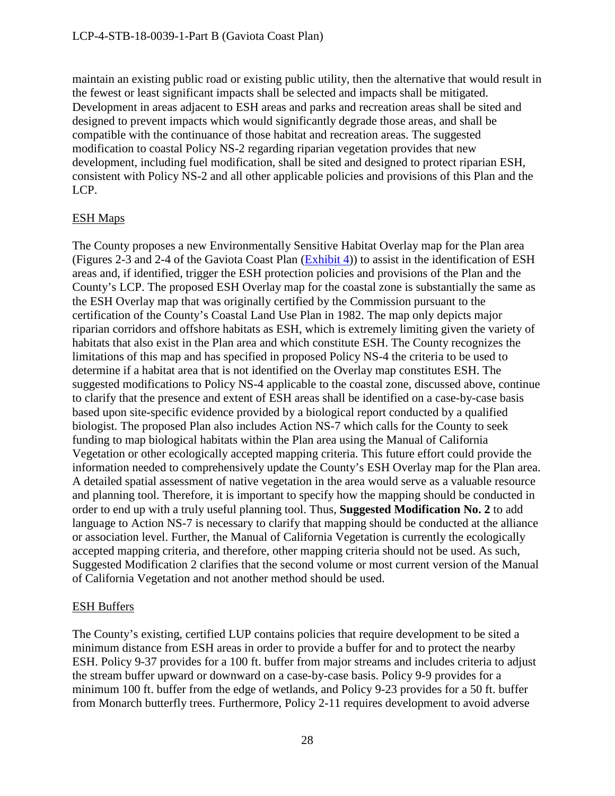maintain an existing public road or existing public utility, then the alternative that would result in the fewest or least significant impacts shall be selected and impacts shall be mitigated. Development in areas adjacent to ESH areas and parks and recreation areas shall be sited and designed to prevent impacts which would significantly degrade those areas, and shall be compatible with the continuance of those habitat and recreation areas. The suggested modification to coastal Policy NS-2 regarding riparian vegetation provides that new development, including fuel modification, shall be sited and designed to protect riparian ESH, consistent with Policy NS-2 and all other applicable policies and provisions of this Plan and the LCP.

# ESH Maps

The County proposes a new Environmentally Sensitive Habitat Overlay map for the Plan area (Figures 2-3 and 2-4 of the Gaviota Coast Plan [\(Exhibit 4\)](https://documents.coastal.ca.gov/reports/2018/8/F16a/F16a-8-2018-exhibits.pdf)) to assist in the identification of ESH areas and, if identified, trigger the ESH protection policies and provisions of the Plan and the County's LCP. The proposed ESH Overlay map for the coastal zone is substantially the same as the ESH Overlay map that was originally certified by the Commission pursuant to the certification of the County's Coastal Land Use Plan in 1982. The map only depicts major riparian corridors and offshore habitats as ESH, which is extremely limiting given the variety of habitats that also exist in the Plan area and which constitute ESH. The County recognizes the limitations of this map and has specified in proposed Policy NS-4 the criteria to be used to determine if a habitat area that is not identified on the Overlay map constitutes ESH. The suggested modifications to Policy NS-4 applicable to the coastal zone, discussed above, continue to clarify that the presence and extent of ESH areas shall be identified on a case-by-case basis based upon site-specific evidence provided by a biological report conducted by a qualified biologist. The proposed Plan also includes Action NS-7 which calls for the County to seek funding to map biological habitats within the Plan area using the Manual of California Vegetation or other ecologically accepted mapping criteria. This future effort could provide the information needed to comprehensively update the County's ESH Overlay map for the Plan area. A detailed spatial assessment of native vegetation in the area would serve as a valuable resource and planning tool. Therefore, it is important to specify how the mapping should be conducted in order to end up with a truly useful planning tool. Thus, **Suggested Modification No. 2** to add language to Action NS-7 is necessary to clarify that mapping should be conducted at the alliance or association level. Further, the Manual of California Vegetation is currently the ecologically accepted mapping criteria, and therefore, other mapping criteria should not be used. As such, Suggested Modification 2 clarifies that the second volume or most current version of the Manual of California Vegetation and not another method should be used.

# ESH Buffers

The County's existing, certified LUP contains policies that require development to be sited a minimum distance from ESH areas in order to provide a buffer for and to protect the nearby ESH. Policy 9-37 provides for a 100 ft. buffer from major streams and includes criteria to adjust the stream buffer upward or downward on a case-by-case basis. Policy 9-9 provides for a minimum 100 ft. buffer from the edge of wetlands, and Policy 9-23 provides for a 50 ft. buffer from Monarch butterfly trees. Furthermore, Policy 2-11 requires development to avoid adverse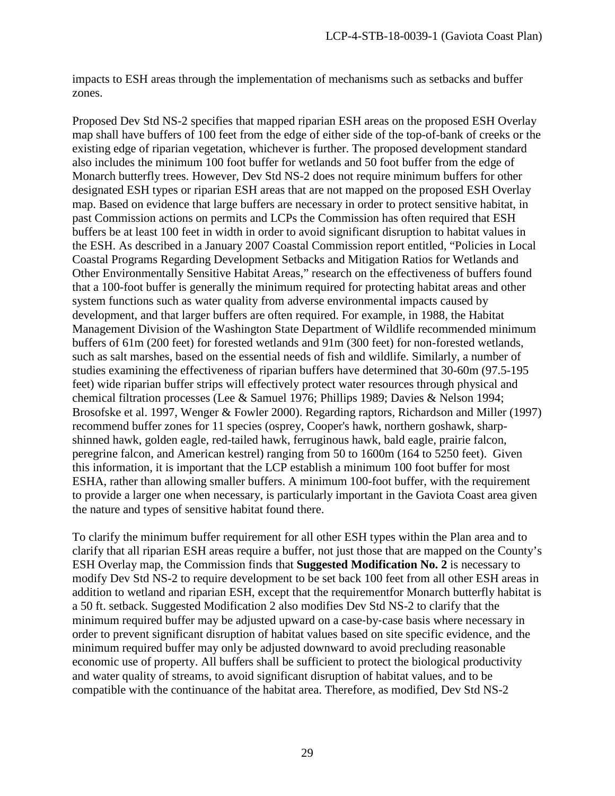impacts to ESH areas through the implementation of mechanisms such as setbacks and buffer zones.

Proposed Dev Std NS-2 specifies that mapped riparian ESH areas on the proposed ESH Overlay map shall have buffers of 100 feet from the edge of either side of the top-of-bank of creeks or the existing edge of riparian vegetation, whichever is further. The proposed development standard also includes the minimum 100 foot buffer for wetlands and 50 foot buffer from the edge of Monarch butterfly trees. However, Dev Std NS-2 does not require minimum buffers for other designated ESH types or riparian ESH areas that are not mapped on the proposed ESH Overlay map. Based on evidence that large buffers are necessary in order to protect sensitive habitat, in past Commission actions on permits and LCPs the Commission has often required that ESH buffers be at least 100 feet in width in order to avoid significant disruption to habitat values in the ESH. As described in a January 2007 Coastal Commission report entitled, "Policies in Local Coastal Programs Regarding Development Setbacks and Mitigation Ratios for Wetlands and Other Environmentally Sensitive Habitat Areas," research on the effectiveness of buffers found that a 100-foot buffer is generally the minimum required for protecting habitat areas and other system functions such as water quality from adverse environmental impacts caused by development, and that larger buffers are often required. For example, in 1988, the Habitat Management Division of the Washington State Department of Wildlife recommended minimum buffers of 61m (200 feet) for forested wetlands and 91m (300 feet) for non-forested wetlands, such as salt marshes, based on the essential needs of fish and wildlife. Similarly, a number of studies examining the effectiveness of riparian buffers have determined that 30-60m (97.5-195 feet) wide riparian buffer strips will effectively protect water resources through physical and chemical filtration processes (Lee & Samuel 1976; Phillips 1989; Davies & Nelson 1994; Brosofske et al. 1997, Wenger & Fowler 2000). Regarding raptors, Richardson and Miller (1997) recommend buffer zones for 11 species (osprey, Cooper's hawk, northern goshawk, sharpshinned hawk, golden eagle, red-tailed hawk, ferruginous hawk, bald eagle, prairie falcon, peregrine falcon, and American kestrel) ranging from 50 to 1600m (164 to 5250 feet). Given this information, it is important that the LCP establish a minimum 100 foot buffer for most ESHA, rather than allowing smaller buffers. A minimum 100-foot buffer, with the requirement to provide a larger one when necessary, is particularly important in the Gaviota Coast area given the nature and types of sensitive habitat found there.

To clarify the minimum buffer requirement for all other ESH types within the Plan area and to clarify that all riparian ESH areas require a buffer, not just those that are mapped on the County's ESH Overlay map, the Commission finds that **Suggested Modification No. 2** is necessary to modify Dev Std NS-2 to require development to be set back 100 feet from all other ESH areas in addition to wetland and riparian ESH, except that the requirementfor Monarch butterfly habitat is a 50 ft. setback. Suggested Modification 2 also modifies Dev Std NS-2 to clarify that the minimum required buffer may be adjusted upward on a case‐by‐case basis where necessary in order to prevent significant disruption of habitat values based on site specific evidence, and the minimum required buffer may only be adjusted downward to avoid precluding reasonable economic use of property. All buffers shall be sufficient to protect the biological productivity and water quality of streams, to avoid significant disruption of habitat values, and to be compatible with the continuance of the habitat area. Therefore, as modified, Dev Std NS-2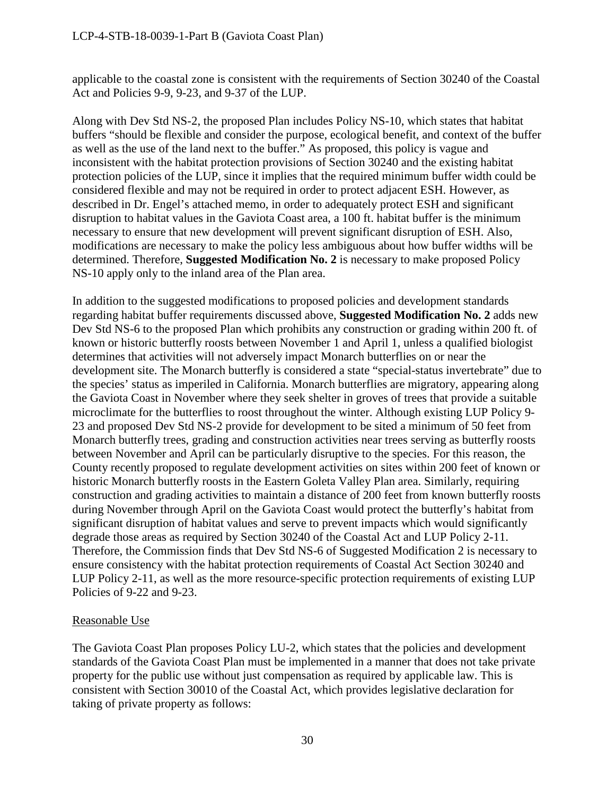applicable to the coastal zone is consistent with the requirements of Section 30240 of the Coastal Act and Policies 9-9, 9-23, and 9-37 of the LUP.

Along with Dev Std NS-2, the proposed Plan includes Policy NS-10, which states that habitat buffers "should be flexible and consider the purpose, ecological benefit, and context of the buffer as well as the use of the land next to the buffer." As proposed, this policy is vague and inconsistent with the habitat protection provisions of Section 30240 and the existing habitat protection policies of the LUP, since it implies that the required minimum buffer width could be considered flexible and may not be required in order to protect adjacent ESH. However, as described in Dr. Engel's attached memo, in order to adequately protect ESH and significant disruption to habitat values in the Gaviota Coast area, a 100 ft. habitat buffer is the minimum necessary to ensure that new development will prevent significant disruption of ESH. Also, modifications are necessary to make the policy less ambiguous about how buffer widths will be determined. Therefore, **Suggested Modification No. 2** is necessary to make proposed Policy NS-10 apply only to the inland area of the Plan area.

In addition to the suggested modifications to proposed policies and development standards regarding habitat buffer requirements discussed above, **Suggested Modification No. 2** adds new Dev Std NS-6 to the proposed Plan which prohibits any construction or grading within 200 ft. of known or historic butterfly roosts between November 1 and April 1, unless a qualified biologist determines that activities will not adversely impact Monarch butterflies on or near the development site. The Monarch butterfly is considered a state "special-status invertebrate" due to the species' status as imperiled in California. Monarch butterflies are migratory, appearing along the Gaviota Coast in November where they seek shelter in groves of trees that provide a suitable microclimate for the butterflies to roost throughout the winter. Although existing LUP Policy 9- 23 and proposed Dev Std NS-2 provide for development to be sited a minimum of 50 feet from Monarch butterfly trees, grading and construction activities near trees serving as butterfly roosts between November and April can be particularly disruptive to the species. For this reason, the County recently proposed to regulate development activities on sites within 200 feet of known or historic Monarch butterfly roosts in the Eastern Goleta Valley Plan area. Similarly, requiring construction and grading activities to maintain a distance of 200 feet from known butterfly roosts during November through April on the Gaviota Coast would protect the butterfly's habitat from significant disruption of habitat values and serve to prevent impacts which would significantly degrade those areas as required by Section 30240 of the Coastal Act and LUP Policy 2-11. Therefore, the Commission finds that Dev Std NS-6 of Suggested Modification 2 is necessary to ensure consistency with the habitat protection requirements of Coastal Act Section 30240 and LUP Policy 2-11, as well as the more resource-specific protection requirements of existing LUP Policies of 9-22 and 9-23.

# Reasonable Use

The Gaviota Coast Plan proposes Policy LU-2, which states that the policies and development standards of the Gaviota Coast Plan must be implemented in a manner that does not take private property for the public use without just compensation as required by applicable law. This is consistent with Section 30010 of the Coastal Act, which provides legislative declaration for taking of private property as follows: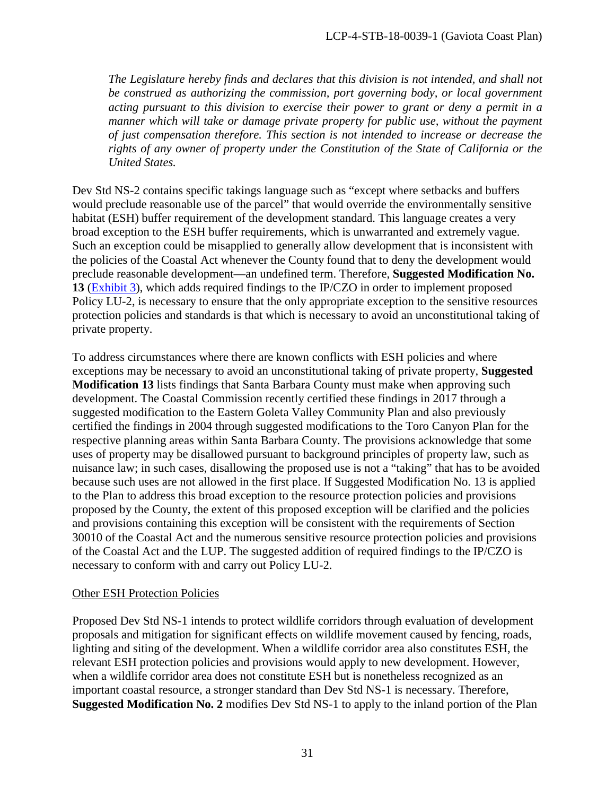*The Legislature hereby finds and declares that this division is not intended, and shall not be construed as authorizing the commission, port governing body, or local government acting pursuant to this division to exercise their power to grant or deny a permit in a manner which will take or damage private property for public use, without the payment of just compensation therefore. This section is not intended to increase or decrease the rights of any owner of property under the Constitution of the State of California or the United States.* 

Dev Std NS-2 contains specific takings language such as "except where setbacks and buffers would preclude reasonable use of the parcel" that would override the environmentally sensitive habitat (ESH) buffer requirement of the development standard. This language creates a very broad exception to the ESH buffer requirements, which is unwarranted and extremely vague. Such an exception could be misapplied to generally allow development that is inconsistent with the policies of the Coastal Act whenever the County found that to deny the development would preclude reasonable development—an undefined term. Therefore, **Suggested Modification No. 13** [\(Exhibit 3\)](https://documents.coastal.ca.gov/reports/2018/8/F16a/F16a-8-2018-exhibits.pdf), which adds required findings to the IP/CZO in order to implement proposed Policy LU-2, is necessary to ensure that the only appropriate exception to the sensitive resources protection policies and standards is that which is necessary to avoid an unconstitutional taking of private property.

To address circumstances where there are known conflicts with ESH policies and where exceptions may be necessary to avoid an unconstitutional taking of private property, **Suggested Modification 13** lists findings that Santa Barbara County must make when approving such development. The Coastal Commission recently certified these findings in 2017 through a suggested modification to the Eastern Goleta Valley Community Plan and also previously certified the findings in 2004 through suggested modifications to the Toro Canyon Plan for the respective planning areas within Santa Barbara County. The provisions acknowledge that some uses of property may be disallowed pursuant to background principles of property law, such as nuisance law; in such cases, disallowing the proposed use is not a "taking" that has to be avoided because such uses are not allowed in the first place. If Suggested Modification No. 13 is applied to the Plan to address this broad exception to the resource protection policies and provisions proposed by the County, the extent of this proposed exception will be clarified and the policies and provisions containing this exception will be consistent with the requirements of Section 30010 of the Coastal Act and the numerous sensitive resource protection policies and provisions of the Coastal Act and the LUP. The suggested addition of required findings to the IP/CZO is necessary to conform with and carry out Policy LU-2.

#### Other ESH Protection Policies

Proposed Dev Std NS-1 intends to protect wildlife corridors through evaluation of development proposals and mitigation for significant effects on wildlife movement caused by fencing, roads, lighting and siting of the development. When a wildlife corridor area also constitutes ESH, the relevant ESH protection policies and provisions would apply to new development. However, when a wildlife corridor area does not constitute ESH but is nonetheless recognized as an important coastal resource, a stronger standard than Dev Std NS-1 is necessary. Therefore, **Suggested Modification No. 2** modifies Dev Std NS-1 to apply to the inland portion of the Plan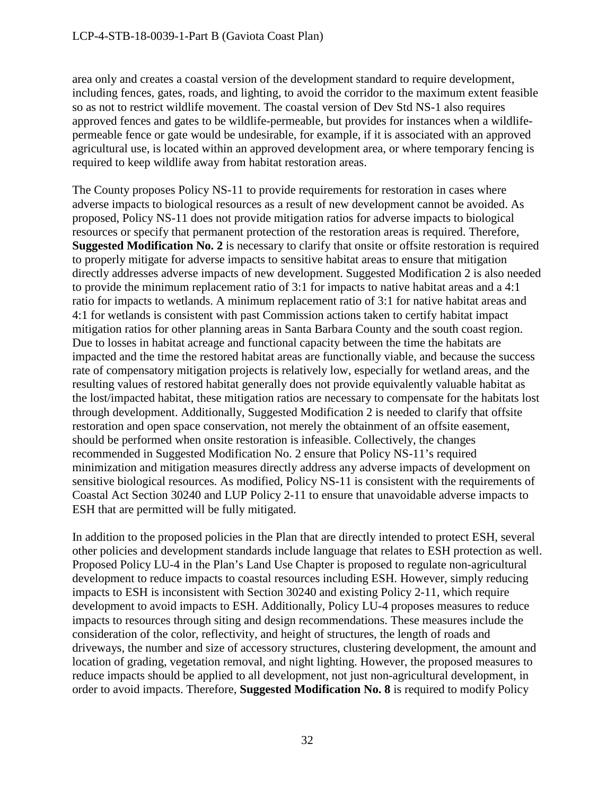area only and creates a coastal version of the development standard to require development, including fences, gates, roads, and lighting, to avoid the corridor to the maximum extent feasible so as not to restrict wildlife movement. The coastal version of Dev Std NS-1 also requires approved fences and gates to be wildlife-permeable, but provides for instances when a wildlifepermeable fence or gate would be undesirable, for example, if it is associated with an approved agricultural use, is located within an approved development area, or where temporary fencing is required to keep wildlife away from habitat restoration areas.

The County proposes Policy NS-11 to provide requirements for restoration in cases where adverse impacts to biological resources as a result of new development cannot be avoided. As proposed, Policy NS-11 does not provide mitigation ratios for adverse impacts to biological resources or specify that permanent protection of the restoration areas is required. Therefore, **Suggested Modification No. 2** is necessary to clarify that onsite or offsite restoration is required to properly mitigate for adverse impacts to sensitive habitat areas to ensure that mitigation directly addresses adverse impacts of new development. Suggested Modification 2 is also needed to provide the minimum replacement ratio of 3:1 for impacts to native habitat areas and a 4:1 ratio for impacts to wetlands. A minimum replacement ratio of 3:1 for native habitat areas and 4:1 for wetlands is consistent with past Commission actions taken to certify habitat impact mitigation ratios for other planning areas in Santa Barbara County and the south coast region. Due to losses in habitat acreage and functional capacity between the time the habitats are impacted and the time the restored habitat areas are functionally viable, and because the success rate of compensatory mitigation projects is relatively low, especially for wetland areas, and the resulting values of restored habitat generally does not provide equivalently valuable habitat as the lost/impacted habitat, these mitigation ratios are necessary to compensate for the habitats lost through development. Additionally, Suggested Modification 2 is needed to clarify that offsite restoration and open space conservation, not merely the obtainment of an offsite easement, should be performed when onsite restoration is infeasible. Collectively, the changes recommended in Suggested Modification No. 2 ensure that Policy NS-11's required minimization and mitigation measures directly address any adverse impacts of development on sensitive biological resources. As modified, Policy NS-11 is consistent with the requirements of Coastal Act Section 30240 and LUP Policy 2-11 to ensure that unavoidable adverse impacts to ESH that are permitted will be fully mitigated.

In addition to the proposed policies in the Plan that are directly intended to protect ESH, several other policies and development standards include language that relates to ESH protection as well. Proposed Policy LU-4 in the Plan's Land Use Chapter is proposed to regulate non-agricultural development to reduce impacts to coastal resources including ESH. However, simply reducing impacts to ESH is inconsistent with Section 30240 and existing Policy 2-11, which require development to avoid impacts to ESH. Additionally, Policy LU-4 proposes measures to reduce impacts to resources through siting and design recommendations. These measures include the consideration of the color, reflectivity, and height of structures, the length of roads and driveways, the number and size of accessory structures, clustering development, the amount and location of grading, vegetation removal, and night lighting. However, the proposed measures to reduce impacts should be applied to all development, not just non-agricultural development, in order to avoid impacts. Therefore, **Suggested Modification No. 8** is required to modify Policy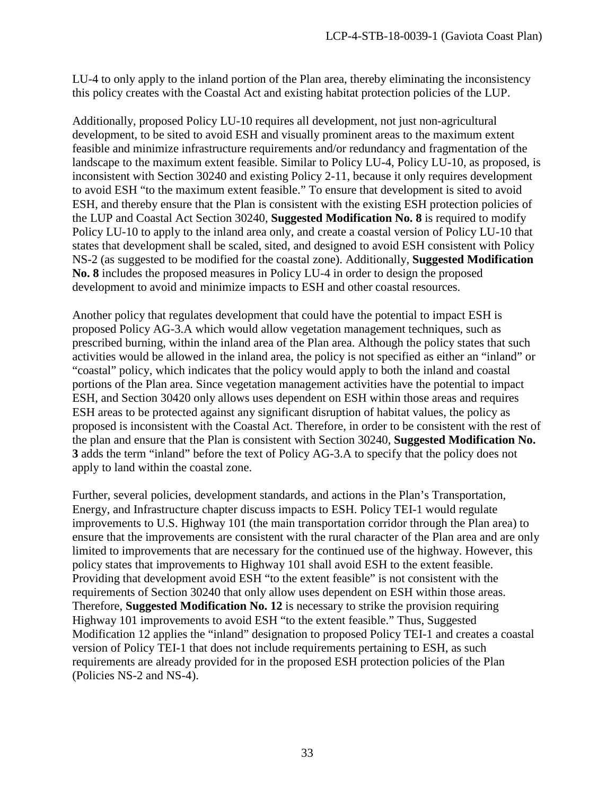LU-4 to only apply to the inland portion of the Plan area, thereby eliminating the inconsistency this policy creates with the Coastal Act and existing habitat protection policies of the LUP.

Additionally, proposed Policy LU-10 requires all development, not just non-agricultural development, to be sited to avoid ESH and visually prominent areas to the maximum extent feasible and minimize infrastructure requirements and/or redundancy and fragmentation of the landscape to the maximum extent feasible. Similar to Policy LU-4, Policy LU-10, as proposed, is inconsistent with Section 30240 and existing Policy 2-11, because it only requires development to avoid ESH "to the maximum extent feasible." To ensure that development is sited to avoid ESH, and thereby ensure that the Plan is consistent with the existing ESH protection policies of the LUP and Coastal Act Section 30240, **Suggested Modification No. 8** is required to modify Policy LU-10 to apply to the inland area only, and create a coastal version of Policy LU-10 that states that development shall be scaled, sited, and designed to avoid ESH consistent with Policy NS-2 (as suggested to be modified for the coastal zone). Additionally, **Suggested Modification No. 8** includes the proposed measures in Policy LU-4 in order to design the proposed development to avoid and minimize impacts to ESH and other coastal resources.

Another policy that regulates development that could have the potential to impact ESH is proposed Policy AG-3.A which would allow vegetation management techniques, such as prescribed burning, within the inland area of the Plan area. Although the policy states that such activities would be allowed in the inland area, the policy is not specified as either an "inland" or "coastal" policy, which indicates that the policy would apply to both the inland and coastal portions of the Plan area. Since vegetation management activities have the potential to impact ESH, and Section 30420 only allows uses dependent on ESH within those areas and requires ESH areas to be protected against any significant disruption of habitat values, the policy as proposed is inconsistent with the Coastal Act. Therefore, in order to be consistent with the rest of the plan and ensure that the Plan is consistent with Section 30240, **Suggested Modification No. 3** adds the term "inland" before the text of Policy AG-3.A to specify that the policy does not apply to land within the coastal zone.

Further, several policies, development standards, and actions in the Plan's Transportation, Energy, and Infrastructure chapter discuss impacts to ESH. Policy TEI-1 would regulate improvements to U.S. Highway 101 (the main transportation corridor through the Plan area) to ensure that the improvements are consistent with the rural character of the Plan area and are only limited to improvements that are necessary for the continued use of the highway. However, this policy states that improvements to Highway 101 shall avoid ESH to the extent feasible. Providing that development avoid ESH "to the extent feasible" is not consistent with the requirements of Section 30240 that only allow uses dependent on ESH within those areas. Therefore, **Suggested Modification No. 12** is necessary to strike the provision requiring Highway 101 improvements to avoid ESH "to the extent feasible." Thus, Suggested Modification 12 applies the "inland" designation to proposed Policy TEI-1 and creates a coastal version of Policy TEI-1 that does not include requirements pertaining to ESH, as such requirements are already provided for in the proposed ESH protection policies of the Plan (Policies NS-2 and NS-4).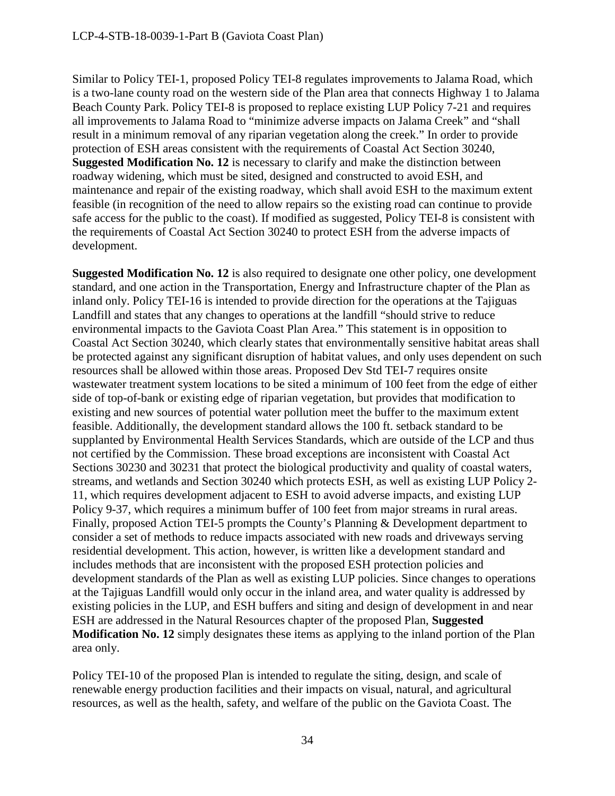Similar to Policy TEI-1, proposed Policy TEI-8 regulates improvements to Jalama Road, which is a two-lane county road on the western side of the Plan area that connects Highway 1 to Jalama Beach County Park. Policy TEI-8 is proposed to replace existing LUP Policy 7-21 and requires all improvements to Jalama Road to "minimize adverse impacts on Jalama Creek" and "shall result in a minimum removal of any riparian vegetation along the creek." In order to provide protection of ESH areas consistent with the requirements of Coastal Act Section 30240, **Suggested Modification No. 12** is necessary to clarify and make the distinction between roadway widening, which must be sited, designed and constructed to avoid ESH, and maintenance and repair of the existing roadway, which shall avoid ESH to the maximum extent feasible (in recognition of the need to allow repairs so the existing road can continue to provide safe access for the public to the coast). If modified as suggested, Policy TEI-8 is consistent with the requirements of Coastal Act Section 30240 to protect ESH from the adverse impacts of development.

**Suggested Modification No. 12** is also required to designate one other policy, one development standard, and one action in the Transportation, Energy and Infrastructure chapter of the Plan as inland only. Policy TEI-16 is intended to provide direction for the operations at the Tajiguas Landfill and states that any changes to operations at the landfill "should strive to reduce environmental impacts to the Gaviota Coast Plan Area." This statement is in opposition to Coastal Act Section 30240, which clearly states that environmentally sensitive habitat areas shall be protected against any significant disruption of habitat values, and only uses dependent on such resources shall be allowed within those areas. Proposed Dev Std TEI-7 requires onsite wastewater treatment system locations to be sited a minimum of 100 feet from the edge of either side of top-of-bank or existing edge of riparian vegetation, but provides that modification to existing and new sources of potential water pollution meet the buffer to the maximum extent feasible. Additionally, the development standard allows the 100 ft. setback standard to be supplanted by Environmental Health Services Standards, which are outside of the LCP and thus not certified by the Commission. These broad exceptions are inconsistent with Coastal Act Sections 30230 and 30231 that protect the biological productivity and quality of coastal waters, streams, and wetlands and Section 30240 which protects ESH, as well as existing LUP Policy 2- 11, which requires development adjacent to ESH to avoid adverse impacts, and existing LUP Policy 9-37, which requires a minimum buffer of 100 feet from major streams in rural areas. Finally, proposed Action TEI-5 prompts the County's Planning & Development department to consider a set of methods to reduce impacts associated with new roads and driveways serving residential development. This action, however, is written like a development standard and includes methods that are inconsistent with the proposed ESH protection policies and development standards of the Plan as well as existing LUP policies. Since changes to operations at the Tajiguas Landfill would only occur in the inland area, and water quality is addressed by existing policies in the LUP, and ESH buffers and siting and design of development in and near ESH are addressed in the Natural Resources chapter of the proposed Plan, **Suggested Modification No. 12** simply designates these items as applying to the inland portion of the Plan area only.

Policy TEI-10 of the proposed Plan is intended to regulate the siting, design, and scale of renewable energy production facilities and their impacts on visual, natural, and agricultural resources, as well as the health, safety, and welfare of the public on the Gaviota Coast. The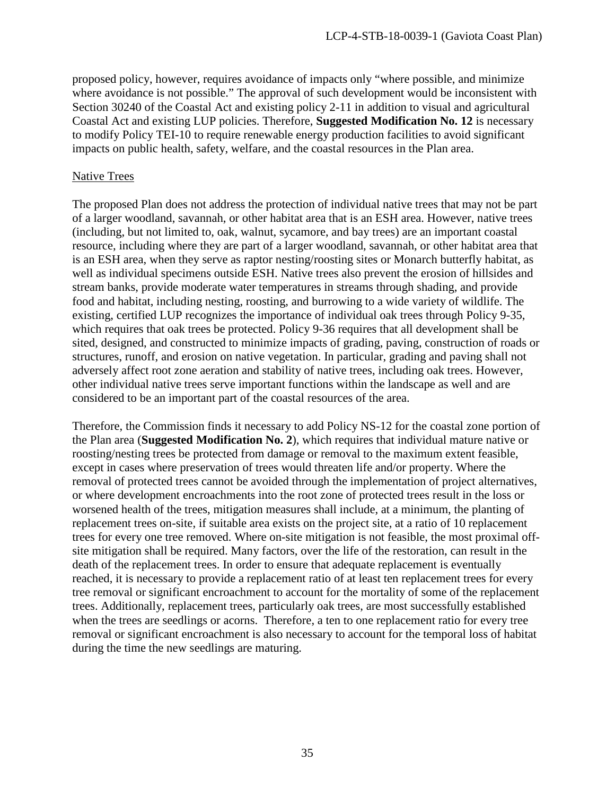proposed policy, however, requires avoidance of impacts only "where possible, and minimize where avoidance is not possible." The approval of such development would be inconsistent with Section 30240 of the Coastal Act and existing policy 2-11 in addition to visual and agricultural Coastal Act and existing LUP policies. Therefore, **Suggested Modification No. 12** is necessary to modify Policy TEI-10 to require renewable energy production facilities to avoid significant impacts on public health, safety, welfare, and the coastal resources in the Plan area.

#### Native Trees

The proposed Plan does not address the protection of individual native trees that may not be part of a larger woodland, savannah, or other habitat area that is an ESH area. However, native trees (including, but not limited to, oak, walnut, sycamore, and bay trees) are an important coastal resource, including where they are part of a larger woodland, savannah, or other habitat area that is an ESH area, when they serve as raptor nesting/roosting sites or Monarch butterfly habitat, as well as individual specimens outside ESH. Native trees also prevent the erosion of hillsides and stream banks, provide moderate water temperatures in streams through shading, and provide food and habitat, including nesting, roosting, and burrowing to a wide variety of wildlife. The existing, certified LUP recognizes the importance of individual oak trees through Policy 9-35, which requires that oak trees be protected. Policy 9-36 requires that all development shall be sited, designed, and constructed to minimize impacts of grading, paving, construction of roads or structures, runoff, and erosion on native vegetation. In particular, grading and paving shall not adversely affect root zone aeration and stability of native trees, including oak trees. However, other individual native trees serve important functions within the landscape as well and are considered to be an important part of the coastal resources of the area.

Therefore, the Commission finds it necessary to add Policy NS-12 for the coastal zone portion of the Plan area (**Suggested Modification No. 2**), which requires that individual mature native or roosting/nesting trees be protected from damage or removal to the maximum extent feasible, except in cases where preservation of trees would threaten life and/or property. Where the removal of protected trees cannot be avoided through the implementation of project alternatives, or where development encroachments into the root zone of protected trees result in the loss or worsened health of the trees, mitigation measures shall include, at a minimum, the planting of replacement trees on-site, if suitable area exists on the project site, at a ratio of 10 replacement trees for every one tree removed. Where on-site mitigation is not feasible, the most proximal offsite mitigation shall be required. Many factors, over the life of the restoration, can result in the death of the replacement trees. In order to ensure that adequate replacement is eventually reached, it is necessary to provide a replacement ratio of at least ten replacement trees for every tree removal or significant encroachment to account for the mortality of some of the replacement trees. Additionally, replacement trees, particularly oak trees, are most successfully established when the trees are seedlings or acorns. Therefore, a ten to one replacement ratio for every tree removal or significant encroachment is also necessary to account for the temporal loss of habitat during the time the new seedlings are maturing.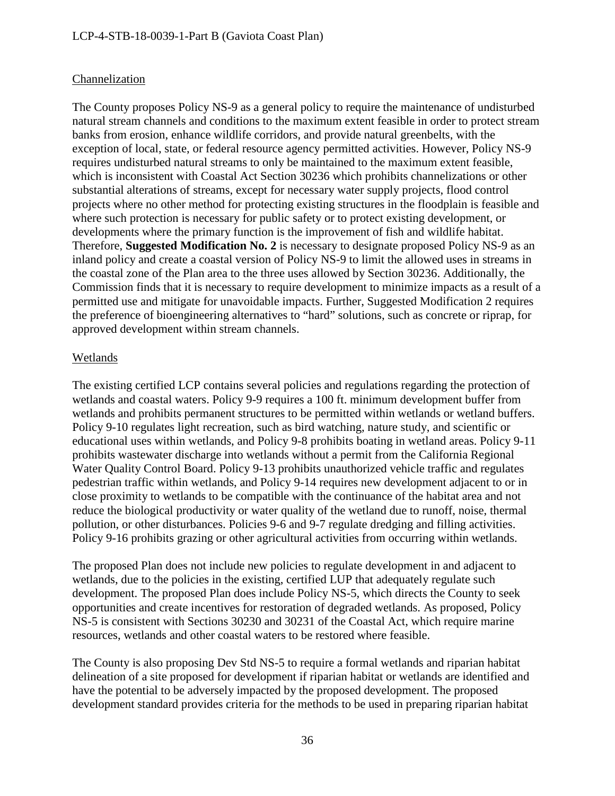# Channelization

The County proposes Policy NS-9 as a general policy to require the maintenance of undisturbed natural stream channels and conditions to the maximum extent feasible in order to protect stream banks from erosion, enhance wildlife corridors, and provide natural greenbelts, with the exception of local, state, or federal resource agency permitted activities. However, Policy NS-9 requires undisturbed natural streams to only be maintained to the maximum extent feasible, which is inconsistent with Coastal Act Section 30236 which prohibits channelizations or other substantial alterations of streams, except for necessary water supply projects, flood control projects where no other method for protecting existing structures in the floodplain is feasible and where such protection is necessary for public safety or to protect existing development, or developments where the primary function is the improvement of fish and wildlife habitat. Therefore, **Suggested Modification No. 2** is necessary to designate proposed Policy NS-9 as an inland policy and create a coastal version of Policy NS-9 to limit the allowed uses in streams in the coastal zone of the Plan area to the three uses allowed by Section 30236. Additionally, the Commission finds that it is necessary to require development to minimize impacts as a result of a permitted use and mitigate for unavoidable impacts. Further, Suggested Modification 2 requires the preference of bioengineering alternatives to "hard" solutions, such as concrete or riprap, for approved development within stream channels.

# Wetlands

The existing certified LCP contains several policies and regulations regarding the protection of wetlands and coastal waters. Policy 9-9 requires a 100 ft. minimum development buffer from wetlands and prohibits permanent structures to be permitted within wetlands or wetland buffers. Policy 9-10 regulates light recreation, such as bird watching, nature study, and scientific or educational uses within wetlands, and Policy 9-8 prohibits boating in wetland areas. Policy 9-11 prohibits wastewater discharge into wetlands without a permit from the California Regional Water Quality Control Board. Policy 9-13 prohibits unauthorized vehicle traffic and regulates pedestrian traffic within wetlands, and Policy 9-14 requires new development adjacent to or in close proximity to wetlands to be compatible with the continuance of the habitat area and not reduce the biological productivity or water quality of the wetland due to runoff, noise, thermal pollution, or other disturbances. Policies 9-6 and 9-7 regulate dredging and filling activities. Policy 9-16 prohibits grazing or other agricultural activities from occurring within wetlands.

The proposed Plan does not include new policies to regulate development in and adjacent to wetlands, due to the policies in the existing, certified LUP that adequately regulate such development. The proposed Plan does include Policy NS-5, which directs the County to seek opportunities and create incentives for restoration of degraded wetlands. As proposed, Policy NS-5 is consistent with Sections 30230 and 30231 of the Coastal Act, which require marine resources, wetlands and other coastal waters to be restored where feasible.

The County is also proposing Dev Std NS-5 to require a formal wetlands and riparian habitat delineation of a site proposed for development if riparian habitat or wetlands are identified and have the potential to be adversely impacted by the proposed development. The proposed development standard provides criteria for the methods to be used in preparing riparian habitat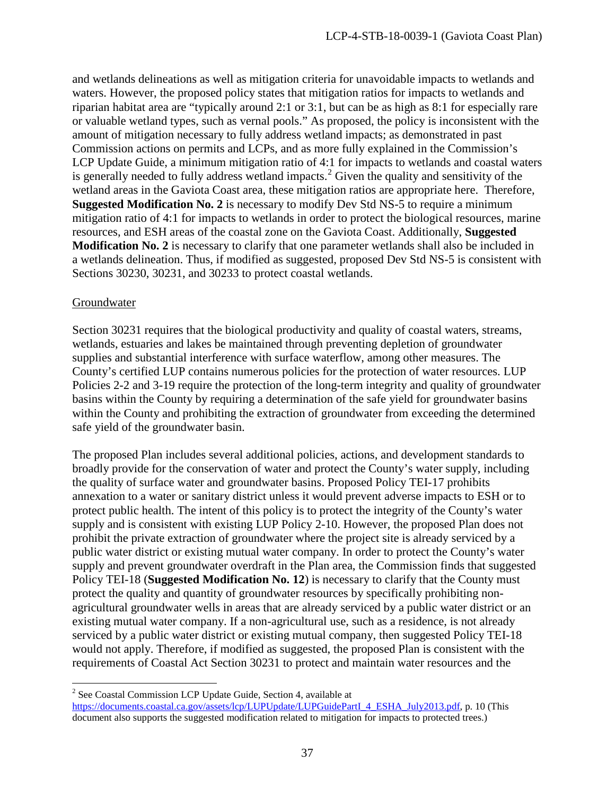and wetlands delineations as well as mitigation criteria for unavoidable impacts to wetlands and waters. However, the proposed policy states that mitigation ratios for impacts to wetlands and riparian habitat area are "typically around 2:1 or 3:1, but can be as high as 8:1 for especially rare or valuable wetland types, such as vernal pools." As proposed, the policy is inconsistent with the amount of mitigation necessary to fully address wetland impacts; as demonstrated in past Commission actions on permits and LCPs, and as more fully explained in the Commission's LCP Update Guide, a minimum mitigation ratio of 4:1 for impacts to wetlands and coastal waters is generally needed to fully address wetland impacts.<sup>[2](#page-36-0)</sup> Given the quality and sensitivity of the wetland areas in the Gaviota Coast area, these mitigation ratios are appropriate here. Therefore, **Suggested Modification No. 2** is necessary to modify Dev Std NS-5 to require a minimum mitigation ratio of 4:1 for impacts to wetlands in order to protect the biological resources, marine resources, and ESH areas of the coastal zone on the Gaviota Coast. Additionally, **Suggested Modification No. 2** is necessary to clarify that one parameter wetlands shall also be included in a wetlands delineation. Thus, if modified as suggested, proposed Dev Std NS-5 is consistent with Sections 30230, 30231, and 30233 to protect coastal wetlands.

### Groundwater

 $\overline{a}$ 

Section 30231 requires that the biological productivity and quality of coastal waters, streams, wetlands, estuaries and lakes be maintained through preventing depletion of groundwater supplies and substantial interference with surface waterflow, among other measures. The County's certified LUP contains numerous policies for the protection of water resources. LUP Policies 2-2 and 3-19 require the protection of the long-term integrity and quality of groundwater basins within the County by requiring a determination of the safe yield for groundwater basins within the County and prohibiting the extraction of groundwater from exceeding the determined safe yield of the groundwater basin.

The proposed Plan includes several additional policies, actions, and development standards to broadly provide for the conservation of water and protect the County's water supply, including the quality of surface water and groundwater basins. Proposed Policy TEI-17 prohibits annexation to a water or sanitary district unless it would prevent adverse impacts to ESH or to protect public health. The intent of this policy is to protect the integrity of the County's water supply and is consistent with existing LUP Policy 2-10. However, the proposed Plan does not prohibit the private extraction of groundwater where the project site is already serviced by a public water district or existing mutual water company. In order to protect the County's water supply and prevent groundwater overdraft in the Plan area, the Commission finds that suggested Policy TEI-18 (**Suggested Modification No. 12**) is necessary to clarify that the County must protect the quality and quantity of groundwater resources by specifically prohibiting nonagricultural groundwater wells in areas that are already serviced by a public water district or an existing mutual water company. If a non-agricultural use, such as a residence, is not already serviced by a public water district or existing mutual company, then suggested Policy TEI-18 would not apply. Therefore, if modified as suggested, the proposed Plan is consistent with the requirements of Coastal Act Section 30231 to protect and maintain water resources and the

<span id="page-36-0"></span><sup>2</sup> See Coastal Commission LCP Update Guide, Section 4, available at [https://documents.coastal.ca.gov/assets/lcp/LUPUpdate/LUPGuidePartI\\_4\\_ESHA\\_July2013.pdf,](https://documents.coastal.ca.gov/assets/lcp/LUPUpdate/LUPGuidePartI_4_ESHA_July2013.pdf) p. 10 (This document also supports the suggested modification related to mitigation for impacts to protected trees.)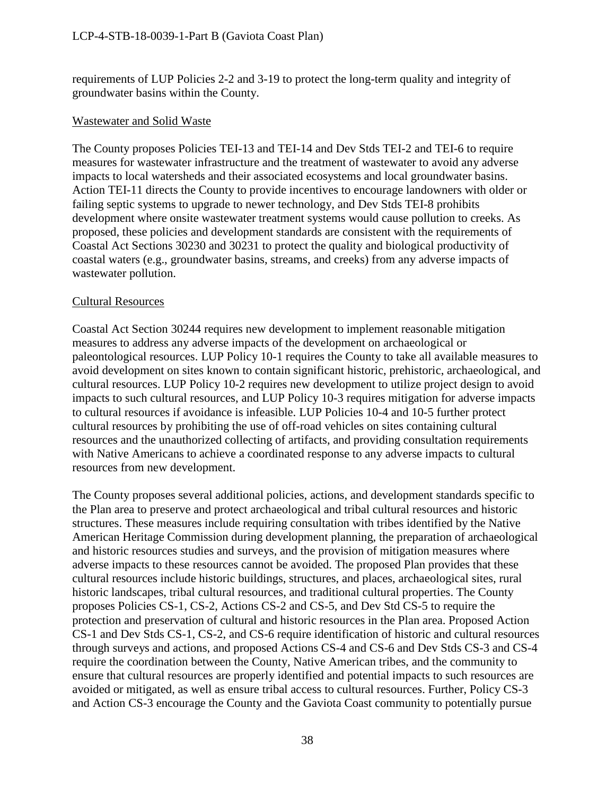requirements of LUP Policies 2-2 and 3-19 to protect the long-term quality and integrity of groundwater basins within the County.

### Wastewater and Solid Waste

The County proposes Policies TEI-13 and TEI-14 and Dev Stds TEI-2 and TEI-6 to require measures for wastewater infrastructure and the treatment of wastewater to avoid any adverse impacts to local watersheds and their associated ecosystems and local groundwater basins. Action TEI-11 directs the County to provide incentives to encourage landowners with older or failing septic systems to upgrade to newer technology, and Dev Stds TEI-8 prohibits development where onsite wastewater treatment systems would cause pollution to creeks. As proposed, these policies and development standards are consistent with the requirements of Coastal Act Sections 30230 and 30231 to protect the quality and biological productivity of coastal waters (e.g., groundwater basins, streams, and creeks) from any adverse impacts of wastewater pollution.

### Cultural Resources

Coastal Act Section 30244 requires new development to implement reasonable mitigation measures to address any adverse impacts of the development on archaeological or paleontological resources. LUP Policy 10-1 requires the County to take all available measures to avoid development on sites known to contain significant historic, prehistoric, archaeological, and cultural resources. LUP Policy 10-2 requires new development to utilize project design to avoid impacts to such cultural resources, and LUP Policy 10-3 requires mitigation for adverse impacts to cultural resources if avoidance is infeasible. LUP Policies 10-4 and 10-5 further protect cultural resources by prohibiting the use of off-road vehicles on sites containing cultural resources and the unauthorized collecting of artifacts, and providing consultation requirements with Native Americans to achieve a coordinated response to any adverse impacts to cultural resources from new development.

The County proposes several additional policies, actions, and development standards specific to the Plan area to preserve and protect archaeological and tribal cultural resources and historic structures. These measures include requiring consultation with tribes identified by the Native American Heritage Commission during development planning, the preparation of archaeological and historic resources studies and surveys, and the provision of mitigation measures where adverse impacts to these resources cannot be avoided. The proposed Plan provides that these cultural resources include historic buildings, structures, and places, archaeological sites, rural historic landscapes, tribal cultural resources, and traditional cultural properties. The County proposes Policies CS-1, CS-2, Actions CS-2 and CS-5, and Dev Std CS-5 to require the protection and preservation of cultural and historic resources in the Plan area. Proposed Action CS-1 and Dev Stds CS-1, CS-2, and CS-6 require identification of historic and cultural resources through surveys and actions, and proposed Actions CS-4 and CS-6 and Dev Stds CS-3 and CS-4 require the coordination between the County, Native American tribes, and the community to ensure that cultural resources are properly identified and potential impacts to such resources are avoided or mitigated, as well as ensure tribal access to cultural resources. Further, Policy CS-3 and Action CS-3 encourage the County and the Gaviota Coast community to potentially pursue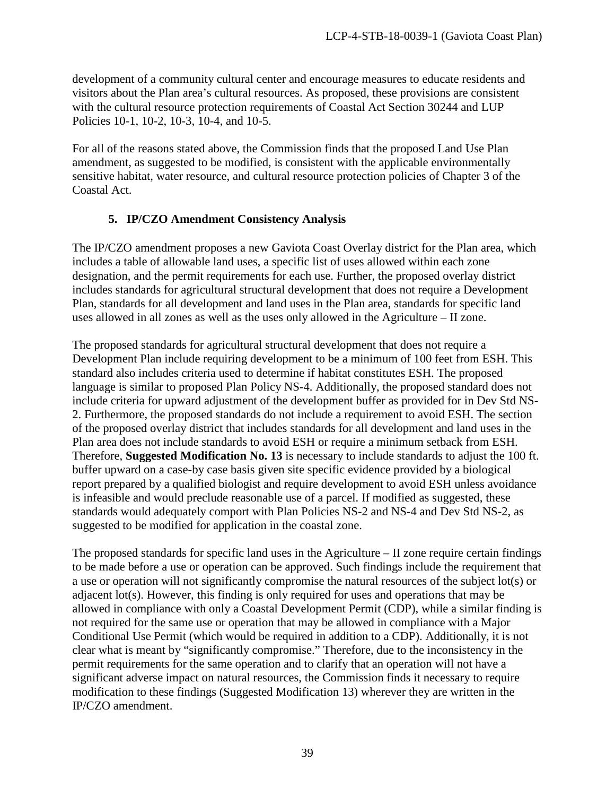development of a community cultural center and encourage measures to educate residents and visitors about the Plan area's cultural resources. As proposed, these provisions are consistent with the cultural resource protection requirements of Coastal Act Section 30244 and LUP Policies 10-1, 10-2, 10-3, 10-4, and 10-5.

For all of the reasons stated above, the Commission finds that the proposed Land Use Plan amendment, as suggested to be modified, is consistent with the applicable environmentally sensitive habitat, water resource, and cultural resource protection policies of Chapter 3 of the Coastal Act.

# **5. IP/CZO Amendment Consistency Analysis**

The IP/CZO amendment proposes a new Gaviota Coast Overlay district for the Plan area, which includes a table of allowable land uses, a specific list of uses allowed within each zone designation, and the permit requirements for each use. Further, the proposed overlay district includes standards for agricultural structural development that does not require a Development Plan, standards for all development and land uses in the Plan area, standards for specific land uses allowed in all zones as well as the uses only allowed in the Agriculture – II zone.

The proposed standards for agricultural structural development that does not require a Development Plan include requiring development to be a minimum of 100 feet from ESH. This standard also includes criteria used to determine if habitat constitutes ESH. The proposed language is similar to proposed Plan Policy NS-4. Additionally, the proposed standard does not include criteria for upward adjustment of the development buffer as provided for in Dev Std NS-2. Furthermore, the proposed standards do not include a requirement to avoid ESH. The section of the proposed overlay district that includes standards for all development and land uses in the Plan area does not include standards to avoid ESH or require a minimum setback from ESH. Therefore, **Suggested Modification No. 13** is necessary to include standards to adjust the 100 ft. buffer upward on a case-by case basis given site specific evidence provided by a biological report prepared by a qualified biologist and require development to avoid ESH unless avoidance is infeasible and would preclude reasonable use of a parcel. If modified as suggested, these standards would adequately comport with Plan Policies NS-2 and NS-4 and Dev Std NS-2, as suggested to be modified for application in the coastal zone.

The proposed standards for specific land uses in the Agriculture – II zone require certain findings to be made before a use or operation can be approved. Such findings include the requirement that a use or operation will not significantly compromise the natural resources of the subject lot(s) or adjacent lot(s). However, this finding is only required for uses and operations that may be allowed in compliance with only a Coastal Development Permit (CDP), while a similar finding is not required for the same use or operation that may be allowed in compliance with a Major Conditional Use Permit (which would be required in addition to a CDP). Additionally, it is not clear what is meant by "significantly compromise." Therefore, due to the inconsistency in the permit requirements for the same operation and to clarify that an operation will not have a significant adverse impact on natural resources, the Commission finds it necessary to require modification to these findings (Suggested Modification 13) wherever they are written in the IP/CZO amendment.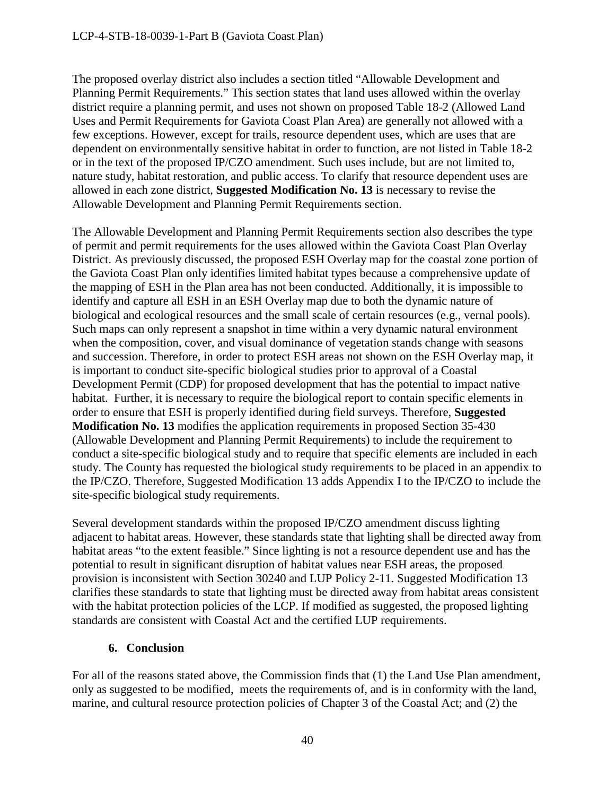The proposed overlay district also includes a section titled "Allowable Development and Planning Permit Requirements." This section states that land uses allowed within the overlay district require a planning permit, and uses not shown on proposed Table 18-2 (Allowed Land Uses and Permit Requirements for Gaviota Coast Plan Area) are generally not allowed with a few exceptions. However, except for trails, resource dependent uses, which are uses that are dependent on environmentally sensitive habitat in order to function, are not listed in Table 18-2 or in the text of the proposed IP/CZO amendment. Such uses include, but are not limited to, nature study, habitat restoration, and public access. To clarify that resource dependent uses are allowed in each zone district, **Suggested Modification No. 13** is necessary to revise the Allowable Development and Planning Permit Requirements section.

The Allowable Development and Planning Permit Requirements section also describes the type of permit and permit requirements for the uses allowed within the Gaviota Coast Plan Overlay District. As previously discussed, the proposed ESH Overlay map for the coastal zone portion of the Gaviota Coast Plan only identifies limited habitat types because a comprehensive update of the mapping of ESH in the Plan area has not been conducted. Additionally, it is impossible to identify and capture all ESH in an ESH Overlay map due to both the dynamic nature of biological and ecological resources and the small scale of certain resources (e.g., vernal pools). Such maps can only represent a snapshot in time within a very dynamic natural environment when the composition, cover, and visual dominance of vegetation stands change with seasons and succession. Therefore, in order to protect ESH areas not shown on the ESH Overlay map, it is important to conduct site-specific biological studies prior to approval of a Coastal Development Permit (CDP) for proposed development that has the potential to impact native habitat. Further, it is necessary to require the biological report to contain specific elements in order to ensure that ESH is properly identified during field surveys. Therefore, **Suggested Modification No. 13** modifies the application requirements in proposed Section 35-430 (Allowable Development and Planning Permit Requirements) to include the requirement to conduct a site-specific biological study and to require that specific elements are included in each study. The County has requested the biological study requirements to be placed in an appendix to the IP/CZO. Therefore, Suggested Modification 13 adds Appendix I to the IP/CZO to include the site-specific biological study requirements.

Several development standards within the proposed IP/CZO amendment discuss lighting adjacent to habitat areas. However, these standards state that lighting shall be directed away from habitat areas "to the extent feasible." Since lighting is not a resource dependent use and has the potential to result in significant disruption of habitat values near ESH areas, the proposed provision is inconsistent with Section 30240 and LUP Policy 2-11. Suggested Modification 13 clarifies these standards to state that lighting must be directed away from habitat areas consistent with the habitat protection policies of the LCP. If modified as suggested, the proposed lighting standards are consistent with Coastal Act and the certified LUP requirements.

# **6. Conclusion**

For all of the reasons stated above, the Commission finds that (1) the Land Use Plan amendment, only as suggested to be modified, meets the requirements of, and is in conformity with the land, marine, and cultural resource protection policies of Chapter 3 of the Coastal Act; and (2) the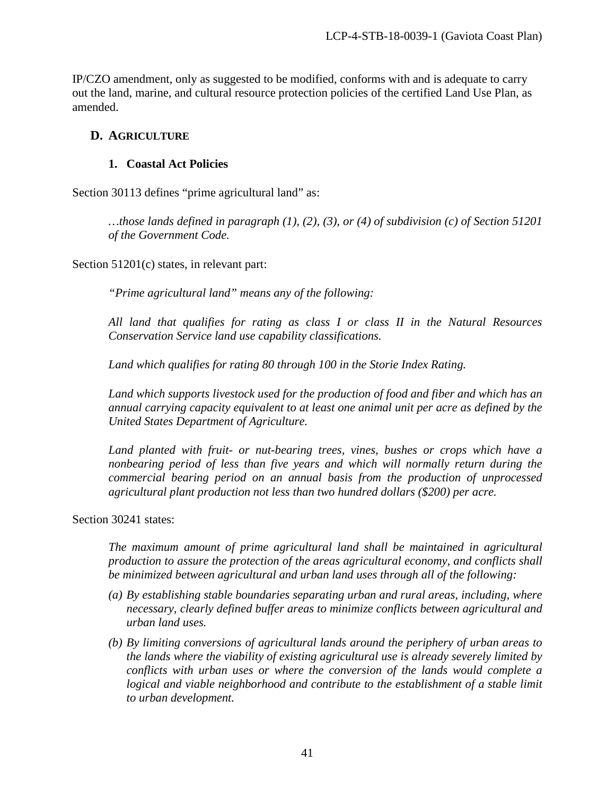IP/CZO amendment, only as suggested to be modified, conforms with and is adequate to carry out the land, marine, and cultural resource protection policies of the certified Land Use Plan, as amended.

# **D. AGRICULTURE**

# **1. Coastal Act Policies**

Section 30113 defines "prime agricultural land" as:

*…those lands defined in paragraph (1), (2), (3), or (4) of subdivision (c) of Section 51201 of the Government Code.* 

Section 51201(c) states, in relevant part:

*"Prime agricultural land" means any of the following:* 

*All land that qualifies for rating as class I or class II in the Natural Resources Conservation Service land use capability classifications.* 

*Land which qualifies for rating 80 through 100 in the Storie Index Rating.* 

*Land which supports livestock used for the production of food and fiber and which has an annual carrying capacity equivalent to at least one animal unit per acre as defined by the United States Department of Agriculture.* 

*Land planted with fruit- or nut-bearing trees, vines, bushes or crops which have a nonbearing period of less than five years and which will normally return during the commercial bearing period on an annual basis from the production of unprocessed agricultural plant production not less than two hundred dollars (\$200) per acre.* 

Section 30241 states:

*The maximum amount of prime agricultural land shall be maintained in agricultural production to assure the protection of the areas agricultural economy, and conflicts shall be minimized between agricultural and urban land uses through all of the following:* 

- *(a) By establishing stable boundaries separating urban and rural areas, including, where necessary, clearly defined buffer areas to minimize conflicts between agricultural and urban land uses.*
- *(b) By limiting conversions of agricultural lands around the periphery of urban areas to the lands where the viability of existing agricultural use is already severely limited by conflicts with urban uses or where the conversion of the lands would complete a logical and viable neighborhood and contribute to the establishment of a stable limit to urban development.*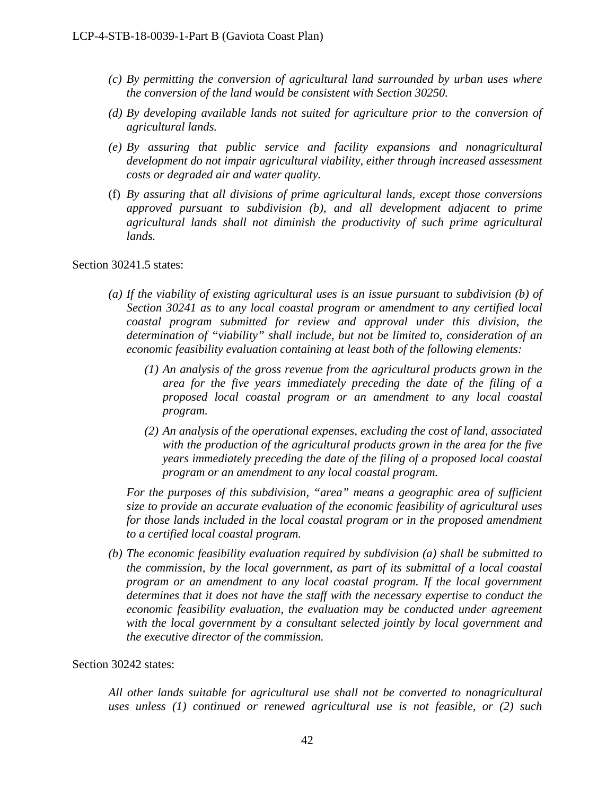- *(c) By permitting the conversion of agricultural land surrounded by urban uses where the conversion of the land would be consistent with Section 30250.*
- *(d) By developing available lands not suited for agriculture prior to the conversion of agricultural lands.*
- *(e) By assuring that public service and facility expansions and nonagricultural development do not impair agricultural viability, either through increased assessment costs or degraded air and water quality.*
- (f) *By assuring that all divisions of prime agricultural lands, except those conversions approved pursuant to subdivision (b), and all development adjacent to prime agricultural lands shall not diminish the productivity of such prime agricultural lands.*

Section 30241.5 states:

- *(a) If the viability of existing agricultural uses is an issue pursuant to subdivision (b) of Section 30241 as to any local coastal program or amendment to any certified local coastal program submitted for review and approval under this division, the determination of "viability" shall include, but not be limited to, consideration of an economic feasibility evaluation containing at least both of the following elements:* 
	- *(1) An analysis of the gross revenue from the agricultural products grown in the area for the five years immediately preceding the date of the filing of a proposed local coastal program or an amendment to any local coastal program.*
	- *(2) An analysis of the operational expenses, excluding the cost of land, associated with the production of the agricultural products grown in the area for the five years immediately preceding the date of the filing of a proposed local coastal program or an amendment to any local coastal program.*

*For the purposes of this subdivision, "area" means a geographic area of sufficient size to provide an accurate evaluation of the economic feasibility of agricultural uses for those lands included in the local coastal program or in the proposed amendment to a certified local coastal program.* 

*(b) The economic feasibility evaluation required by subdivision (a) shall be submitted to the commission, by the local government, as part of its submittal of a local coastal program or an amendment to any local coastal program. If the local government determines that it does not have the staff with the necessary expertise to conduct the economic feasibility evaluation, the evaluation may be conducted under agreement with the local government by a consultant selected jointly by local government and the executive director of the commission.*

### Section 30242 states:

*All other lands suitable for agricultural use shall not be converted to nonagricultural uses unless (1) continued or renewed agricultural use is not feasible, or (2) such*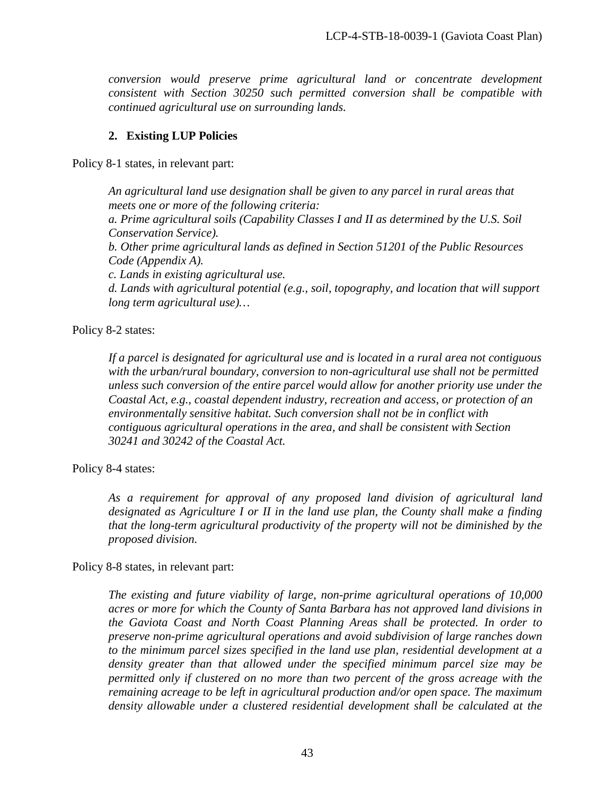*conversion would preserve prime agricultural land or concentrate development consistent with Section 30250 such permitted conversion shall be compatible with continued agricultural use on surrounding lands.* 

### **2. Existing LUP Policies**

Policy 8-1 states, in relevant part:

*An agricultural land use designation shall be given to any parcel in rural areas that meets one or more of the following criteria:* 

*a. Prime agricultural soils (Capability Classes I and II as determined by the U.S. Soil Conservation Service).* 

*b. Other prime agricultural lands as defined in Section 51201 of the Public Resources Code (Appendix A).* 

*c. Lands in existing agricultural use.* 

*d. Lands with agricultural potential (e.g., soil, topography, and location that will support long term agricultural use)…* 

Policy 8-2 states:

*If a parcel is designated for agricultural use and is located in a rural area not contiguous with the urban/rural boundary, conversion to non-agricultural use shall not be permitted unless such conversion of the entire parcel would allow for another priority use under the Coastal Act, e.g., coastal dependent industry, recreation and access, or protection of an environmentally sensitive habitat. Such conversion shall not be in conflict with contiguous agricultural operations in the area, and shall be consistent with Section 30241 and 30242 of the Coastal Act.* 

Policy 8-4 states:

*As a requirement for approval of any proposed land division of agricultural land designated as Agriculture I or II in the land use plan, the County shall make a finding that the long-term agricultural productivity of the property will not be diminished by the proposed division.* 

### Policy 8-8 states, in relevant part:

*The existing and future viability of large, non-prime agricultural operations of 10,000 acres or more for which the County of Santa Barbara has not approved land divisions in the Gaviota Coast and North Coast Planning Areas shall be protected. In order to preserve non-prime agricultural operations and avoid subdivision of large ranches down to the minimum parcel sizes specified in the land use plan, residential development at a density greater than that allowed under the specified minimum parcel size may be permitted only if clustered on no more than two percent of the gross acreage with the remaining acreage to be left in agricultural production and/or open space. The maximum density allowable under a clustered residential development shall be calculated at the*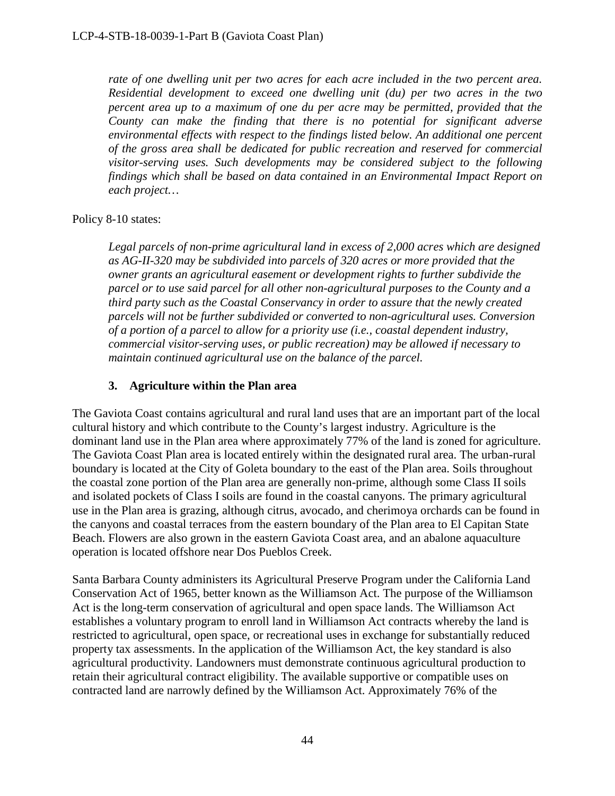rate of one dwelling unit per two acres for each acre included in the two percent area. *Residential development to exceed one dwelling unit (du) per two acres in the two percent area up to a maximum of one du per acre may be permitted, provided that the County can make the finding that there is no potential for significant adverse environmental effects with respect to the findings listed below. An additional one percent of the gross area shall be dedicated for public recreation and reserved for commercial visitor-serving uses. Such developments may be considered subject to the following findings which shall be based on data contained in an Environmental Impact Report on each project…* 

### Policy 8-10 states:

*Legal parcels of non-prime agricultural land in excess of 2,000 acres which are designed as AG-II-320 may be subdivided into parcels of 320 acres or more provided that the owner grants an agricultural easement or development rights to further subdivide the parcel or to use said parcel for all other non-agricultural purposes to the County and a third party such as the Coastal Conservancy in order to assure that the newly created parcels will not be further subdivided or converted to non-agricultural uses. Conversion of a portion of a parcel to allow for a priority use (i.e., coastal dependent industry, commercial visitor-serving uses, or public recreation) may be allowed if necessary to maintain continued agricultural use on the balance of the parcel.* 

# **3. Agriculture within the Plan area**

The Gaviota Coast contains agricultural and rural land uses that are an important part of the local cultural history and which contribute to the County's largest industry. Agriculture is the dominant land use in the Plan area where approximately 77% of the land is zoned for agriculture. The Gaviota Coast Plan area is located entirely within the designated rural area. The urban-rural boundary is located at the City of Goleta boundary to the east of the Plan area. Soils throughout the coastal zone portion of the Plan area are generally non-prime, although some Class II soils and isolated pockets of Class I soils are found in the coastal canyons. The primary agricultural use in the Plan area is grazing, although citrus, avocado, and cherimoya orchards can be found in the canyons and coastal terraces from the eastern boundary of the Plan area to El Capitan State Beach. Flowers are also grown in the eastern Gaviota Coast area, and an abalone aquaculture operation is located offshore near Dos Pueblos Creek.

Santa Barbara County administers its Agricultural Preserve Program under the California Land Conservation Act of 1965, better known as the Williamson Act. The purpose of the Williamson Act is the long-term conservation of agricultural and open space lands. The Williamson Act establishes a voluntary program to enroll land in Williamson Act contracts whereby the land is restricted to agricultural, open space, or recreational uses in exchange for substantially reduced property tax assessments. In the application of the Williamson Act, the key standard is also agricultural productivity. Landowners must demonstrate continuous agricultural production to retain their agricultural contract eligibility. The available supportive or compatible uses on contracted land are narrowly defined by the Williamson Act. Approximately 76% of the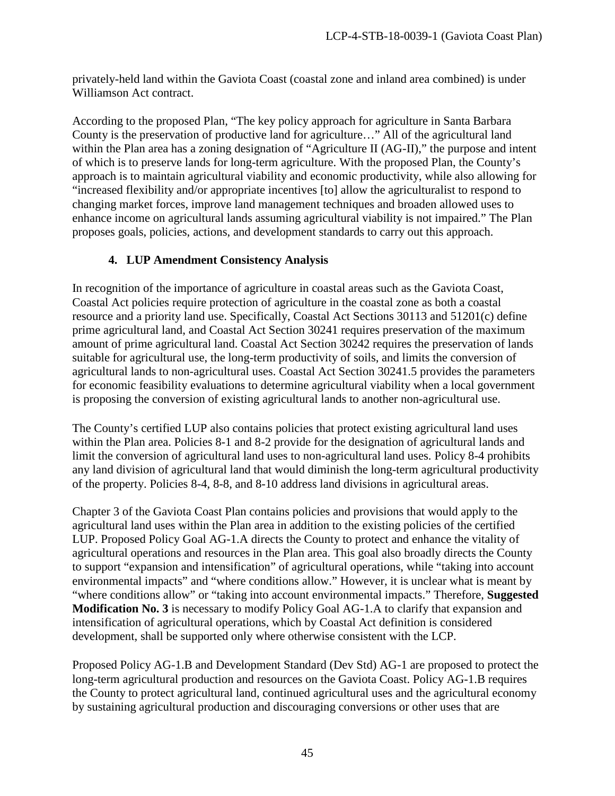privately-held land within the Gaviota Coast (coastal zone and inland area combined) is under Williamson Act contract.

According to the proposed Plan, "The key policy approach for agriculture in Santa Barbara County is the preservation of productive land for agriculture…" All of the agricultural land within the Plan area has a zoning designation of "Agriculture II (AG-II)," the purpose and intent of which is to preserve lands for long-term agriculture. With the proposed Plan, the County's approach is to maintain agricultural viability and economic productivity, while also allowing for "increased flexibility and/or appropriate incentives [to] allow the agriculturalist to respond to changing market forces, improve land management techniques and broaden allowed uses to enhance income on agricultural lands assuming agricultural viability is not impaired." The Plan proposes goals, policies, actions, and development standards to carry out this approach.

# **4. LUP Amendment Consistency Analysis**

In recognition of the importance of agriculture in coastal areas such as the Gaviota Coast, Coastal Act policies require protection of agriculture in the coastal zone as both a coastal resource and a priority land use. Specifically, Coastal Act Sections 30113 and 51201(c) define prime agricultural land, and Coastal Act Section 30241 requires preservation of the maximum amount of prime agricultural land. Coastal Act Section 30242 requires the preservation of lands suitable for agricultural use, the long-term productivity of soils, and limits the conversion of agricultural lands to non-agricultural uses. Coastal Act Section 30241.5 provides the parameters for economic feasibility evaluations to determine agricultural viability when a local government is proposing the conversion of existing agricultural lands to another non-agricultural use.

The County's certified LUP also contains policies that protect existing agricultural land uses within the Plan area. Policies 8-1 and 8-2 provide for the designation of agricultural lands and limit the conversion of agricultural land uses to non-agricultural land uses. Policy 8-4 prohibits any land division of agricultural land that would diminish the long-term agricultural productivity of the property. Policies 8-4, 8-8, and 8-10 address land divisions in agricultural areas.

Chapter 3 of the Gaviota Coast Plan contains policies and provisions that would apply to the agricultural land uses within the Plan area in addition to the existing policies of the certified LUP. Proposed Policy Goal AG-1.A directs the County to protect and enhance the vitality of agricultural operations and resources in the Plan area. This goal also broadly directs the County to support "expansion and intensification" of agricultural operations, while "taking into account environmental impacts" and "where conditions allow." However, it is unclear what is meant by "where conditions allow" or "taking into account environmental impacts." Therefore, **Suggested Modification No. 3** is necessary to modify Policy Goal AG-1.A to clarify that expansion and intensification of agricultural operations, which by Coastal Act definition is considered development, shall be supported only where otherwise consistent with the LCP.

Proposed Policy AG-1.B and Development Standard (Dev Std) AG-1 are proposed to protect the long-term agricultural production and resources on the Gaviota Coast. Policy AG-1.B requires the County to protect agricultural land, continued agricultural uses and the agricultural economy by sustaining agricultural production and discouraging conversions or other uses that are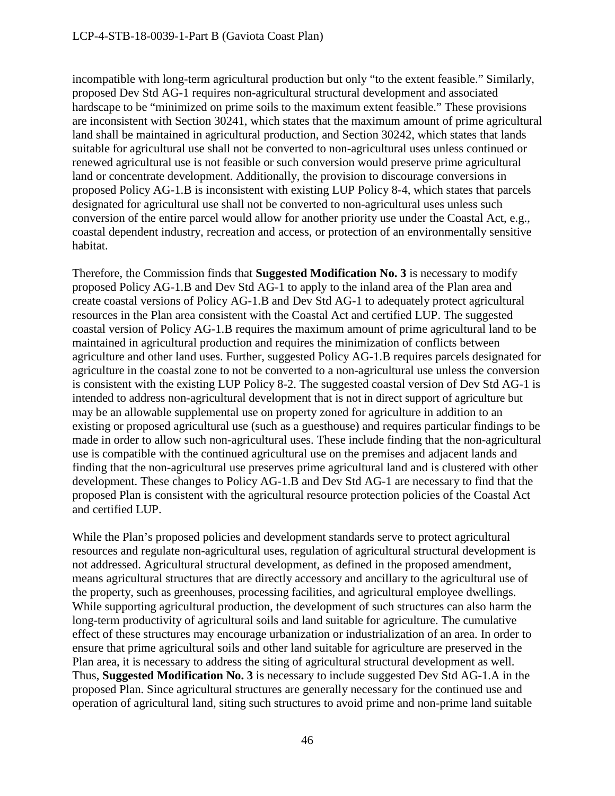incompatible with long-term agricultural production but only "to the extent feasible." Similarly, proposed Dev Std AG-1 requires non-agricultural structural development and associated hardscape to be "minimized on prime soils to the maximum extent feasible." These provisions are inconsistent with Section 30241, which states that the maximum amount of prime agricultural land shall be maintained in agricultural production, and Section 30242, which states that lands suitable for agricultural use shall not be converted to non-agricultural uses unless continued or renewed agricultural use is not feasible or such conversion would preserve prime agricultural land or concentrate development. Additionally, the provision to discourage conversions in proposed Policy AG-1.B is inconsistent with existing LUP Policy 8-4, which states that parcels designated for agricultural use shall not be converted to non-agricultural uses unless such conversion of the entire parcel would allow for another priority use under the Coastal Act, e.g., coastal dependent industry, recreation and access, or protection of an environmentally sensitive habitat.

Therefore, the Commission finds that **Suggested Modification No. 3** is necessary to modify proposed Policy AG-1.B and Dev Std AG-1 to apply to the inland area of the Plan area and create coastal versions of Policy AG-1.B and Dev Std AG-1 to adequately protect agricultural resources in the Plan area consistent with the Coastal Act and certified LUP. The suggested coastal version of Policy AG-1.B requires the maximum amount of prime agricultural land to be maintained in agricultural production and requires the minimization of conflicts between agriculture and other land uses. Further, suggested Policy AG-1.B requires parcels designated for agriculture in the coastal zone to not be converted to a non-agricultural use unless the conversion is consistent with the existing LUP Policy 8-2. The suggested coastal version of Dev Std AG-1 is intended to address non-agricultural development that is not in direct support of agriculture but may be an allowable supplemental use on property zoned for agriculture in addition to an existing or proposed agricultural use (such as a guesthouse) and requires particular findings to be made in order to allow such non-agricultural uses. These include finding that the non-agricultural use is compatible with the continued agricultural use on the premises and adjacent lands and finding that the non-agricultural use preserves prime agricultural land and is clustered with other development. These changes to Policy AG-1.B and Dev Std AG-1 are necessary to find that the proposed Plan is consistent with the agricultural resource protection policies of the Coastal Act and certified LUP.

While the Plan's proposed policies and development standards serve to protect agricultural resources and regulate non-agricultural uses, regulation of agricultural structural development is not addressed. Agricultural structural development, as defined in the proposed amendment, means agricultural structures that are directly accessory and ancillary to the agricultural use of the property, such as greenhouses, processing facilities, and agricultural employee dwellings. While supporting agricultural production, the development of such structures can also harm the long-term productivity of agricultural soils and land suitable for agriculture. The cumulative effect of these structures may encourage urbanization or industrialization of an area. In order to ensure that prime agricultural soils and other land suitable for agriculture are preserved in the Plan area, it is necessary to address the siting of agricultural structural development as well. Thus, **Suggested Modification No. 3** is necessary to include suggested Dev Std AG-1.A in the proposed Plan. Since agricultural structures are generally necessary for the continued use and operation of agricultural land, siting such structures to avoid prime and non-prime land suitable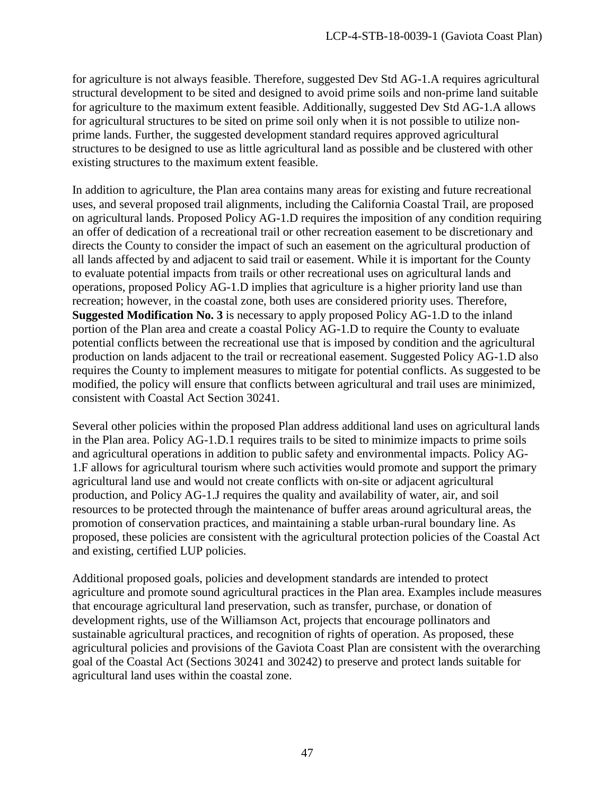for agriculture is not always feasible. Therefore, suggested Dev Std AG-1.A requires agricultural structural development to be sited and designed to avoid prime soils and non-prime land suitable for agriculture to the maximum extent feasible. Additionally, suggested Dev Std AG-1.A allows for agricultural structures to be sited on prime soil only when it is not possible to utilize nonprime lands. Further, the suggested development standard requires approved agricultural structures to be designed to use as little agricultural land as possible and be clustered with other existing structures to the maximum extent feasible.

In addition to agriculture, the Plan area contains many areas for existing and future recreational uses, and several proposed trail alignments, including the California Coastal Trail, are proposed on agricultural lands. Proposed Policy AG-1.D requires the imposition of any condition requiring an offer of dedication of a recreational trail or other recreation easement to be discretionary and directs the County to consider the impact of such an easement on the agricultural production of all lands affected by and adjacent to said trail or easement. While it is important for the County to evaluate potential impacts from trails or other recreational uses on agricultural lands and operations, proposed Policy AG-1.D implies that agriculture is a higher priority land use than recreation; however, in the coastal zone, both uses are considered priority uses. Therefore, **Suggested Modification No. 3** is necessary to apply proposed Policy AG-1.D to the inland portion of the Plan area and create a coastal Policy AG-1.D to require the County to evaluate potential conflicts between the recreational use that is imposed by condition and the agricultural production on lands adjacent to the trail or recreational easement. Suggested Policy AG-1.D also requires the County to implement measures to mitigate for potential conflicts. As suggested to be modified, the policy will ensure that conflicts between agricultural and trail uses are minimized, consistent with Coastal Act Section 30241.

Several other policies within the proposed Plan address additional land uses on agricultural lands in the Plan area. Policy AG-1.D.1 requires trails to be sited to minimize impacts to prime soils and agricultural operations in addition to public safety and environmental impacts. Policy AG-1.F allows for agricultural tourism where such activities would promote and support the primary agricultural land use and would not create conflicts with on-site or adjacent agricultural production, and Policy AG-1.J requires the quality and availability of water, air, and soil resources to be protected through the maintenance of buffer areas around agricultural areas, the promotion of conservation practices, and maintaining a stable urban-rural boundary line. As proposed, these policies are consistent with the agricultural protection policies of the Coastal Act and existing, certified LUP policies.

Additional proposed goals, policies and development standards are intended to protect agriculture and promote sound agricultural practices in the Plan area. Examples include measures that encourage agricultural land preservation, such as transfer, purchase, or donation of development rights, use of the Williamson Act, projects that encourage pollinators and sustainable agricultural practices, and recognition of rights of operation. As proposed, these agricultural policies and provisions of the Gaviota Coast Plan are consistent with the overarching goal of the Coastal Act (Sections 30241 and 30242) to preserve and protect lands suitable for agricultural land uses within the coastal zone.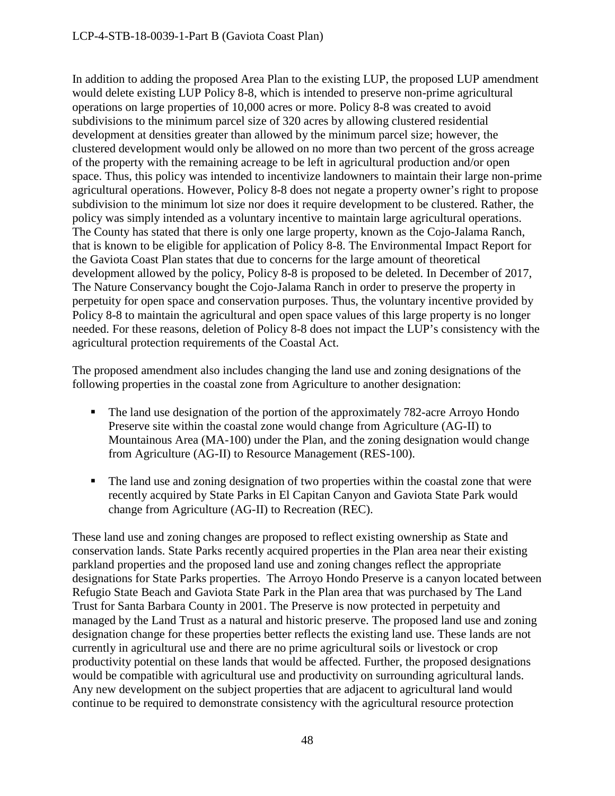In addition to adding the proposed Area Plan to the existing LUP, the proposed LUP amendment would delete existing LUP Policy 8-8, which is intended to preserve non-prime agricultural operations on large properties of 10,000 acres or more. Policy 8-8 was created to avoid subdivisions to the minimum parcel size of 320 acres by allowing clustered residential development at densities greater than allowed by the minimum parcel size; however, the clustered development would only be allowed on no more than two percent of the gross acreage of the property with the remaining acreage to be left in agricultural production and/or open space. Thus, this policy was intended to incentivize landowners to maintain their large non-prime agricultural operations. However, Policy 8-8 does not negate a property owner's right to propose subdivision to the minimum lot size nor does it require development to be clustered. Rather, the policy was simply intended as a voluntary incentive to maintain large agricultural operations. The County has stated that there is only one large property, known as the Cojo-Jalama Ranch, that is known to be eligible for application of Policy 8-8. The Environmental Impact Report for the Gaviota Coast Plan states that due to concerns for the large amount of theoretical development allowed by the policy, Policy 8-8 is proposed to be deleted. In December of 2017, The Nature Conservancy bought the Cojo-Jalama Ranch in order to preserve the property in perpetuity for open space and conservation purposes. Thus, the voluntary incentive provided by Policy 8-8 to maintain the agricultural and open space values of this large property is no longer needed. For these reasons, deletion of Policy 8-8 does not impact the LUP's consistency with the agricultural protection requirements of the Coastal Act.

The proposed amendment also includes changing the land use and zoning designations of the following properties in the coastal zone from Agriculture to another designation:

- The land use designation of the portion of the approximately 782-acre Arroyo Hondo Preserve site within the coastal zone would change from Agriculture (AG-II) to Mountainous Area (MA-100) under the Plan, and the zoning designation would change from Agriculture (AG-II) to Resource Management (RES-100).
- The land use and zoning designation of two properties within the coastal zone that were recently acquired by State Parks in El Capitan Canyon and Gaviota State Park would change from Agriculture (AG-II) to Recreation (REC).

These land use and zoning changes are proposed to reflect existing ownership as State and conservation lands. State Parks recently acquired properties in the Plan area near their existing parkland properties and the proposed land use and zoning changes reflect the appropriate designations for State Parks properties. The Arroyo Hondo Preserve is a canyon located between Refugio State Beach and Gaviota State Park in the Plan area that was purchased by The Land Trust for Santa Barbara County in 2001. The Preserve is now protected in perpetuity and managed by the Land Trust as a natural and historic preserve. The proposed land use and zoning designation change for these properties better reflects the existing land use. These lands are not currently in agricultural use and there are no prime agricultural soils or livestock or crop productivity potential on these lands that would be affected. Further, the proposed designations would be compatible with agricultural use and productivity on surrounding agricultural lands. Any new development on the subject properties that are adjacent to agricultural land would continue to be required to demonstrate consistency with the agricultural resource protection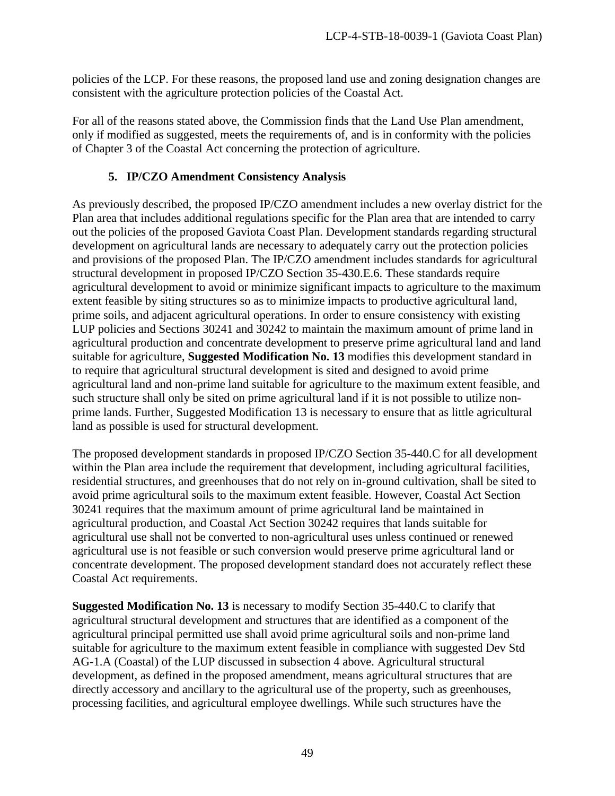policies of the LCP. For these reasons, the proposed land use and zoning designation changes are consistent with the agriculture protection policies of the Coastal Act.

For all of the reasons stated above, the Commission finds that the Land Use Plan amendment, only if modified as suggested, meets the requirements of, and is in conformity with the policies of Chapter 3 of the Coastal Act concerning the protection of agriculture.

# **5. IP/CZO Amendment Consistency Analysis**

As previously described, the proposed IP/CZO amendment includes a new overlay district for the Plan area that includes additional regulations specific for the Plan area that are intended to carry out the policies of the proposed Gaviota Coast Plan. Development standards regarding structural development on agricultural lands are necessary to adequately carry out the protection policies and provisions of the proposed Plan. The IP/CZO amendment includes standards for agricultural structural development in proposed IP/CZO Section 35-430.E.6. These standards require agricultural development to avoid or minimize significant impacts to agriculture to the maximum extent feasible by siting structures so as to minimize impacts to productive agricultural land, prime soils, and adjacent agricultural operations. In order to ensure consistency with existing LUP policies and Sections 30241 and 30242 to maintain the maximum amount of prime land in agricultural production and concentrate development to preserve prime agricultural land and land suitable for agriculture, **Suggested Modification No. 13** modifies this development standard in to require that agricultural structural development is sited and designed to avoid prime agricultural land and non-prime land suitable for agriculture to the maximum extent feasible, and such structure shall only be sited on prime agricultural land if it is not possible to utilize nonprime lands. Further, Suggested Modification 13 is necessary to ensure that as little agricultural land as possible is used for structural development.

The proposed development standards in proposed IP/CZO Section 35-440.C for all development within the Plan area include the requirement that development, including agricultural facilities, residential structures, and greenhouses that do not rely on in-ground cultivation, shall be sited to avoid prime agricultural soils to the maximum extent feasible. However, Coastal Act Section 30241 requires that the maximum amount of prime agricultural land be maintained in agricultural production, and Coastal Act Section 30242 requires that lands suitable for agricultural use shall not be converted to non-agricultural uses unless continued or renewed agricultural use is not feasible or such conversion would preserve prime agricultural land or concentrate development. The proposed development standard does not accurately reflect these Coastal Act requirements.

**Suggested Modification No. 13** is necessary to modify Section 35-440.C to clarify that agricultural structural development and structures that are identified as a component of the agricultural principal permitted use shall avoid prime agricultural soils and non-prime land suitable for agriculture to the maximum extent feasible in compliance with suggested Dev Std AG-1.A (Coastal) of the LUP discussed in subsection 4 above. Agricultural structural development, as defined in the proposed amendment, means agricultural structures that are directly accessory and ancillary to the agricultural use of the property, such as greenhouses, processing facilities, and agricultural employee dwellings. While such structures have the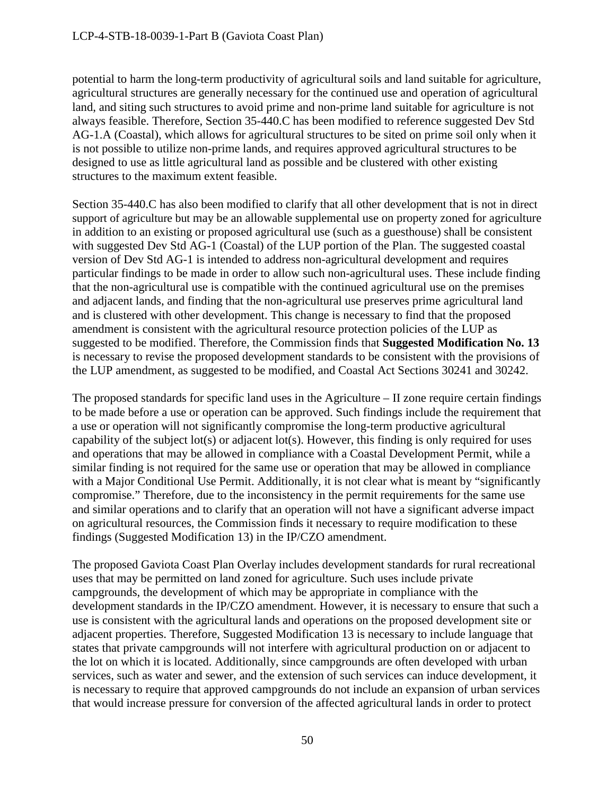potential to harm the long-term productivity of agricultural soils and land suitable for agriculture, agricultural structures are generally necessary for the continued use and operation of agricultural land, and siting such structures to avoid prime and non-prime land suitable for agriculture is not always feasible. Therefore, Section 35-440.C has been modified to reference suggested Dev Std AG-1.A (Coastal), which allows for agricultural structures to be sited on prime soil only when it is not possible to utilize non-prime lands, and requires approved agricultural structures to be designed to use as little agricultural land as possible and be clustered with other existing structures to the maximum extent feasible.

Section 35-440.C has also been modified to clarify that all other development that is not in direct support of agriculture but may be an allowable supplemental use on property zoned for agriculture in addition to an existing or proposed agricultural use (such as a guesthouse) shall be consistent with suggested Dev Std AG-1 (Coastal) of the LUP portion of the Plan. The suggested coastal version of Dev Std AG-1 is intended to address non-agricultural development and requires particular findings to be made in order to allow such non-agricultural uses. These include finding that the non-agricultural use is compatible with the continued agricultural use on the premises and adjacent lands, and finding that the non-agricultural use preserves prime agricultural land and is clustered with other development. This change is necessary to find that the proposed amendment is consistent with the agricultural resource protection policies of the LUP as suggested to be modified. Therefore, the Commission finds that **Suggested Modification No. 13** is necessary to revise the proposed development standards to be consistent with the provisions of the LUP amendment, as suggested to be modified, and Coastal Act Sections 30241 and 30242.

The proposed standards for specific land uses in the Agriculture – II zone require certain findings to be made before a use or operation can be approved. Such findings include the requirement that a use or operation will not significantly compromise the long-term productive agricultural capability of the subject lot(s) or adjacent lot(s). However, this finding is only required for uses and operations that may be allowed in compliance with a Coastal Development Permit, while a similar finding is not required for the same use or operation that may be allowed in compliance with a Major Conditional Use Permit. Additionally, it is not clear what is meant by "significantly compromise." Therefore, due to the inconsistency in the permit requirements for the same use and similar operations and to clarify that an operation will not have a significant adverse impact on agricultural resources, the Commission finds it necessary to require modification to these findings (Suggested Modification 13) in the IP/CZO amendment.

The proposed Gaviota Coast Plan Overlay includes development standards for rural recreational uses that may be permitted on land zoned for agriculture. Such uses include private campgrounds, the development of which may be appropriate in compliance with the development standards in the IP/CZO amendment. However, it is necessary to ensure that such a use is consistent with the agricultural lands and operations on the proposed development site or adjacent properties. Therefore, Suggested Modification 13 is necessary to include language that states that private campgrounds will not interfere with agricultural production on or adjacent to the lot on which it is located. Additionally, since campgrounds are often developed with urban services, such as water and sewer, and the extension of such services can induce development, it is necessary to require that approved campgrounds do not include an expansion of urban services that would increase pressure for conversion of the affected agricultural lands in order to protect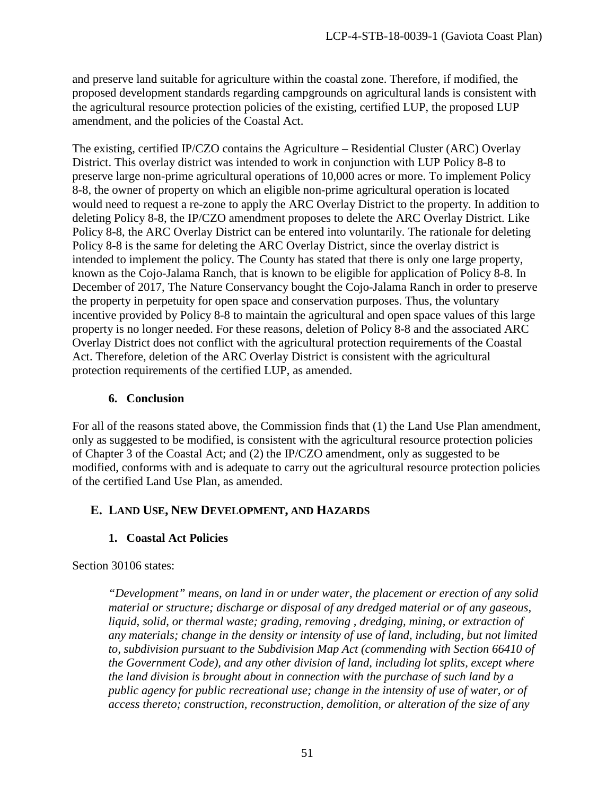and preserve land suitable for agriculture within the coastal zone. Therefore, if modified, the proposed development standards regarding campgrounds on agricultural lands is consistent with the agricultural resource protection policies of the existing, certified LUP, the proposed LUP amendment, and the policies of the Coastal Act.

The existing, certified IP/CZO contains the Agriculture – Residential Cluster (ARC) Overlay District. This overlay district was intended to work in conjunction with LUP Policy 8-8 to preserve large non-prime agricultural operations of 10,000 acres or more. To implement Policy 8-8, the owner of property on which an eligible non-prime agricultural operation is located would need to request a re-zone to apply the ARC Overlay District to the property. In addition to deleting Policy 8-8, the IP/CZO amendment proposes to delete the ARC Overlay District. Like Policy 8-8, the ARC Overlay District can be entered into voluntarily. The rationale for deleting Policy 8-8 is the same for deleting the ARC Overlay District, since the overlay district is intended to implement the policy. The County has stated that there is only one large property, known as the Cojo-Jalama Ranch, that is known to be eligible for application of Policy 8-8. In December of 2017, The Nature Conservancy bought the Cojo-Jalama Ranch in order to preserve the property in perpetuity for open space and conservation purposes. Thus, the voluntary incentive provided by Policy 8-8 to maintain the agricultural and open space values of this large property is no longer needed. For these reasons, deletion of Policy 8-8 and the associated ARC Overlay District does not conflict with the agricultural protection requirements of the Coastal Act. Therefore, deletion of the ARC Overlay District is consistent with the agricultural protection requirements of the certified LUP, as amended.

# **6. Conclusion**

For all of the reasons stated above, the Commission finds that (1) the Land Use Plan amendment, only as suggested to be modified, is consistent with the agricultural resource protection policies of Chapter 3 of the Coastal Act; and (2) the IP/CZO amendment, only as suggested to be modified, conforms with and is adequate to carry out the agricultural resource protection policies of the certified Land Use Plan, as amended.

# **E. LAND USE, NEW DEVELOPMENT, AND HAZARDS**

# **1. Coastal Act Policies**

Section 30106 states:

*"Development" means, on land in or under water, the placement or erection of any solid material or structure; discharge or disposal of any dredged material or of any gaseous, liquid, solid, or thermal waste; grading, removing , dredging, mining, or extraction of any materials; change in the density or intensity of use of land, including, but not limited to, subdivision pursuant to the Subdivision Map Act (commending with Section 66410 of the Government Code), and any other division of land, including lot splits, except where the land division is brought about in connection with the purchase of such land by a public agency for public recreational use; change in the intensity of use of water, or of access thereto; construction, reconstruction, demolition, or alteration of the size of any*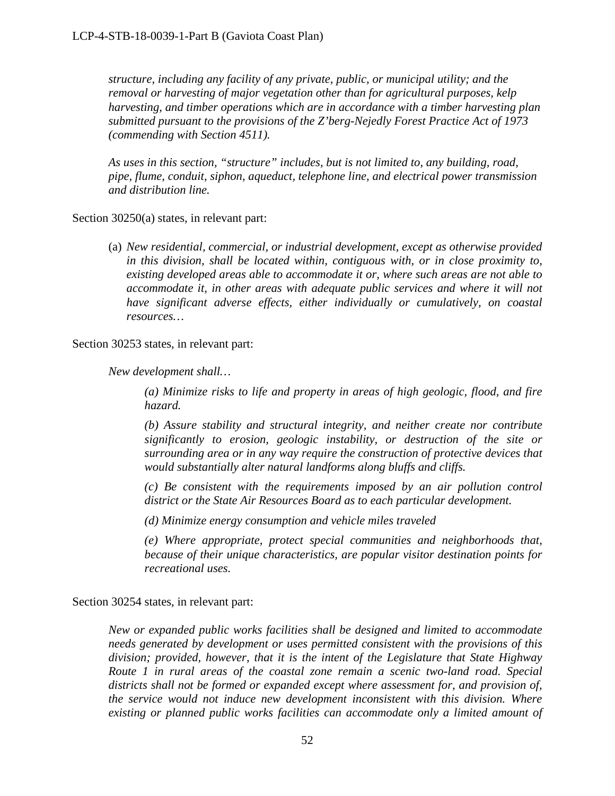*structure, including any facility of any private, public, or municipal utility; and the removal or harvesting of major vegetation other than for agricultural purposes, kelp harvesting, and timber operations which are in accordance with a timber harvesting plan submitted pursuant to the provisions of the Z'berg-Nejedly Forest Practice Act of 1973 (commending with Section 4511).* 

*As uses in this section, "structure" includes, but is not limited to, any building, road, pipe, flume, conduit, siphon, aqueduct, telephone line, and electrical power transmission and distribution line.* 

Section 30250(a) states, in relevant part:

(a) *New residential, commercial, or industrial development, except as otherwise provided in this division, shall be located within, contiguous with, or in close proximity to, existing developed areas able to accommodate it or, where such areas are not able to accommodate it, in other areas with adequate public services and where it will not have significant adverse effects, either individually or cumulatively, on coastal resources…*

Section 30253 states, in relevant part:

*New development shall…* 

*(a) Minimize risks to life and property in areas of high geologic, flood, and fire hazard.* 

*(b) Assure stability and structural integrity, and neither create nor contribute significantly to erosion, geologic instability, or destruction of the site or surrounding area or in any way require the construction of protective devices that would substantially alter natural landforms along bluffs and cliffs.* 

*(c) Be consistent with the requirements imposed by an air pollution control district or the State Air Resources Board as to each particular development.* 

*(d) Minimize energy consumption and vehicle miles traveled* 

*(e) Where appropriate, protect special communities and neighborhoods that, because of their unique characteristics, are popular visitor destination points for recreational uses.* 

Section 30254 states, in relevant part:

*New or expanded public works facilities shall be designed and limited to accommodate needs generated by development or uses permitted consistent with the provisions of this division; provided, however, that it is the intent of the Legislature that State Highway Route 1 in rural areas of the coastal zone remain a scenic two-land road. Special districts shall not be formed or expanded except where assessment for, and provision of, the service would not induce new development inconsistent with this division. Where existing or planned public works facilities can accommodate only a limited amount of*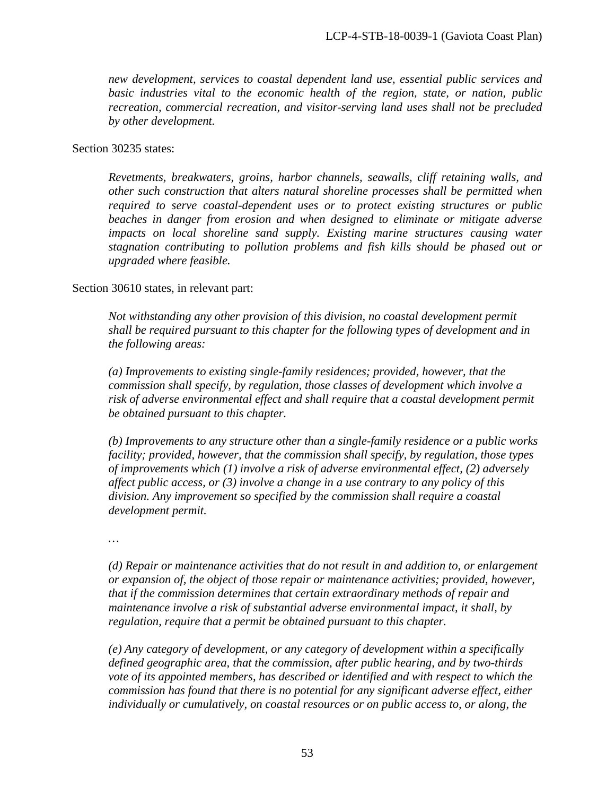*new development, services to coastal dependent land use, essential public services and basic industries vital to the economic health of the region, state, or nation, public recreation, commercial recreation, and visitor-serving land uses shall not be precluded by other development.* 

#### Section 30235 states:

*Revetments, breakwaters, groins, harbor channels, seawalls, cliff retaining walls, and other such construction that alters natural shoreline processes shall be permitted when required to serve coastal-dependent uses or to protect existing structures or public beaches in danger from erosion and when designed to eliminate or mitigate adverse impacts on local shoreline sand supply. Existing marine structures causing water stagnation contributing to pollution problems and fish kills should be phased out or upgraded where feasible.* 

### Section 30610 states, in relevant part:

*Not withstanding any other provision of this division, no coastal development permit shall be required pursuant to this chapter for the following types of development and in the following areas:* 

*(a) Improvements to existing single-family residences; provided, however, that the commission shall specify, by regulation, those classes of development which involve a risk of adverse environmental effect and shall require that a coastal development permit be obtained pursuant to this chapter.* 

*(b) Improvements to any structure other than a single-family residence or a public works facility; provided, however, that the commission shall specify, by regulation, those types of improvements which (1) involve a risk of adverse environmental effect, (2) adversely affect public access, or (3) involve a change in a use contrary to any policy of this division. Any improvement so specified by the commission shall require a coastal development permit.*

*…* 

*(d) Repair or maintenance activities that do not result in and addition to, or enlargement or expansion of, the object of those repair or maintenance activities; provided, however, that if the commission determines that certain extraordinary methods of repair and maintenance involve a risk of substantial adverse environmental impact, it shall, by regulation, require that a permit be obtained pursuant to this chapter.* 

*(e) Any category of development, or any category of development within a specifically defined geographic area, that the commission, after public hearing, and by two-thirds vote of its appointed members, has described or identified and with respect to which the commission has found that there is no potential for any significant adverse effect, either individually or cumulatively, on coastal resources or on public access to, or along, the*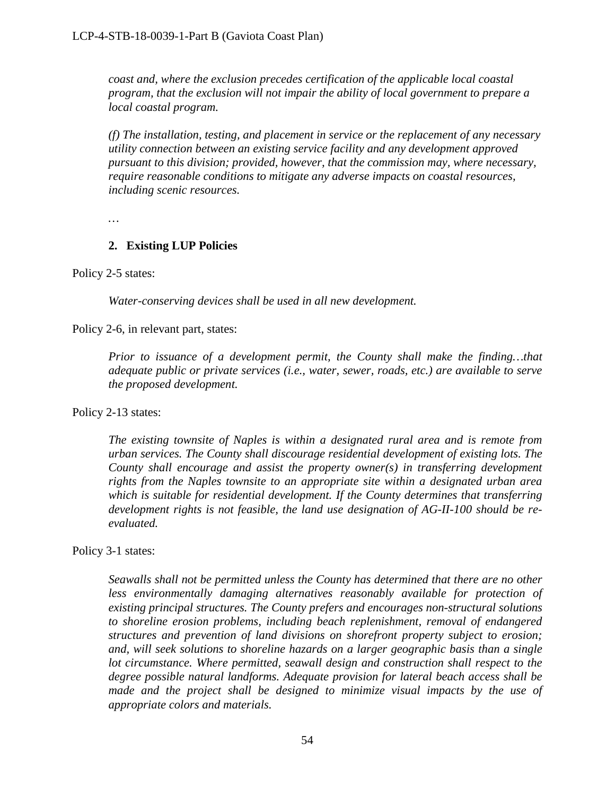*coast and, where the exclusion precedes certification of the applicable local coastal program, that the exclusion will not impair the ability of local government to prepare a local coastal program.* 

*(f) The installation, testing, and placement in service or the replacement of any necessary utility connection between an existing service facility and any development approved pursuant to this division; provided, however, that the commission may, where necessary, require reasonable conditions to mitigate any adverse impacts on coastal resources, including scenic resources.* 

*…* 

### **2. Existing LUP Policies**

### Policy 2-5 states:

*Water-conserving devices shall be used in all new development.* 

Policy 2-6, in relevant part, states:

*Prior to issuance of a development permit, the County shall make the finding…that adequate public or private services (i.e., water, sewer, roads, etc.) are available to serve the proposed development.*

Policy 2-13 states:

*The existing townsite of Naples is within a designated rural area and is remote from urban services. The County shall discourage residential development of existing lots. The County shall encourage and assist the property owner(s) in transferring development rights from the Naples townsite to an appropriate site within a designated urban area which is suitable for residential development. If the County determines that transferring development rights is not feasible, the land use designation of AG-II-100 should be reevaluated.* 

### Policy 3-1 states:

*Seawalls shall not be permitted unless the County has determined that there are no other less environmentally damaging alternatives reasonably available for protection of existing principal structures. The County prefers and encourages non-structural solutions to shoreline erosion problems, including beach replenishment, removal of endangered structures and prevention of land divisions on shorefront property subject to erosion; and, will seek solutions to shoreline hazards on a larger geographic basis than a single lot circumstance. Where permitted, seawall design and construction shall respect to the degree possible natural landforms. Adequate provision for lateral beach access shall be*  made and the project shall be designed to minimize visual impacts by the use of *appropriate colors and materials.*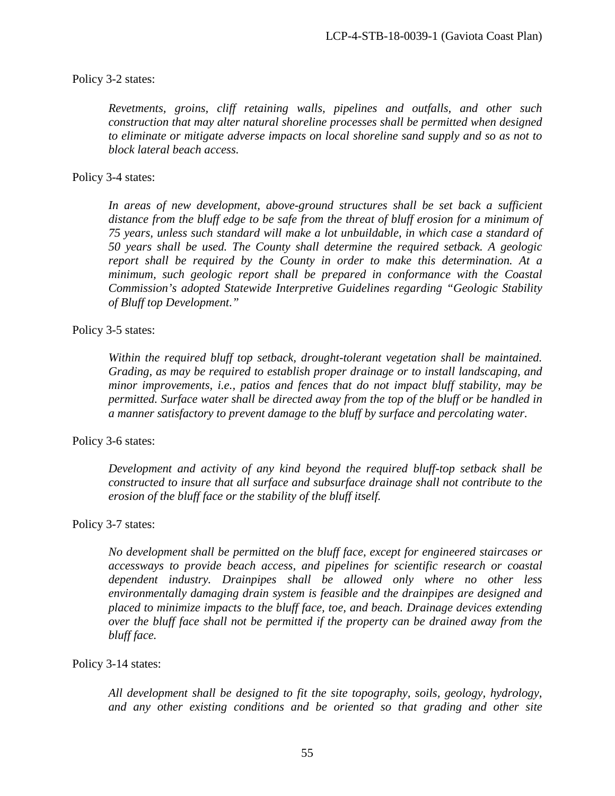### Policy 3-2 states:

*Revetments, groins, cliff retaining walls, pipelines and outfalls, and other such construction that may alter natural shoreline processes shall be permitted when designed to eliminate or mitigate adverse impacts on local shoreline sand supply and so as not to block lateral beach access.*

### Policy 3-4 states:

In areas of new development, above-ground structures shall be set back a sufficient *distance from the bluff edge to be safe from the threat of bluff erosion for a minimum of 75 years, unless such standard will make a lot unbuildable, in which case a standard of 50 years shall be used. The County shall determine the required setback. A geologic report shall be required by the County in order to make this determination. At a minimum, such geologic report shall be prepared in conformance with the Coastal Commission's adopted Statewide Interpretive Guidelines regarding "Geologic Stability of Bluff top Development."* 

### Policy 3-5 states:

*Within the required bluff top setback, drought-tolerant vegetation shall be maintained. Grading, as may be required to establish proper drainage or to install landscaping, and minor improvements, i.e., patios and fences that do not impact bluff stability, may be permitted. Surface water shall be directed away from the top of the bluff or be handled in a manner satisfactory to prevent damage to the bluff by surface and percolating water.* 

#### Policy 3-6 states:

*Development and activity of any kind beyond the required bluff-top setback shall be constructed to insure that all surface and subsurface drainage shall not contribute to the erosion of the bluff face or the stability of the bluff itself.*

#### Policy 3-7 states:

*No development shall be permitted on the bluff face, except for engineered staircases or accessways to provide beach access, and pipelines for scientific research or coastal dependent industry. Drainpipes shall be allowed only where no other less environmentally damaging drain system is feasible and the drainpipes are designed and placed to minimize impacts to the bluff face, toe, and beach. Drainage devices extending over the bluff face shall not be permitted if the property can be drained away from the bluff face.*

#### Policy 3-14 states:

*All development shall be designed to fit the site topography, soils, geology, hydrology, and any other existing conditions and be oriented so that grading and other site*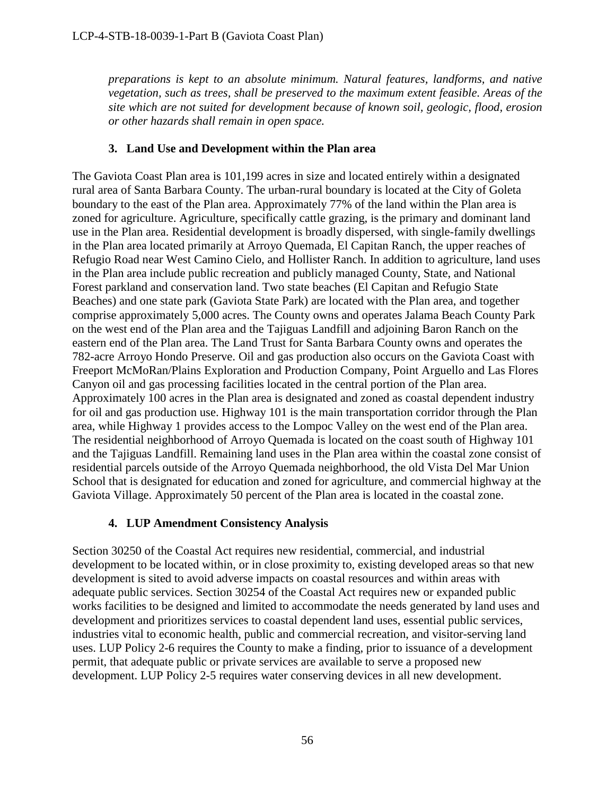*preparations is kept to an absolute minimum. Natural features, landforms, and native vegetation, such as trees, shall be preserved to the maximum extent feasible. Areas of the site which are not suited for development because of known soil, geologic, flood, erosion or other hazards shall remain in open space.* 

# **3. Land Use and Development within the Plan area**

The Gaviota Coast Plan area is 101,199 acres in size and located entirely within a designated rural area of Santa Barbara County. The urban-rural boundary is located at the City of Goleta boundary to the east of the Plan area. Approximately 77% of the land within the Plan area is zoned for agriculture. Agriculture, specifically cattle grazing, is the primary and dominant land use in the Plan area. Residential development is broadly dispersed, with single-family dwellings in the Plan area located primarily at Arroyo Quemada, El Capitan Ranch, the upper reaches of Refugio Road near West Camino Cielo, and Hollister Ranch. In addition to agriculture, land uses in the Plan area include public recreation and publicly managed County, State, and National Forest parkland and conservation land. Two state beaches (El Capitan and Refugio State Beaches) and one state park (Gaviota State Park) are located with the Plan area, and together comprise approximately 5,000 acres. The County owns and operates Jalama Beach County Park on the west end of the Plan area and the Tajiguas Landfill and adjoining Baron Ranch on the eastern end of the Plan area. The Land Trust for Santa Barbara County owns and operates the 782-acre Arroyo Hondo Preserve. Oil and gas production also occurs on the Gaviota Coast with Freeport McMoRan/Plains Exploration and Production Company, Point Arguello and Las Flores Canyon oil and gas processing facilities located in the central portion of the Plan area. Approximately 100 acres in the Plan area is designated and zoned as coastal dependent industry for oil and gas production use. Highway 101 is the main transportation corridor through the Plan area, while Highway 1 provides access to the Lompoc Valley on the west end of the Plan area. The residential neighborhood of Arroyo Quemada is located on the coast south of Highway 101 and the Tajiguas Landfill. Remaining land uses in the Plan area within the coastal zone consist of residential parcels outside of the Arroyo Quemada neighborhood, the old Vista Del Mar Union School that is designated for education and zoned for agriculture, and commercial highway at the Gaviota Village. Approximately 50 percent of the Plan area is located in the coastal zone.

# **4. LUP Amendment Consistency Analysis**

Section 30250 of the Coastal Act requires new residential, commercial, and industrial development to be located within, or in close proximity to, existing developed areas so that new development is sited to avoid adverse impacts on coastal resources and within areas with adequate public services. Section 30254 of the Coastal Act requires new or expanded public works facilities to be designed and limited to accommodate the needs generated by land uses and development and prioritizes services to coastal dependent land uses, essential public services, industries vital to economic health, public and commercial recreation, and visitor-serving land uses. LUP Policy 2-6 requires the County to make a finding, prior to issuance of a development permit, that adequate public or private services are available to serve a proposed new development. LUP Policy 2-5 requires water conserving devices in all new development.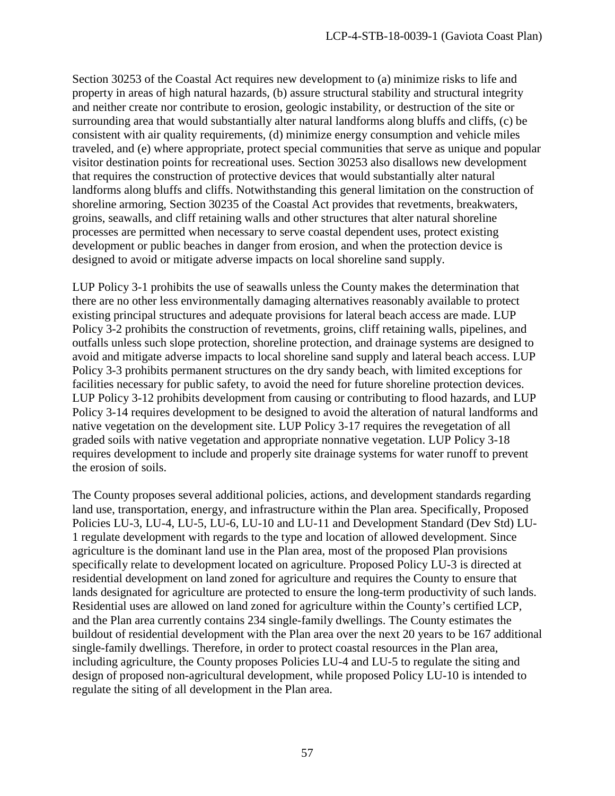Section 30253 of the Coastal Act requires new development to (a) minimize risks to life and property in areas of high natural hazards, (b) assure structural stability and structural integrity and neither create nor contribute to erosion, geologic instability, or destruction of the site or surrounding area that would substantially alter natural landforms along bluffs and cliffs, (c) be consistent with air quality requirements, (d) minimize energy consumption and vehicle miles traveled, and (e) where appropriate, protect special communities that serve as unique and popular visitor destination points for recreational uses. Section 30253 also disallows new development that requires the construction of protective devices that would substantially alter natural landforms along bluffs and cliffs. Notwithstanding this general limitation on the construction of shoreline armoring, Section 30235 of the Coastal Act provides that revetments, breakwaters, groins, seawalls, and cliff retaining walls and other structures that alter natural shoreline processes are permitted when necessary to serve coastal dependent uses, protect existing development or public beaches in danger from erosion, and when the protection device is designed to avoid or mitigate adverse impacts on local shoreline sand supply.

LUP Policy 3-1 prohibits the use of seawalls unless the County makes the determination that there are no other less environmentally damaging alternatives reasonably available to protect existing principal structures and adequate provisions for lateral beach access are made. LUP Policy 3-2 prohibits the construction of revetments, groins, cliff retaining walls, pipelines, and outfalls unless such slope protection, shoreline protection, and drainage systems are designed to avoid and mitigate adverse impacts to local shoreline sand supply and lateral beach access. LUP Policy 3-3 prohibits permanent structures on the dry sandy beach, with limited exceptions for facilities necessary for public safety, to avoid the need for future shoreline protection devices. LUP Policy 3-12 prohibits development from causing or contributing to flood hazards, and LUP Policy 3-14 requires development to be designed to avoid the alteration of natural landforms and native vegetation on the development site. LUP Policy 3-17 requires the revegetation of all graded soils with native vegetation and appropriate nonnative vegetation. LUP Policy 3-18 requires development to include and properly site drainage systems for water runoff to prevent the erosion of soils.

The County proposes several additional policies, actions, and development standards regarding land use, transportation, energy, and infrastructure within the Plan area. Specifically, Proposed Policies LU-3, LU-4, LU-5, LU-6, LU-10 and LU-11 and Development Standard (Dev Std) LU-1 regulate development with regards to the type and location of allowed development. Since agriculture is the dominant land use in the Plan area, most of the proposed Plan provisions specifically relate to development located on agriculture. Proposed Policy LU-3 is directed at residential development on land zoned for agriculture and requires the County to ensure that lands designated for agriculture are protected to ensure the long-term productivity of such lands. Residential uses are allowed on land zoned for agriculture within the County's certified LCP, and the Plan area currently contains 234 single-family dwellings. The County estimates the buildout of residential development with the Plan area over the next 20 years to be 167 additional single-family dwellings. Therefore, in order to protect coastal resources in the Plan area, including agriculture, the County proposes Policies LU-4 and LU-5 to regulate the siting and design of proposed non-agricultural development, while proposed Policy LU-10 is intended to regulate the siting of all development in the Plan area.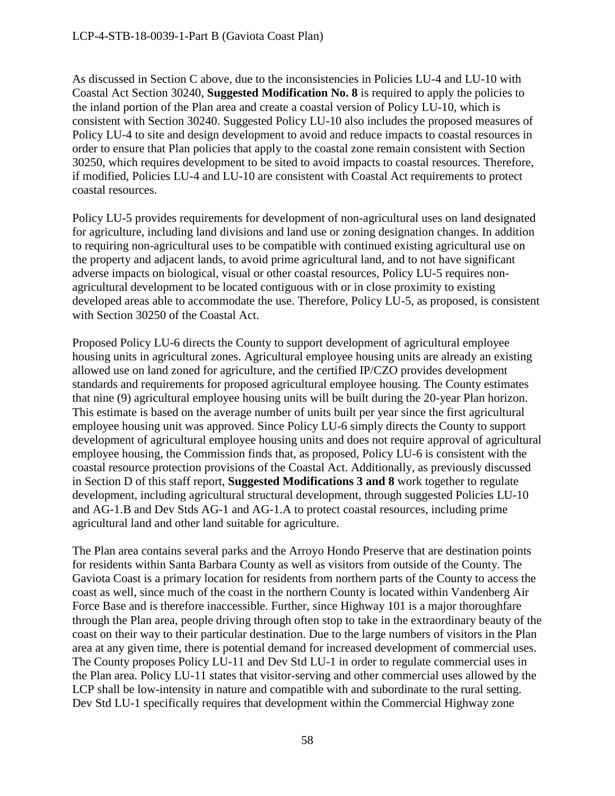As discussed in Section C above, due to the inconsistencies in Policies LU-4 and LU-10 with Coastal Act Section 30240, **Suggested Modification No. 8** is required to apply the policies to the inland portion of the Plan area and create a coastal version of Policy LU-10, which is consistent with Section 30240. Suggested Policy LU-10 also includes the proposed measures of Policy LU-4 to site and design development to avoid and reduce impacts to coastal resources in order to ensure that Plan policies that apply to the coastal zone remain consistent with Section 30250, which requires development to be sited to avoid impacts to coastal resources. Therefore, if modified, Policies LU-4 and LU-10 are consistent with Coastal Act requirements to protect coastal resources.

Policy LU-5 provides requirements for development of non-agricultural uses on land designated for agriculture, including land divisions and land use or zoning designation changes. In addition to requiring non-agricultural uses to be compatible with continued existing agricultural use on the property and adjacent lands, to avoid prime agricultural land, and to not have significant adverse impacts on biological, visual or other coastal resources, Policy LU-5 requires nonagricultural development to be located contiguous with or in close proximity to existing developed areas able to accommodate the use. Therefore, Policy LU-5, as proposed, is consistent with Section 30250 of the Coastal Act.

Proposed Policy LU-6 directs the County to support development of agricultural employee housing units in agricultural zones. Agricultural employee housing units are already an existing allowed use on land zoned for agriculture, and the certified IP/CZO provides development standards and requirements for proposed agricultural employee housing. The County estimates that nine (9) agricultural employee housing units will be built during the 20-year Plan horizon. This estimate is based on the average number of units built per year since the first agricultural employee housing unit was approved. Since Policy LU-6 simply directs the County to support development of agricultural employee housing units and does not require approval of agricultural employee housing, the Commission finds that, as proposed, Policy LU-6 is consistent with the coastal resource protection provisions of the Coastal Act. Additionally, as previously discussed in Section D of this staff report, **Suggested Modifications 3 and 8** work together to regulate development, including agricultural structural development, through suggested Policies LU-10 and AG-1.B and Dev Stds AG-1 and AG-1.A to protect coastal resources, including prime agricultural land and other land suitable for agriculture.

The Plan area contains several parks and the Arroyo Hondo Preserve that are destination points for residents within Santa Barbara County as well as visitors from outside of the County. The Gaviota Coast is a primary location for residents from northern parts of the County to access the coast as well, since much of the coast in the northern County is located within Vandenberg Air Force Base and is therefore inaccessible. Further, since Highway 101 is a major thoroughfare through the Plan area, people driving through often stop to take in the extraordinary beauty of the coast on their way to their particular destination. Due to the large numbers of visitors in the Plan area at any given time, there is potential demand for increased development of commercial uses. The County proposes Policy LU-11 and Dev Std LU-1 in order to regulate commercial uses in the Plan area. Policy LU-11 states that visitor-serving and other commercial uses allowed by the LCP shall be low-intensity in nature and compatible with and subordinate to the rural setting. Dev Std LU-1 specifically requires that development within the Commercial Highway zone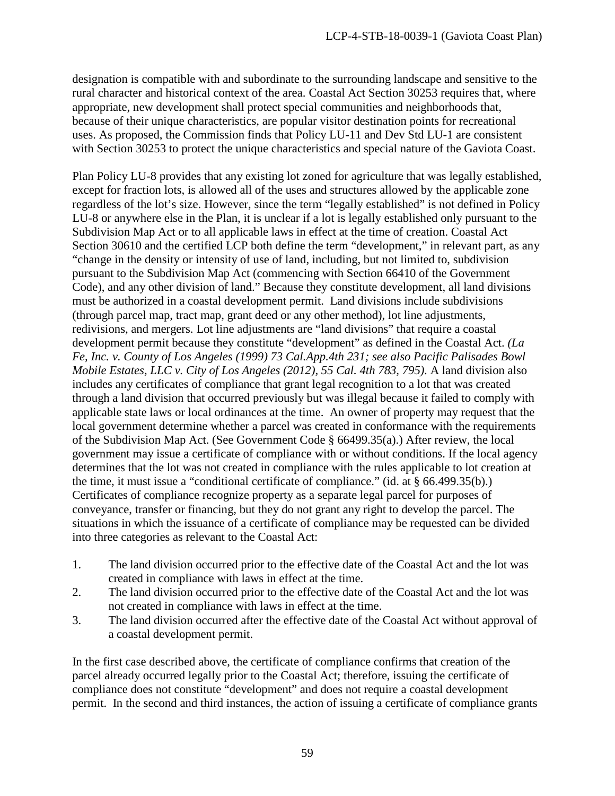designation is compatible with and subordinate to the surrounding landscape and sensitive to the rural character and historical context of the area. Coastal Act Section 30253 requires that, where appropriate, new development shall protect special communities and neighborhoods that, because of their unique characteristics, are popular visitor destination points for recreational uses. As proposed, the Commission finds that Policy LU-11 and Dev Std LU-1 are consistent with Section 30253 to protect the unique characteristics and special nature of the Gaviota Coast.

Plan Policy LU-8 provides that any existing lot zoned for agriculture that was legally established, except for fraction lots, is allowed all of the uses and structures allowed by the applicable zone regardless of the lot's size. However, since the term "legally established" is not defined in Policy LU-8 or anywhere else in the Plan, it is unclear if a lot is legally established only pursuant to the Subdivision Map Act or to all applicable laws in effect at the time of creation. Coastal Act Section 30610 and the certified LCP both define the term "development," in relevant part, as any "change in the density or intensity of use of land, including, but not limited to, subdivision pursuant to the Subdivision Map Act (commencing with Section 66410 of the Government Code), and any other division of land." Because they constitute development, all land divisions must be authorized in a coastal development permit. Land divisions include subdivisions (through parcel map, tract map, grant deed or any other method), lot line adjustments, redivisions, and mergers. Lot line adjustments are "land divisions" that require a coastal development permit because they constitute "development" as defined in the Coastal Act. *(La Fe, Inc. v. County of Los Angeles (1999) 73 Cal.App.4th 231; see also Pacific Palisades Bowl Mobile Estates, LLC v. City of Los Angeles (2012), 55 Cal. 4th 783, 795)*. A land division also includes any certificates of compliance that grant legal recognition to a lot that was created through a land division that occurred previously but was illegal because it failed to comply with applicable state laws or local ordinances at the time. An owner of property may request that the local government determine whether a parcel was created in conformance with the requirements of the Subdivision Map Act. (See Government Code § 66499.35(a).) After review, the local government may issue a certificate of compliance with or without conditions. If the local agency determines that the lot was not created in compliance with the rules applicable to lot creation at the time, it must issue a "conditional certificate of compliance." (id. at § 66.499.35(b).) Certificates of compliance recognize property as a separate legal parcel for purposes of conveyance, transfer or financing, but they do not grant any right to develop the parcel. The situations in which the issuance of a certificate of compliance may be requested can be divided into three categories as relevant to the Coastal Act:

- 1. The land division occurred prior to the effective date of the Coastal Act and the lot was created in compliance with laws in effect at the time.
- 2. The land division occurred prior to the effective date of the Coastal Act and the lot was not created in compliance with laws in effect at the time.
- 3. The land division occurred after the effective date of the Coastal Act without approval of a coastal development permit.

In the first case described above, the certificate of compliance confirms that creation of the parcel already occurred legally prior to the Coastal Act; therefore, issuing the certificate of compliance does not constitute "development" and does not require a coastal development permit. In the second and third instances, the action of issuing a certificate of compliance grants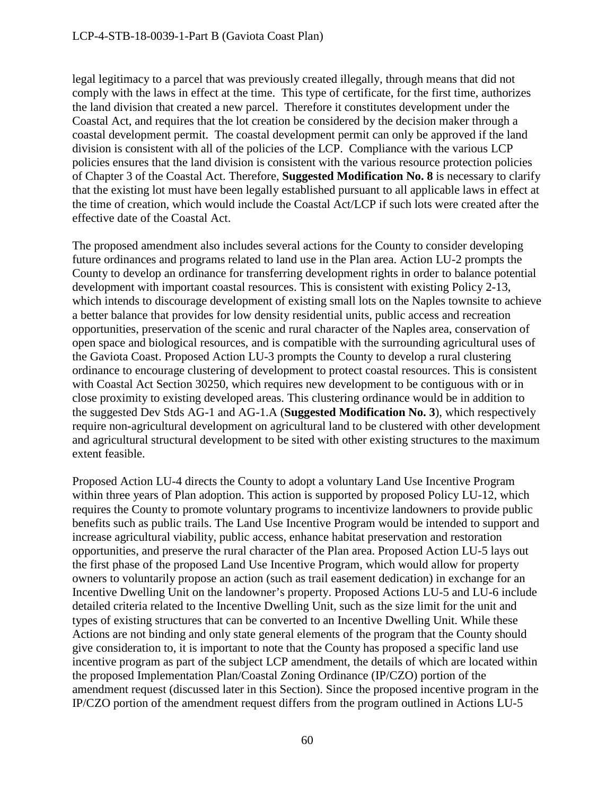legal legitimacy to a parcel that was previously created illegally, through means that did not comply with the laws in effect at the time. This type of certificate, for the first time, authorizes the land division that created a new parcel. Therefore it constitutes development under the Coastal Act, and requires that the lot creation be considered by the decision maker through a coastal development permit. The coastal development permit can only be approved if the land division is consistent with all of the policies of the LCP. Compliance with the various LCP policies ensures that the land division is consistent with the various resource protection policies of Chapter 3 of the Coastal Act. Therefore, **Suggested Modification No. 8** is necessary to clarify that the existing lot must have been legally established pursuant to all applicable laws in effect at the time of creation, which would include the Coastal Act/LCP if such lots were created after the effective date of the Coastal Act.

The proposed amendment also includes several actions for the County to consider developing future ordinances and programs related to land use in the Plan area. Action LU-2 prompts the County to develop an ordinance for transferring development rights in order to balance potential development with important coastal resources. This is consistent with existing Policy 2-13, which intends to discourage development of existing small lots on the Naples townsite to achieve a better balance that provides for low density residential units, public access and recreation opportunities, preservation of the scenic and rural character of the Naples area, conservation of open space and biological resources, and is compatible with the surrounding agricultural uses of the Gaviota Coast. Proposed Action LU-3 prompts the County to develop a rural clustering ordinance to encourage clustering of development to protect coastal resources. This is consistent with Coastal Act Section 30250, which requires new development to be contiguous with or in close proximity to existing developed areas. This clustering ordinance would be in addition to the suggested Dev Stds AG-1 and AG-1.A (**Suggested Modification No. 3**), which respectively require non-agricultural development on agricultural land to be clustered with other development and agricultural structural development to be sited with other existing structures to the maximum extent feasible.

Proposed Action LU-4 directs the County to adopt a voluntary Land Use Incentive Program within three years of Plan adoption. This action is supported by proposed Policy LU-12, which requires the County to promote voluntary programs to incentivize landowners to provide public benefits such as public trails. The Land Use Incentive Program would be intended to support and increase agricultural viability, public access, enhance habitat preservation and restoration opportunities, and preserve the rural character of the Plan area. Proposed Action LU-5 lays out the first phase of the proposed Land Use Incentive Program, which would allow for property owners to voluntarily propose an action (such as trail easement dedication) in exchange for an Incentive Dwelling Unit on the landowner's property. Proposed Actions LU-5 and LU-6 include detailed criteria related to the Incentive Dwelling Unit, such as the size limit for the unit and types of existing structures that can be converted to an Incentive Dwelling Unit. While these Actions are not binding and only state general elements of the program that the County should give consideration to, it is important to note that the County has proposed a specific land use incentive program as part of the subject LCP amendment, the details of which are located within the proposed Implementation Plan/Coastal Zoning Ordinance (IP/CZO) portion of the amendment request (discussed later in this Section). Since the proposed incentive program in the IP/CZO portion of the amendment request differs from the program outlined in Actions LU-5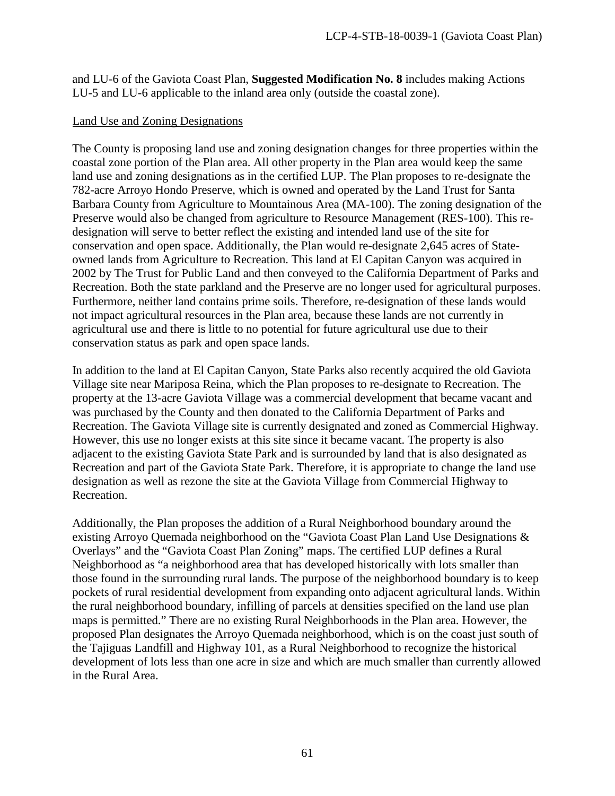and LU-6 of the Gaviota Coast Plan, **Suggested Modification No. 8** includes making Actions LU-5 and LU-6 applicable to the inland area only (outside the coastal zone).

### Land Use and Zoning Designations

The County is proposing land use and zoning designation changes for three properties within the coastal zone portion of the Plan area. All other property in the Plan area would keep the same land use and zoning designations as in the certified LUP. The Plan proposes to re-designate the 782-acre Arroyo Hondo Preserve, which is owned and operated by the Land Trust for Santa Barbara County from Agriculture to Mountainous Area (MA-100). The zoning designation of the Preserve would also be changed from agriculture to Resource Management (RES-100). This redesignation will serve to better reflect the existing and intended land use of the site for conservation and open space. Additionally, the Plan would re-designate 2,645 acres of Stateowned lands from Agriculture to Recreation. This land at El Capitan Canyon was acquired in 2002 by The Trust for Public Land and then conveyed to the California Department of Parks and Recreation. Both the state parkland and the Preserve are no longer used for agricultural purposes. Furthermore, neither land contains prime soils. Therefore, re-designation of these lands would not impact agricultural resources in the Plan area, because these lands are not currently in agricultural use and there is little to no potential for future agricultural use due to their conservation status as park and open space lands.

In addition to the land at El Capitan Canyon, State Parks also recently acquired the old Gaviota Village site near Mariposa Reina, which the Plan proposes to re-designate to Recreation. The property at the 13-acre Gaviota Village was a commercial development that became vacant and was purchased by the County and then donated to the California Department of Parks and Recreation. The Gaviota Village site is currently designated and zoned as Commercial Highway. However, this use no longer exists at this site since it became vacant. The property is also adjacent to the existing Gaviota State Park and is surrounded by land that is also designated as Recreation and part of the Gaviota State Park. Therefore, it is appropriate to change the land use designation as well as rezone the site at the Gaviota Village from Commercial Highway to Recreation.

Additionally, the Plan proposes the addition of a Rural Neighborhood boundary around the existing Arroyo Quemada neighborhood on the "Gaviota Coast Plan Land Use Designations & Overlays" and the "Gaviota Coast Plan Zoning" maps. The certified LUP defines a Rural Neighborhood as "a neighborhood area that has developed historically with lots smaller than those found in the surrounding rural lands. The purpose of the neighborhood boundary is to keep pockets of rural residential development from expanding onto adjacent agricultural lands. Within the rural neighborhood boundary, infilling of parcels at densities specified on the land use plan maps is permitted." There are no existing Rural Neighborhoods in the Plan area. However, the proposed Plan designates the Arroyo Quemada neighborhood, which is on the coast just south of the Tajiguas Landfill and Highway 101, as a Rural Neighborhood to recognize the historical development of lots less than one acre in size and which are much smaller than currently allowed in the Rural Area.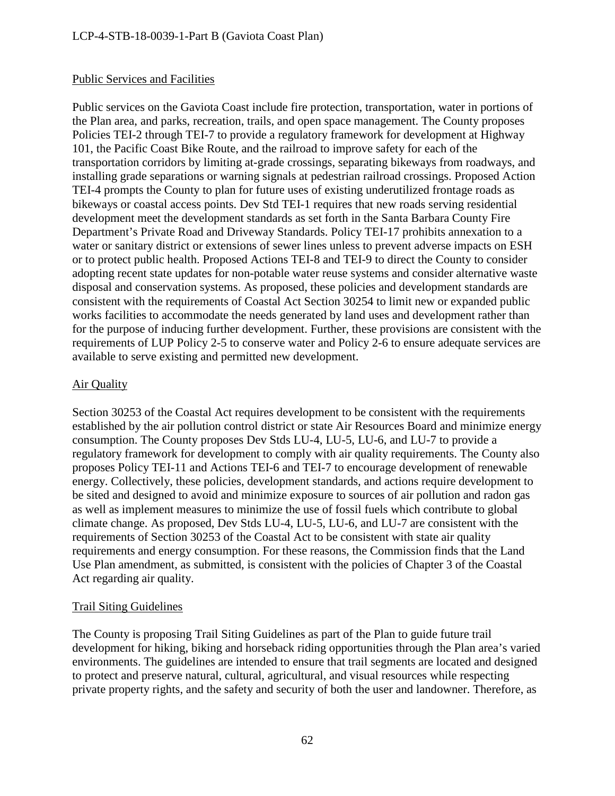# Public Services and Facilities

Public services on the Gaviota Coast include fire protection, transportation, water in portions of the Plan area, and parks, recreation, trails, and open space management. The County proposes Policies TEI-2 through TEI-7 to provide a regulatory framework for development at Highway 101, the Pacific Coast Bike Route, and the railroad to improve safety for each of the transportation corridors by limiting at-grade crossings, separating bikeways from roadways, and installing grade separations or warning signals at pedestrian railroad crossings. Proposed Action TEI-4 prompts the County to plan for future uses of existing underutilized frontage roads as bikeways or coastal access points. Dev Std TEI-1 requires that new roads serving residential development meet the development standards as set forth in the Santa Barbara County Fire Department's Private Road and Driveway Standards. Policy TEI-17 prohibits annexation to a water or sanitary district or extensions of sewer lines unless to prevent adverse impacts on ESH or to protect public health. Proposed Actions TEI-8 and TEI-9 to direct the County to consider adopting recent state updates for non-potable water reuse systems and consider alternative waste disposal and conservation systems. As proposed, these policies and development standards are consistent with the requirements of Coastal Act Section 30254 to limit new or expanded public works facilities to accommodate the needs generated by land uses and development rather than for the purpose of inducing further development. Further, these provisions are consistent with the requirements of LUP Policy 2-5 to conserve water and Policy 2-6 to ensure adequate services are available to serve existing and permitted new development.

# Air Quality

Section 30253 of the Coastal Act requires development to be consistent with the requirements established by the air pollution control district or state Air Resources Board and minimize energy consumption. The County proposes Dev Stds LU-4, LU-5, LU-6, and LU-7 to provide a regulatory framework for development to comply with air quality requirements. The County also proposes Policy TEI-11 and Actions TEI-6 and TEI-7 to encourage development of renewable energy. Collectively, these policies, development standards, and actions require development to be sited and designed to avoid and minimize exposure to sources of air pollution and radon gas as well as implement measures to minimize the use of fossil fuels which contribute to global climate change. As proposed, Dev Stds LU-4, LU-5, LU-6, and LU-7 are consistent with the requirements of Section 30253 of the Coastal Act to be consistent with state air quality requirements and energy consumption. For these reasons, the Commission finds that the Land Use Plan amendment, as submitted, is consistent with the policies of Chapter 3 of the Coastal Act regarding air quality.

### Trail Siting Guidelines

The County is proposing Trail Siting Guidelines as part of the Plan to guide future trail development for hiking, biking and horseback riding opportunities through the Plan area's varied environments. The guidelines are intended to ensure that trail segments are located and designed to protect and preserve natural, cultural, agricultural, and visual resources while respecting private property rights, and the safety and security of both the user and landowner. Therefore, as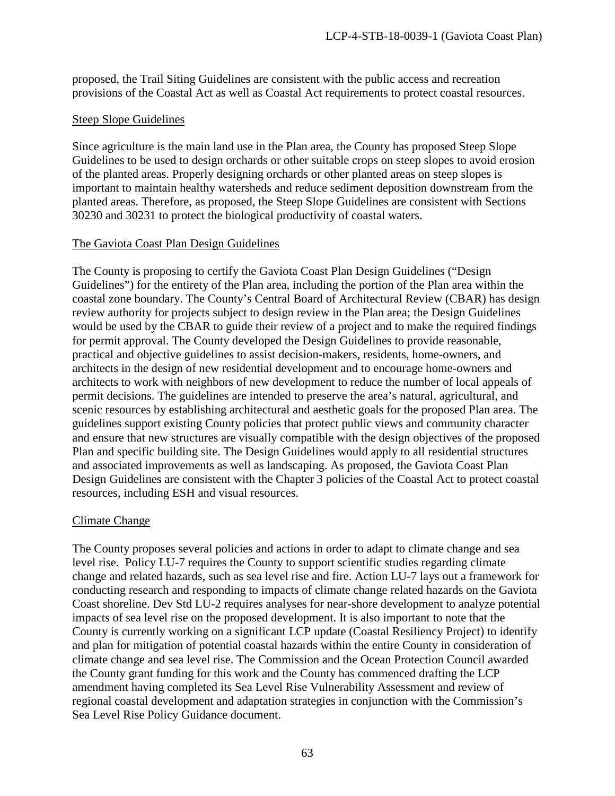proposed, the Trail Siting Guidelines are consistent with the public access and recreation provisions of the Coastal Act as well as Coastal Act requirements to protect coastal resources.

### Steep Slope Guidelines

Since agriculture is the main land use in the Plan area, the County has proposed Steep Slope Guidelines to be used to design orchards or other suitable crops on steep slopes to avoid erosion of the planted areas. Properly designing orchards or other planted areas on steep slopes is important to maintain healthy watersheds and reduce sediment deposition downstream from the planted areas. Therefore, as proposed, the Steep Slope Guidelines are consistent with Sections 30230 and 30231 to protect the biological productivity of coastal waters.

# The Gaviota Coast Plan Design Guidelines

The County is proposing to certify the Gaviota Coast Plan Design Guidelines ("Design Guidelines") for the entirety of the Plan area, including the portion of the Plan area within the coastal zone boundary. The County's Central Board of Architectural Review (CBAR) has design review authority for projects subject to design review in the Plan area; the Design Guidelines would be used by the CBAR to guide their review of a project and to make the required findings for permit approval. The County developed the Design Guidelines to provide reasonable, practical and objective guidelines to assist decision-makers, residents, home-owners, and architects in the design of new residential development and to encourage home-owners and architects to work with neighbors of new development to reduce the number of local appeals of permit decisions. The guidelines are intended to preserve the area's natural, agricultural, and scenic resources by establishing architectural and aesthetic goals for the proposed Plan area. The guidelines support existing County policies that protect public views and community character and ensure that new structures are visually compatible with the design objectives of the proposed Plan and specific building site. The Design Guidelines would apply to all residential structures and associated improvements as well as landscaping. As proposed, the Gaviota Coast Plan Design Guidelines are consistent with the Chapter 3 policies of the Coastal Act to protect coastal resources, including ESH and visual resources.

# Climate Change

The County proposes several policies and actions in order to adapt to climate change and sea level rise. Policy LU-7 requires the County to support scientific studies regarding climate change and related hazards, such as sea level rise and fire. Action LU-7 lays out a framework for conducting research and responding to impacts of climate change related hazards on the Gaviota Coast shoreline. Dev Std LU-2 requires analyses for near-shore development to analyze potential impacts of sea level rise on the proposed development. It is also important to note that the County is currently working on a significant LCP update (Coastal Resiliency Project) to identify and plan for mitigation of potential coastal hazards within the entire County in consideration of climate change and sea level rise. The Commission and the Ocean Protection Council awarded the County grant funding for this work and the County has commenced drafting the LCP amendment having completed its Sea Level Rise Vulnerability Assessment and review of regional coastal development and adaptation strategies in conjunction with the Commission's Sea Level Rise Policy Guidance document.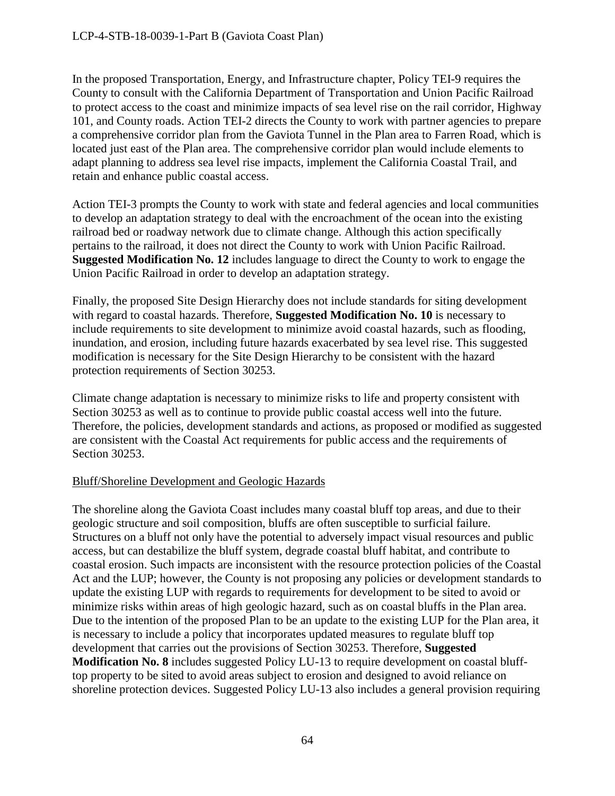In the proposed Transportation, Energy, and Infrastructure chapter, Policy TEI-9 requires the County to consult with the California Department of Transportation and Union Pacific Railroad to protect access to the coast and minimize impacts of sea level rise on the rail corridor, Highway 101, and County roads. Action TEI-2 directs the County to work with partner agencies to prepare a comprehensive corridor plan from the Gaviota Tunnel in the Plan area to Farren Road, which is located just east of the Plan area. The comprehensive corridor plan would include elements to adapt planning to address sea level rise impacts, implement the California Coastal Trail, and retain and enhance public coastal access.

Action TEI-3 prompts the County to work with state and federal agencies and local communities to develop an adaptation strategy to deal with the encroachment of the ocean into the existing railroad bed or roadway network due to climate change. Although this action specifically pertains to the railroad, it does not direct the County to work with Union Pacific Railroad. **Suggested Modification No. 12** includes language to direct the County to work to engage the Union Pacific Railroad in order to develop an adaptation strategy.

Finally, the proposed Site Design Hierarchy does not include standards for siting development with regard to coastal hazards. Therefore, **Suggested Modification No. 10** is necessary to include requirements to site development to minimize avoid coastal hazards, such as flooding, inundation, and erosion, including future hazards exacerbated by sea level rise. This suggested modification is necessary for the Site Design Hierarchy to be consistent with the hazard protection requirements of Section 30253.

Climate change adaptation is necessary to minimize risks to life and property consistent with Section 30253 as well as to continue to provide public coastal access well into the future. Therefore, the policies, development standards and actions, as proposed or modified as suggested are consistent with the Coastal Act requirements for public access and the requirements of Section 30253.

# Bluff/Shoreline Development and Geologic Hazards

The shoreline along the Gaviota Coast includes many coastal bluff top areas, and due to their geologic structure and soil composition, bluffs are often susceptible to surficial failure. Structures on a bluff not only have the potential to adversely impact visual resources and public access, but can destabilize the bluff system, degrade coastal bluff habitat, and contribute to coastal erosion. Such impacts are inconsistent with the resource protection policies of the Coastal Act and the LUP; however, the County is not proposing any policies or development standards to update the existing LUP with regards to requirements for development to be sited to avoid or minimize risks within areas of high geologic hazard, such as on coastal bluffs in the Plan area. Due to the intention of the proposed Plan to be an update to the existing LUP for the Plan area, it is necessary to include a policy that incorporates updated measures to regulate bluff top development that carries out the provisions of Section 30253. Therefore, **Suggested Modification No. 8** includes suggested Policy LU-13 to require development on coastal blufftop property to be sited to avoid areas subject to erosion and designed to avoid reliance on shoreline protection devices. Suggested Policy LU-13 also includes a general provision requiring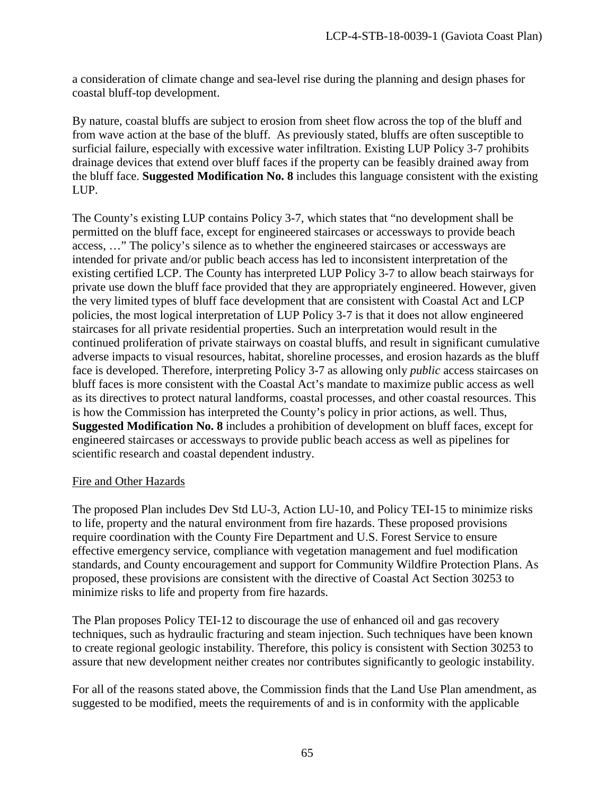a consideration of climate change and sea-level rise during the planning and design phases for coastal bluff-top development.

By nature, coastal bluffs are subject to erosion from sheet flow across the top of the bluff and from wave action at the base of the bluff. As previously stated, bluffs are often susceptible to surficial failure, especially with excessive water infiltration. Existing LUP Policy 3-7 prohibits drainage devices that extend over bluff faces if the property can be feasibly drained away from the bluff face. **Suggested Modification No. 8** includes this language consistent with the existing LUP.

The County's existing LUP contains Policy 3-7, which states that "no development shall be permitted on the bluff face, except for engineered staircases or accessways to provide beach access, …" The policy's silence as to whether the engineered staircases or accessways are intended for private and/or public beach access has led to inconsistent interpretation of the existing certified LCP. The County has interpreted LUP Policy 3-7 to allow beach stairways for private use down the bluff face provided that they are appropriately engineered. However, given the very limited types of bluff face development that are consistent with Coastal Act and LCP policies, the most logical interpretation of LUP Policy 3-7 is that it does not allow engineered staircases for all private residential properties. Such an interpretation would result in the continued proliferation of private stairways on coastal bluffs, and result in significant cumulative adverse impacts to visual resources, habitat, shoreline processes, and erosion hazards as the bluff face is developed. Therefore, interpreting Policy 3-7 as allowing only *public* access staircases on bluff faces is more consistent with the Coastal Act's mandate to maximize public access as well as its directives to protect natural landforms, coastal processes, and other coastal resources. This is how the Commission has interpreted the County's policy in prior actions, as well. Thus, **Suggested Modification No. 8** includes a prohibition of development on bluff faces, except for engineered staircases or accessways to provide public beach access as well as pipelines for scientific research and coastal dependent industry.

# Fire and Other Hazards

The proposed Plan includes Dev Std LU-3, Action LU-10, and Policy TEI-15 to minimize risks to life, property and the natural environment from fire hazards. These proposed provisions require coordination with the County Fire Department and U.S. Forest Service to ensure effective emergency service, compliance with vegetation management and fuel modification standards, and County encouragement and support for Community Wildfire Protection Plans. As proposed, these provisions are consistent with the directive of Coastal Act Section 30253 to minimize risks to life and property from fire hazards.

The Plan proposes Policy TEI-12 to discourage the use of enhanced oil and gas recovery techniques, such as hydraulic fracturing and steam injection. Such techniques have been known to create regional geologic instability. Therefore, this policy is consistent with Section 30253 to assure that new development neither creates nor contributes significantly to geologic instability.

For all of the reasons stated above, the Commission finds that the Land Use Plan amendment, as suggested to be modified, meets the requirements of and is in conformity with the applicable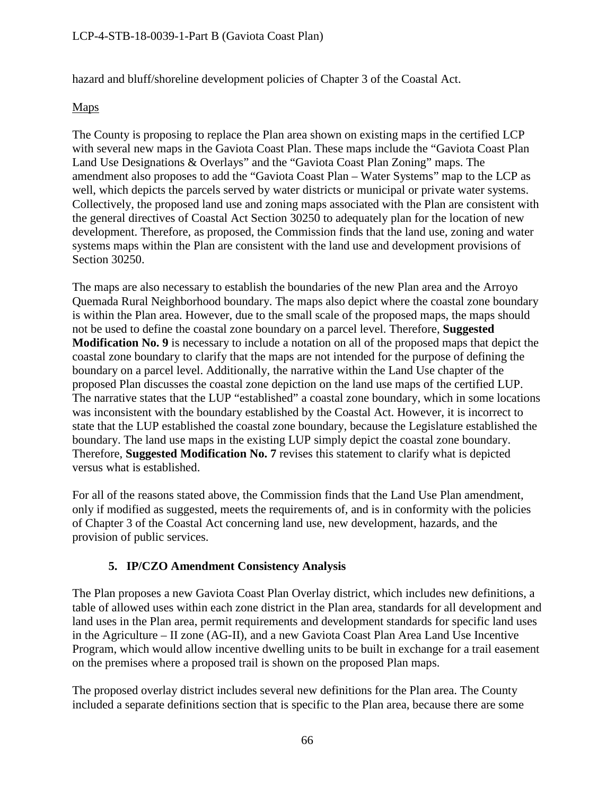hazard and bluff/shoreline development policies of Chapter 3 of the Coastal Act.

# Maps

The County is proposing to replace the Plan area shown on existing maps in the certified LCP with several new maps in the Gaviota Coast Plan. These maps include the "Gaviota Coast Plan Land Use Designations & Overlays" and the "Gaviota Coast Plan Zoning" maps. The amendment also proposes to add the "Gaviota Coast Plan – Water Systems" map to the LCP as well, which depicts the parcels served by water districts or municipal or private water systems. Collectively, the proposed land use and zoning maps associated with the Plan are consistent with the general directives of Coastal Act Section 30250 to adequately plan for the location of new development. Therefore, as proposed, the Commission finds that the land use, zoning and water systems maps within the Plan are consistent with the land use and development provisions of Section 30250.

The maps are also necessary to establish the boundaries of the new Plan area and the Arroyo Quemada Rural Neighborhood boundary. The maps also depict where the coastal zone boundary is within the Plan area. However, due to the small scale of the proposed maps, the maps should not be used to define the coastal zone boundary on a parcel level. Therefore, **Suggested Modification No. 9** is necessary to include a notation on all of the proposed maps that depict the coastal zone boundary to clarify that the maps are not intended for the purpose of defining the boundary on a parcel level. Additionally, the narrative within the Land Use chapter of the proposed Plan discusses the coastal zone depiction on the land use maps of the certified LUP. The narrative states that the LUP "established" a coastal zone boundary, which in some locations was inconsistent with the boundary established by the Coastal Act. However, it is incorrect to state that the LUP established the coastal zone boundary, because the Legislature established the boundary. The land use maps in the existing LUP simply depict the coastal zone boundary. Therefore, **Suggested Modification No. 7** revises this statement to clarify what is depicted versus what is established.

For all of the reasons stated above, the Commission finds that the Land Use Plan amendment, only if modified as suggested, meets the requirements of, and is in conformity with the policies of Chapter 3 of the Coastal Act concerning land use, new development, hazards, and the provision of public services.

# **5. IP/CZO Amendment Consistency Analysis**

The Plan proposes a new Gaviota Coast Plan Overlay district, which includes new definitions, a table of allowed uses within each zone district in the Plan area, standards for all development and land uses in the Plan area, permit requirements and development standards for specific land uses in the Agriculture – II zone (AG-II), and a new Gaviota Coast Plan Area Land Use Incentive Program, which would allow incentive dwelling units to be built in exchange for a trail easement on the premises where a proposed trail is shown on the proposed Plan maps.

The proposed overlay district includes several new definitions for the Plan area. The County included a separate definitions section that is specific to the Plan area, because there are some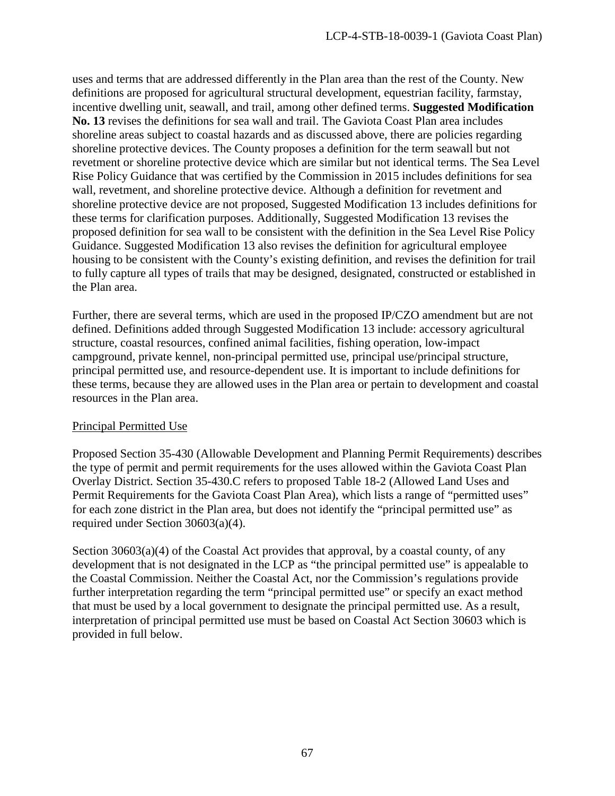uses and terms that are addressed differently in the Plan area than the rest of the County. New definitions are proposed for agricultural structural development, equestrian facility, farmstay, incentive dwelling unit, seawall, and trail, among other defined terms. **Suggested Modification No. 13** revises the definitions for sea wall and trail. The Gaviota Coast Plan area includes shoreline areas subject to coastal hazards and as discussed above, there are policies regarding shoreline protective devices. The County proposes a definition for the term seawall but not revetment or shoreline protective device which are similar but not identical terms. The Sea Level Rise Policy Guidance that was certified by the Commission in 2015 includes definitions for sea wall, revetment, and shoreline protective device. Although a definition for revetment and shoreline protective device are not proposed, Suggested Modification 13 includes definitions for these terms for clarification purposes. Additionally, Suggested Modification 13 revises the proposed definition for sea wall to be consistent with the definition in the Sea Level Rise Policy Guidance. Suggested Modification 13 also revises the definition for agricultural employee housing to be consistent with the County's existing definition, and revises the definition for trail to fully capture all types of trails that may be designed, designated, constructed or established in the Plan area.

Further, there are several terms, which are used in the proposed IP/CZO amendment but are not defined. Definitions added through Suggested Modification 13 include: accessory agricultural structure, coastal resources, confined animal facilities, fishing operation, low-impact campground, private kennel, non-principal permitted use, principal use/principal structure, principal permitted use, and resource-dependent use. It is important to include definitions for these terms, because they are allowed uses in the Plan area or pertain to development and coastal resources in the Plan area.

# Principal Permitted Use

Proposed Section 35-430 (Allowable Development and Planning Permit Requirements) describes the type of permit and permit requirements for the uses allowed within the Gaviota Coast Plan Overlay District. Section 35-430.C refers to proposed Table 18-2 (Allowed Land Uses and Permit Requirements for the Gaviota Coast Plan Area), which lists a range of "permitted uses" for each zone district in the Plan area, but does not identify the "principal permitted use" as required under Section 30603(a)(4).

Section  $30603(a)(4)$  of the Coastal Act provides that approval, by a coastal county, of any development that is not designated in the LCP as "the principal permitted use" is appealable to the Coastal Commission. Neither the Coastal Act, nor the Commission's regulations provide further interpretation regarding the term "principal permitted use" or specify an exact method that must be used by a local government to designate the principal permitted use. As a result, interpretation of principal permitted use must be based on Coastal Act Section 30603 which is provided in full below.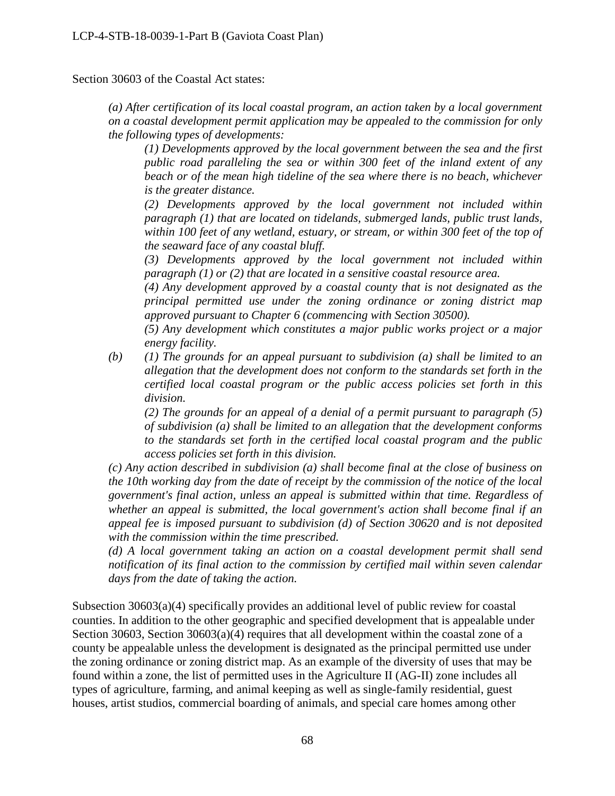Section 30603 of the Coastal Act states:

*(a) After certification of its local coastal program, an action taken by a local government on a coastal development permit application may be appealed to the commission for only the following types of developments:* 

*(1) Developments approved by the local government between the sea and the first public road paralleling the sea or within 300 feet of the inland extent of any beach or of the mean high tideline of the sea where there is no beach, whichever is the greater distance.* 

*(2) Developments approved by the local government not included within paragraph (1) that are located on tidelands, submerged lands, public trust lands, within 100 feet of any wetland, estuary, or stream, or within 300 feet of the top of the seaward face of any coastal bluff.* 

*(3) Developments approved by the local government not included within paragraph (1) or (2) that are located in a sensitive coastal resource area.* 

*(4) Any development approved by a coastal county that is not designated as the principal permitted use under the zoning ordinance or zoning district map approved pursuant to Chapter 6 (commencing with Section 30500).* 

*(5) Any development which constitutes a major public works project or a major energy facility.*

*(b) (1) The grounds for an appeal pursuant to subdivision (a) shall be limited to an allegation that the development does not conform to the standards set forth in the certified local coastal program or the public access policies set forth in this division.* 

*(2) The grounds for an appeal of a denial of a permit pursuant to paragraph (5) of subdivision (a) shall be limited to an allegation that the development conforms to the standards set forth in the certified local coastal program and the public access policies set forth in this division.*

*(c) Any action described in subdivision (a) shall become final at the close of business on the 10th working day from the date of receipt by the commission of the notice of the local government's final action, unless an appeal is submitted within that time. Regardless of whether an appeal is submitted, the local government's action shall become final if an appeal fee is imposed pursuant to subdivision (d) of Section 30620 and is not deposited with the commission within the time prescribed.* 

*(d) A local government taking an action on a coastal development permit shall send notification of its final action to the commission by certified mail within seven calendar days from the date of taking the action.* 

Subsection 30603(a)(4) specifically provides an additional level of public review for coastal counties. In addition to the other geographic and specified development that is appealable under Section 30603, Section 30603(a)(4) requires that all development within the coastal zone of a county be appealable unless the development is designated as the principal permitted use under the zoning ordinance or zoning district map. As an example of the diversity of uses that may be found within a zone, the list of permitted uses in the Agriculture II (AG-II) zone includes all types of agriculture, farming, and animal keeping as well as single-family residential, guest houses, artist studios, commercial boarding of animals, and special care homes among other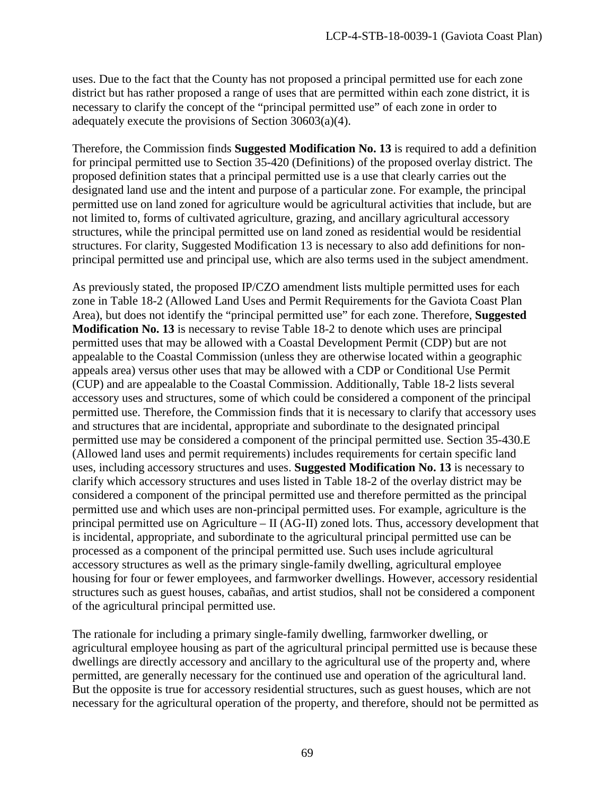uses. Due to the fact that the County has not proposed a principal permitted use for each zone district but has rather proposed a range of uses that are permitted within each zone district, it is necessary to clarify the concept of the "principal permitted use" of each zone in order to adequately execute the provisions of Section 30603(a)(4).

Therefore, the Commission finds **Suggested Modification No. 13** is required to add a definition for principal permitted use to Section 35-420 (Definitions) of the proposed overlay district. The proposed definition states that a principal permitted use is a use that clearly carries out the designated land use and the intent and purpose of a particular zone. For example, the principal permitted use on land zoned for agriculture would be agricultural activities that include, but are not limited to, forms of cultivated agriculture, grazing, and ancillary agricultural accessory structures, while the principal permitted use on land zoned as residential would be residential structures. For clarity, Suggested Modification 13 is necessary to also add definitions for nonprincipal permitted use and principal use, which are also terms used in the subject amendment.

As previously stated, the proposed IP/CZO amendment lists multiple permitted uses for each zone in Table 18-2 (Allowed Land Uses and Permit Requirements for the Gaviota Coast Plan Area), but does not identify the "principal permitted use" for each zone. Therefore, **Suggested Modification No. 13** is necessary to revise Table 18-2 to denote which uses are principal permitted uses that may be allowed with a Coastal Development Permit (CDP) but are not appealable to the Coastal Commission (unless they are otherwise located within a geographic appeals area) versus other uses that may be allowed with a CDP or Conditional Use Permit (CUP) and are appealable to the Coastal Commission. Additionally, Table 18-2 lists several accessory uses and structures, some of which could be considered a component of the principal permitted use. Therefore, the Commission finds that it is necessary to clarify that accessory uses and structures that are incidental, appropriate and subordinate to the designated principal permitted use may be considered a component of the principal permitted use. Section 35-430.E (Allowed land uses and permit requirements) includes requirements for certain specific land uses, including accessory structures and uses. **Suggested Modification No. 13** is necessary to clarify which accessory structures and uses listed in Table 18-2 of the overlay district may be considered a component of the principal permitted use and therefore permitted as the principal permitted use and which uses are non-principal permitted uses. For example, agriculture is the principal permitted use on Agriculture – II (AG-II) zoned lots. Thus, accessory development that is incidental, appropriate, and subordinate to the agricultural principal permitted use can be processed as a component of the principal permitted use. Such uses include agricultural accessory structures as well as the primary single-family dwelling, agricultural employee housing for four or fewer employees, and farmworker dwellings. However, accessory residential structures such as guest houses, cabañas, and artist studios, shall not be considered a component of the agricultural principal permitted use.

The rationale for including a primary single-family dwelling, farmworker dwelling, or agricultural employee housing as part of the agricultural principal permitted use is because these dwellings are directly accessory and ancillary to the agricultural use of the property and, where permitted, are generally necessary for the continued use and operation of the agricultural land. But the opposite is true for accessory residential structures, such as guest houses, which are not necessary for the agricultural operation of the property, and therefore, should not be permitted as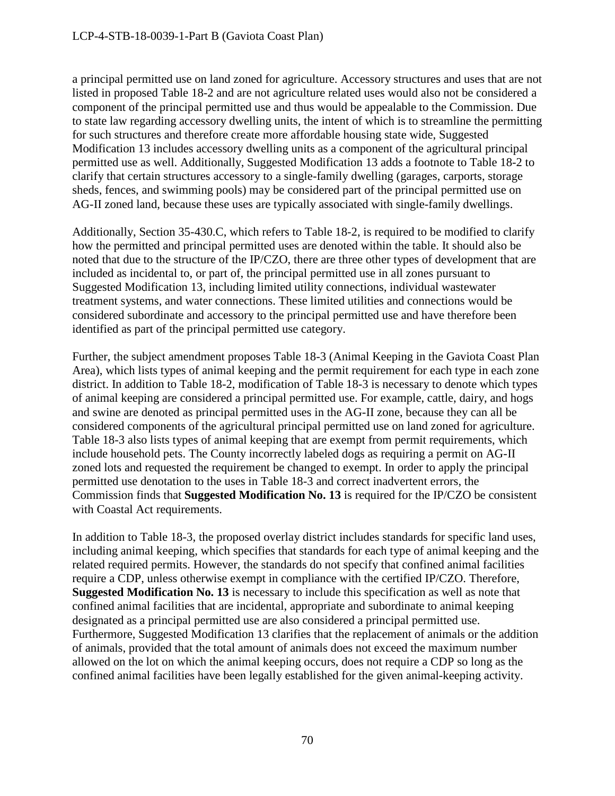a principal permitted use on land zoned for agriculture. Accessory structures and uses that are not listed in proposed Table 18-2 and are not agriculture related uses would also not be considered a component of the principal permitted use and thus would be appealable to the Commission. Due to state law regarding accessory dwelling units, the intent of which is to streamline the permitting for such structures and therefore create more affordable housing state wide, Suggested Modification 13 includes accessory dwelling units as a component of the agricultural principal permitted use as well. Additionally, Suggested Modification 13 adds a footnote to Table 18-2 to clarify that certain structures accessory to a single-family dwelling (garages, carports, storage sheds, fences, and swimming pools) may be considered part of the principal permitted use on AG-II zoned land, because these uses are typically associated with single-family dwellings.

Additionally, Section 35-430.C, which refers to Table 18-2, is required to be modified to clarify how the permitted and principal permitted uses are denoted within the table. It should also be noted that due to the structure of the IP/CZO, there are three other types of development that are included as incidental to, or part of, the principal permitted use in all zones pursuant to Suggested Modification 13, including limited utility connections, individual wastewater treatment systems, and water connections. These limited utilities and connections would be considered subordinate and accessory to the principal permitted use and have therefore been identified as part of the principal permitted use category.

Further, the subject amendment proposes Table 18-3 (Animal Keeping in the Gaviota Coast Plan Area), which lists types of animal keeping and the permit requirement for each type in each zone district. In addition to Table 18-2, modification of Table 18-3 is necessary to denote which types of animal keeping are considered a principal permitted use. For example, cattle, dairy, and hogs and swine are denoted as principal permitted uses in the AG-II zone, because they can all be considered components of the agricultural principal permitted use on land zoned for agriculture. Table 18-3 also lists types of animal keeping that are exempt from permit requirements, which include household pets. The County incorrectly labeled dogs as requiring a permit on AG-II zoned lots and requested the requirement be changed to exempt. In order to apply the principal permitted use denotation to the uses in Table 18-3 and correct inadvertent errors, the Commission finds that **Suggested Modification No. 13** is required for the IP/CZO be consistent with Coastal Act requirements.

In addition to Table 18-3, the proposed overlay district includes standards for specific land uses, including animal keeping, which specifies that standards for each type of animal keeping and the related required permits. However, the standards do not specify that confined animal facilities require a CDP, unless otherwise exempt in compliance with the certified IP/CZO. Therefore, **Suggested Modification No. 13** is necessary to include this specification as well as note that confined animal facilities that are incidental, appropriate and subordinate to animal keeping designated as a principal permitted use are also considered a principal permitted use. Furthermore, Suggested Modification 13 clarifies that the replacement of animals or the addition of animals, provided that the total amount of animals does not exceed the maximum number allowed on the lot on which the animal keeping occurs, does not require a CDP so long as the confined animal facilities have been legally established for the given animal-keeping activity.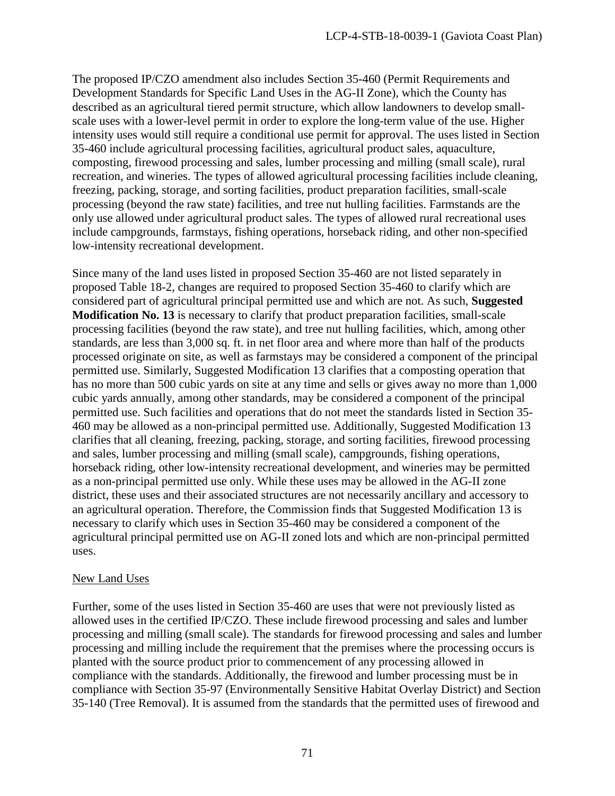The proposed IP/CZO amendment also includes Section 35-460 (Permit Requirements and Development Standards for Specific Land Uses in the AG-II Zone), which the County has described as an agricultural tiered permit structure, which allow landowners to develop smallscale uses with a lower-level permit in order to explore the long-term value of the use. Higher intensity uses would still require a conditional use permit for approval. The uses listed in Section 35-460 include agricultural processing facilities, agricultural product sales, aquaculture, composting, firewood processing and sales, lumber processing and milling (small scale), rural recreation, and wineries. The types of allowed agricultural processing facilities include cleaning, freezing, packing, storage, and sorting facilities, product preparation facilities, small-scale processing (beyond the raw state) facilities, and tree nut hulling facilities. Farmstands are the only use allowed under agricultural product sales. The types of allowed rural recreational uses include campgrounds, farmstays, fishing operations, horseback riding, and other non-specified low-intensity recreational development.

Since many of the land uses listed in proposed Section 35-460 are not listed separately in proposed Table 18-2, changes are required to proposed Section 35-460 to clarify which are considered part of agricultural principal permitted use and which are not. As such, **Suggested Modification No. 13** is necessary to clarify that product preparation facilities, small-scale processing facilities (beyond the raw state), and tree nut hulling facilities, which, among other standards, are less than 3,000 sq. ft. in net floor area and where more than half of the products processed originate on site, as well as farmstays may be considered a component of the principal permitted use. Similarly, Suggested Modification 13 clarifies that a composting operation that has no more than 500 cubic yards on site at any time and sells or gives away no more than 1,000 cubic yards annually, among other standards, may be considered a component of the principal permitted use. Such facilities and operations that do not meet the standards listed in Section 35- 460 may be allowed as a non-principal permitted use. Additionally, Suggested Modification 13 clarifies that all cleaning, freezing, packing, storage, and sorting facilities, firewood processing and sales, lumber processing and milling (small scale), campgrounds, fishing operations, horseback riding, other low-intensity recreational development, and wineries may be permitted as a non-principal permitted use only. While these uses may be allowed in the AG-II zone district, these uses and their associated structures are not necessarily ancillary and accessory to an agricultural operation. Therefore, the Commission finds that Suggested Modification 13 is necessary to clarify which uses in Section 35-460 may be considered a component of the agricultural principal permitted use on AG-II zoned lots and which are non-principal permitted uses.

### New Land Uses

Further, some of the uses listed in Section 35-460 are uses that were not previously listed as allowed uses in the certified IP/CZO. These include firewood processing and sales and lumber processing and milling (small scale). The standards for firewood processing and sales and lumber processing and milling include the requirement that the premises where the processing occurs is planted with the source product prior to commencement of any processing allowed in compliance with the standards. Additionally, the firewood and lumber processing must be in compliance with Section 35-97 (Environmentally Sensitive Habitat Overlay District) and Section 35-140 (Tree Removal). It is assumed from the standards that the permitted uses of firewood and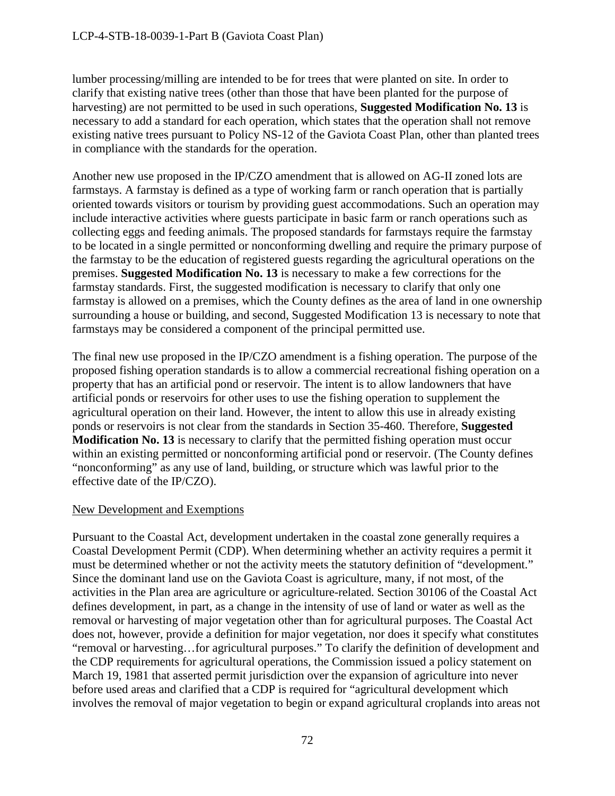lumber processing/milling are intended to be for trees that were planted on site. In order to clarify that existing native trees (other than those that have been planted for the purpose of harvesting) are not permitted to be used in such operations, **Suggested Modification No. 13** is necessary to add a standard for each operation, which states that the operation shall not remove existing native trees pursuant to Policy NS-12 of the Gaviota Coast Plan, other than planted trees in compliance with the standards for the operation.

Another new use proposed in the IP/CZO amendment that is allowed on AG-II zoned lots are farmstays. A farmstay is defined as a type of working farm or ranch operation that is partially oriented towards visitors or tourism by providing guest accommodations. Such an operation may include interactive activities where guests participate in basic farm or ranch operations such as collecting eggs and feeding animals. The proposed standards for farmstays require the farmstay to be located in a single permitted or nonconforming dwelling and require the primary purpose of the farmstay to be the education of registered guests regarding the agricultural operations on the premises. **Suggested Modification No. 13** is necessary to make a few corrections for the farmstay standards. First, the suggested modification is necessary to clarify that only one farmstay is allowed on a premises, which the County defines as the area of land in one ownership surrounding a house or building, and second, Suggested Modification 13 is necessary to note that farmstays may be considered a component of the principal permitted use.

The final new use proposed in the IP/CZO amendment is a fishing operation. The purpose of the proposed fishing operation standards is to allow a commercial recreational fishing operation on a property that has an artificial pond or reservoir. The intent is to allow landowners that have artificial ponds or reservoirs for other uses to use the fishing operation to supplement the agricultural operation on their land. However, the intent to allow this use in already existing ponds or reservoirs is not clear from the standards in Section 35-460. Therefore, **Suggested Modification No. 13** is necessary to clarify that the permitted fishing operation must occur within an existing permitted or nonconforming artificial pond or reservoir. (The County defines "nonconforming" as any use of land, building, or structure which was lawful prior to the effective date of the IP/CZO).

### New Development and Exemptions

Pursuant to the Coastal Act, development undertaken in the coastal zone generally requires a Coastal Development Permit (CDP). When determining whether an activity requires a permit it must be determined whether or not the activity meets the statutory definition of "development." Since the dominant land use on the Gaviota Coast is agriculture, many, if not most, of the activities in the Plan area are agriculture or agriculture-related. Section 30106 of the Coastal Act defines development, in part, as a change in the intensity of use of land or water as well as the removal or harvesting of major vegetation other than for agricultural purposes. The Coastal Act does not, however, provide a definition for major vegetation, nor does it specify what constitutes "removal or harvesting…for agricultural purposes." To clarify the definition of development and the CDP requirements for agricultural operations, the Commission issued a policy statement on March 19, 1981 that asserted permit jurisdiction over the expansion of agriculture into never before used areas and clarified that a CDP is required for "agricultural development which involves the removal of major vegetation to begin or expand agricultural croplands into areas not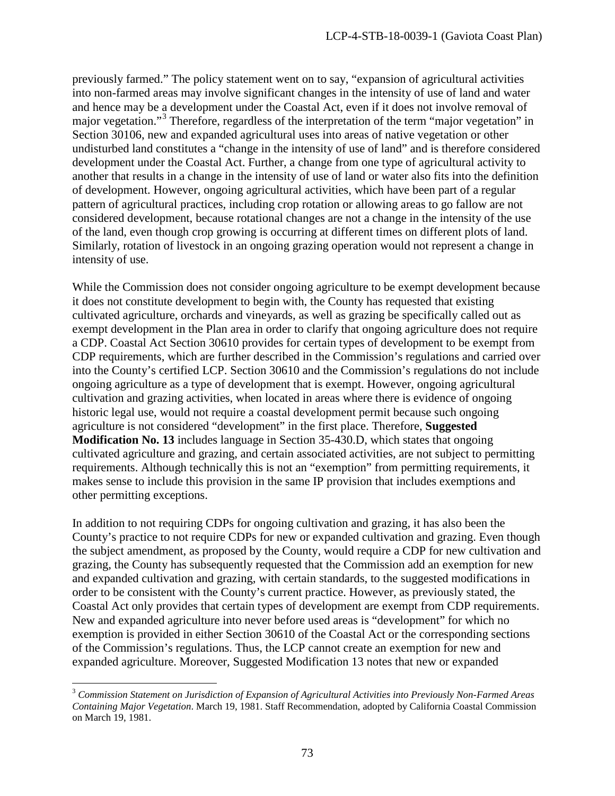previously farmed." The policy statement went on to say, "expansion of agricultural activities into non-farmed areas may involve significant changes in the intensity of use of land and water and hence may be a development under the Coastal Act, even if it does not involve removal of major vegetation."[3](#page-72-0) Therefore, regardless of the interpretation of the term "major vegetation" in Section 30106, new and expanded agricultural uses into areas of native vegetation or other undisturbed land constitutes a "change in the intensity of use of land" and is therefore considered development under the Coastal Act. Further, a change from one type of agricultural activity to another that results in a change in the intensity of use of land or water also fits into the definition of development. However, ongoing agricultural activities, which have been part of a regular pattern of agricultural practices, including crop rotation or allowing areas to go fallow are not considered development, because rotational changes are not a change in the intensity of the use of the land, even though crop growing is occurring at different times on different plots of land. Similarly, rotation of livestock in an ongoing grazing operation would not represent a change in intensity of use.

While the Commission does not consider ongoing agriculture to be exempt development because it does not constitute development to begin with, the County has requested that existing cultivated agriculture, orchards and vineyards, as well as grazing be specifically called out as exempt development in the Plan area in order to clarify that ongoing agriculture does not require a CDP. Coastal Act Section 30610 provides for certain types of development to be exempt from CDP requirements, which are further described in the Commission's regulations and carried over into the County's certified LCP. Section 30610 and the Commission's regulations do not include ongoing agriculture as a type of development that is exempt. However, ongoing agricultural cultivation and grazing activities, when located in areas where there is evidence of ongoing historic legal use, would not require a coastal development permit because such ongoing agriculture is not considered "development" in the first place. Therefore, **Suggested Modification No. 13** includes language in Section 35-430.D, which states that ongoing cultivated agriculture and grazing, and certain associated activities, are not subject to permitting requirements. Although technically this is not an "exemption" from permitting requirements, it makes sense to include this provision in the same IP provision that includes exemptions and other permitting exceptions.

In addition to not requiring CDPs for ongoing cultivation and grazing, it has also been the County's practice to not require CDPs for new or expanded cultivation and grazing. Even though the subject amendment, as proposed by the County, would require a CDP for new cultivation and grazing, the County has subsequently requested that the Commission add an exemption for new and expanded cultivation and grazing, with certain standards, to the suggested modifications in order to be consistent with the County's current practice. However, as previously stated, the Coastal Act only provides that certain types of development are exempt from CDP requirements. New and expanded agriculture into never before used areas is "development" for which no exemption is provided in either Section 30610 of the Coastal Act or the corresponding sections of the Commission's regulations. Thus, the LCP cannot create an exemption for new and expanded agriculture. Moreover, Suggested Modification 13 notes that new or expanded

<span id="page-72-0"></span> $\overline{a}$ <sup>3</sup> *Commission Statement on Jurisdiction of Expansion of Agricultural Activities into Previously Non-Farmed Areas Containing Major Vegetation*. March 19, 1981. Staff Recommendation, adopted by California Coastal Commission on March 19, 1981.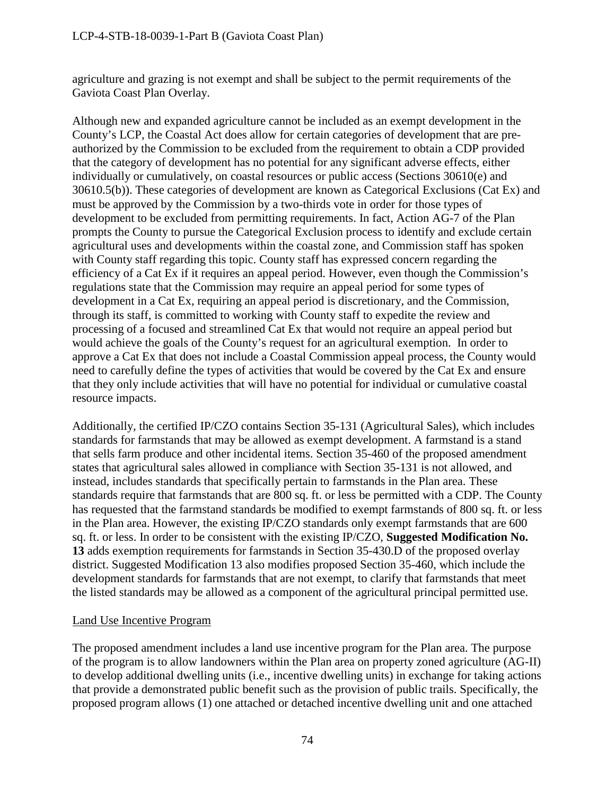agriculture and grazing is not exempt and shall be subject to the permit requirements of the Gaviota Coast Plan Overlay.

Although new and expanded agriculture cannot be included as an exempt development in the County's LCP, the Coastal Act does allow for certain categories of development that are preauthorized by the Commission to be excluded from the requirement to obtain a CDP provided that the category of development has no potential for any significant adverse effects, either individually or cumulatively, on coastal resources or public access (Sections 30610(e) and 30610.5(b)). These categories of development are known as Categorical Exclusions (Cat Ex) and must be approved by the Commission by a two-thirds vote in order for those types of development to be excluded from permitting requirements. In fact, Action AG-7 of the Plan prompts the County to pursue the Categorical Exclusion process to identify and exclude certain agricultural uses and developments within the coastal zone, and Commission staff has spoken with County staff regarding this topic. County staff has expressed concern regarding the efficiency of a Cat Ex if it requires an appeal period. However, even though the Commission's regulations state that the Commission may require an appeal period for some types of development in a Cat Ex, requiring an appeal period is discretionary, and the Commission, through its staff, is committed to working with County staff to expedite the review and processing of a focused and streamlined Cat Ex that would not require an appeal period but would achieve the goals of the County's request for an agricultural exemption. In order to approve a Cat Ex that does not include a Coastal Commission appeal process, the County would need to carefully define the types of activities that would be covered by the Cat Ex and ensure that they only include activities that will have no potential for individual or cumulative coastal resource impacts.

Additionally, the certified IP/CZO contains Section 35-131 (Agricultural Sales), which includes standards for farmstands that may be allowed as exempt development. A farmstand is a stand that sells farm produce and other incidental items. Section 35-460 of the proposed amendment states that agricultural sales allowed in compliance with Section 35-131 is not allowed, and instead, includes standards that specifically pertain to farmstands in the Plan area. These standards require that farmstands that are 800 sq. ft. or less be permitted with a CDP. The County has requested that the farmstand standards be modified to exempt farmstands of 800 sq. ft. or less in the Plan area. However, the existing IP/CZO standards only exempt farmstands that are 600 sq. ft. or less. In order to be consistent with the existing IP/CZO, **Suggested Modification No. 13** adds exemption requirements for farmstands in Section 35-430.D of the proposed overlay district. Suggested Modification 13 also modifies proposed Section 35-460, which include the development standards for farmstands that are not exempt, to clarify that farmstands that meet the listed standards may be allowed as a component of the agricultural principal permitted use.

### Land Use Incentive Program

The proposed amendment includes a land use incentive program for the Plan area. The purpose of the program is to allow landowners within the Plan area on property zoned agriculture (AG-II) to develop additional dwelling units (i.e., incentive dwelling units) in exchange for taking actions that provide a demonstrated public benefit such as the provision of public trails. Specifically, the proposed program allows (1) one attached or detached incentive dwelling unit and one attached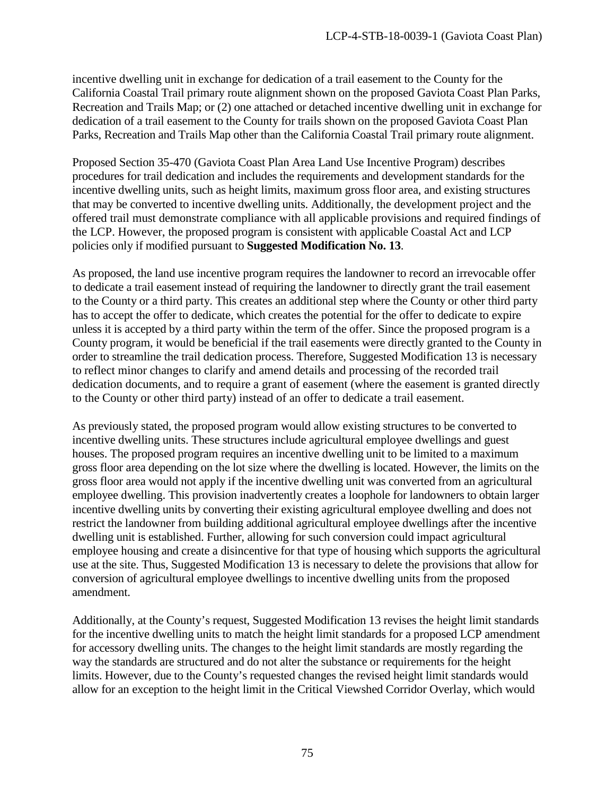incentive dwelling unit in exchange for dedication of a trail easement to the County for the California Coastal Trail primary route alignment shown on the proposed Gaviota Coast Plan Parks, Recreation and Trails Map; or (2) one attached or detached incentive dwelling unit in exchange for dedication of a trail easement to the County for trails shown on the proposed Gaviota Coast Plan Parks, Recreation and Trails Map other than the California Coastal Trail primary route alignment.

Proposed Section 35-470 (Gaviota Coast Plan Area Land Use Incentive Program) describes procedures for trail dedication and includes the requirements and development standards for the incentive dwelling units, such as height limits, maximum gross floor area, and existing structures that may be converted to incentive dwelling units. Additionally, the development project and the offered trail must demonstrate compliance with all applicable provisions and required findings of the LCP. However, the proposed program is consistent with applicable Coastal Act and LCP policies only if modified pursuant to **Suggested Modification No. 13**.

As proposed, the land use incentive program requires the landowner to record an irrevocable offer to dedicate a trail easement instead of requiring the landowner to directly grant the trail easement to the County or a third party. This creates an additional step where the County or other third party has to accept the offer to dedicate, which creates the potential for the offer to dedicate to expire unless it is accepted by a third party within the term of the offer. Since the proposed program is a County program, it would be beneficial if the trail easements were directly granted to the County in order to streamline the trail dedication process. Therefore, Suggested Modification 13 is necessary to reflect minor changes to clarify and amend details and processing of the recorded trail dedication documents, and to require a grant of easement (where the easement is granted directly to the County or other third party) instead of an offer to dedicate a trail easement.

As previously stated, the proposed program would allow existing structures to be converted to incentive dwelling units. These structures include agricultural employee dwellings and guest houses. The proposed program requires an incentive dwelling unit to be limited to a maximum gross floor area depending on the lot size where the dwelling is located. However, the limits on the gross floor area would not apply if the incentive dwelling unit was converted from an agricultural employee dwelling. This provision inadvertently creates a loophole for landowners to obtain larger incentive dwelling units by converting their existing agricultural employee dwelling and does not restrict the landowner from building additional agricultural employee dwellings after the incentive dwelling unit is established. Further, allowing for such conversion could impact agricultural employee housing and create a disincentive for that type of housing which supports the agricultural use at the site. Thus, Suggested Modification 13 is necessary to delete the provisions that allow for conversion of agricultural employee dwellings to incentive dwelling units from the proposed amendment.

Additionally, at the County's request, Suggested Modification 13 revises the height limit standards for the incentive dwelling units to match the height limit standards for a proposed LCP amendment for accessory dwelling units. The changes to the height limit standards are mostly regarding the way the standards are structured and do not alter the substance or requirements for the height limits. However, due to the County's requested changes the revised height limit standards would allow for an exception to the height limit in the Critical Viewshed Corridor Overlay, which would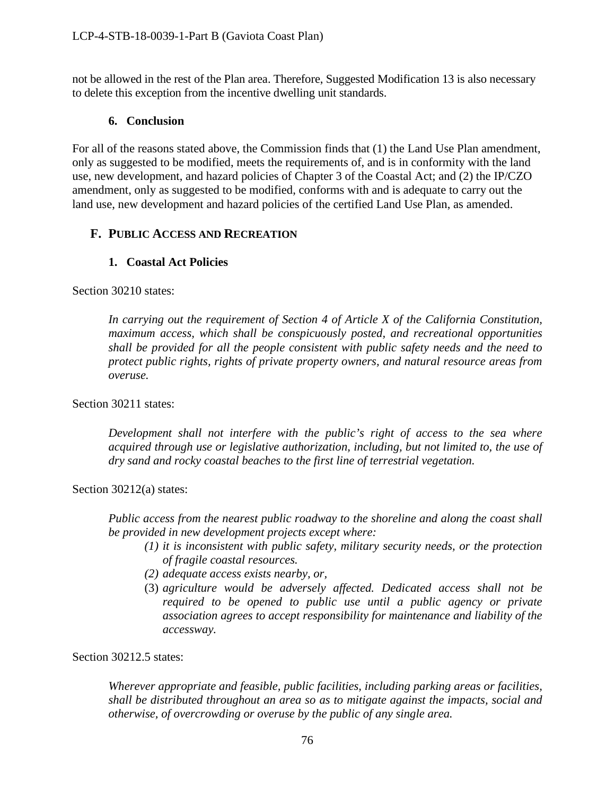not be allowed in the rest of the Plan area. Therefore, Suggested Modification 13 is also necessary to delete this exception from the incentive dwelling unit standards.

## **6. Conclusion**

For all of the reasons stated above, the Commission finds that (1) the Land Use Plan amendment, only as suggested to be modified, meets the requirements of, and is in conformity with the land use, new development, and hazard policies of Chapter 3 of the Coastal Act; and (2) the IP/CZO amendment, only as suggested to be modified, conforms with and is adequate to carry out the land use, new development and hazard policies of the certified Land Use Plan, as amended.

## **F. PUBLIC ACCESS AND RECREATION**

## **1. Coastal Act Policies**

Section 30210 states:

*In carrying out the requirement of Section 4 of Article X of the California Constitution, maximum access, which shall be conspicuously posted, and recreational opportunities shall be provided for all the people consistent with public safety needs and the need to protect public rights, rights of private property owners, and natural resource areas from overuse.*

Section 30211 states:

*Development shall not interfere with the public's right of access to the sea where acquired through use or legislative authorization, including, but not limited to, the use of dry sand and rocky coastal beaches to the first line of terrestrial vegetation.* 

Section 30212(a) states:

*Public access from the nearest public roadway to the shoreline and along the coast shall be provided in new development projects except where:* 

- *(1) it is inconsistent with public safety, military security needs, or the protection of fragile coastal resources.*
- *(2) adequate access exists nearby, or,*
- (3) *agriculture would be adversely affected. Dedicated access shall not be required to be opened to public use until a public agency or private association agrees to accept responsibility for maintenance and liability of the accessway.*

Section 30212.5 states:

*Wherever appropriate and feasible, public facilities, including parking areas or facilities, shall be distributed throughout an area so as to mitigate against the impacts, social and otherwise, of overcrowding or overuse by the public of any single area.*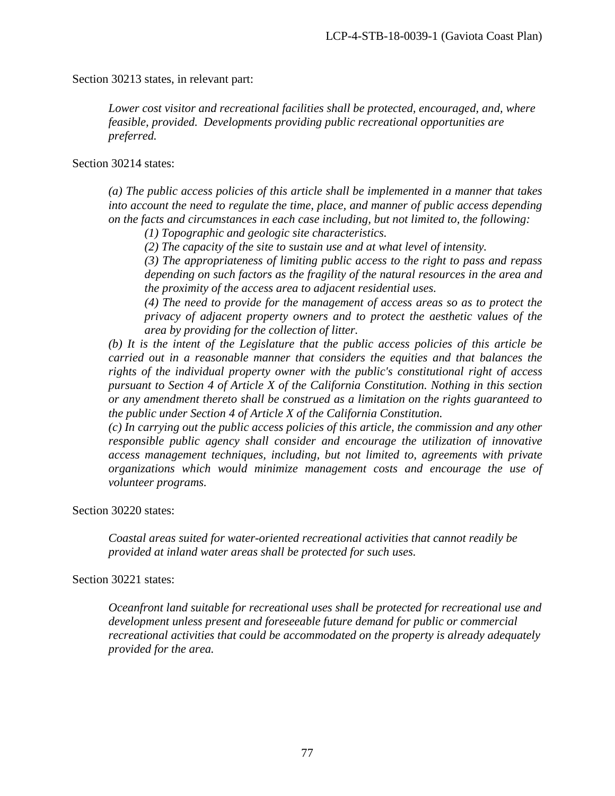Section 30213 states, in relevant part:

*Lower cost visitor and recreational facilities shall be protected, encouraged, and, where feasible, provided. Developments providing public recreational opportunities are preferred.*

Section 30214 states:

*(a) The public access policies of this article shall be implemented in a manner that takes into account the need to regulate the time, place, and manner of public access depending on the facts and circumstances in each case including, but not limited to, the following:* 

*(1) Topographic and geologic site characteristics.* 

*(2) The capacity of the site to sustain use and at what level of intensity.* 

*(3) The appropriateness of limiting public access to the right to pass and repass depending on such factors as the fragility of the natural resources in the area and the proximity of the access area to adjacent residential uses.* 

*(4) The need to provide for the management of access areas so as to protect the privacy of adjacent property owners and to protect the aesthetic values of the area by providing for the collection of litter.* 

*(b) It is the intent of the Legislature that the public access policies of this article be carried out in a reasonable manner that considers the equities and that balances the rights of the individual property owner with the public's constitutional right of access pursuant to Section 4 of Article X of the California Constitution. Nothing in this section or any amendment thereto shall be construed as a limitation on the rights guaranteed to the public under Section 4 of Article X of the California Constitution.* 

*(c) In carrying out the public access policies of this article, the commission and any other responsible public agency shall consider and encourage the utilization of innovative access management techniques, including, but not limited to, agreements with private organizations which would minimize management costs and encourage the use of volunteer programs.* 

Section 30220 states:

*Coastal areas suited for water-oriented recreational activities that cannot readily be provided at inland water areas shall be protected for such uses.* 

#### Section 30221 states:

*Oceanfront land suitable for recreational uses shall be protected for recreational use and development unless present and foreseeable future demand for public or commercial recreational activities that could be accommodated on the property is already adequately provided for the area.*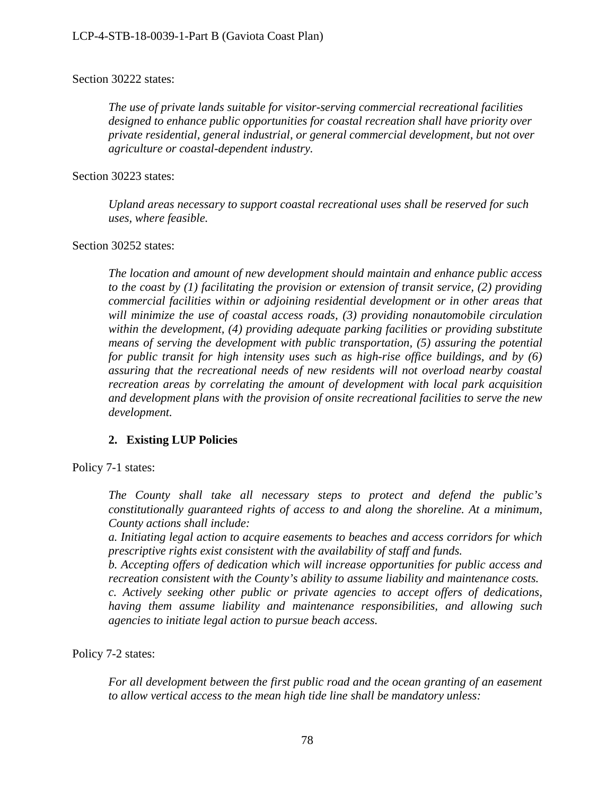#### Section 30222 states:

*The use of private lands suitable for visitor-serving commercial recreational facilities designed to enhance public opportunities for coastal recreation shall have priority over private residential, general industrial, or general commercial development, but not over agriculture or coastal-dependent industry.* 

Section 30223 states:

*Upland areas necessary to support coastal recreational uses shall be reserved for such uses, where feasible.*

Section 30252 states:

*The location and amount of new development should maintain and enhance public access to the coast by (1) facilitating the provision or extension of transit service, (2) providing commercial facilities within or adjoining residential development or in other areas that will minimize the use of coastal access roads, (3) providing nonautomobile circulation within the development, (4) providing adequate parking facilities or providing substitute means of serving the development with public transportation, (5) assuring the potential for public transit for high intensity uses such as high-rise office buildings, and by (6) assuring that the recreational needs of new residents will not overload nearby coastal recreation areas by correlating the amount of development with local park acquisition and development plans with the provision of onsite recreational facilities to serve the new development.* 

### **2. Existing LUP Policies**

Policy 7-1 states:

*The County shall take all necessary steps to protect and defend the public's constitutionally guaranteed rights of access to and along the shoreline. At a minimum, County actions shall include:* 

*a. Initiating legal action to acquire easements to beaches and access corridors for which prescriptive rights exist consistent with the availability of staff and funds.*

*b. Accepting offers of dedication which will increase opportunities for public access and recreation consistent with the County's ability to assume liability and maintenance costs.* 

*c. Actively seeking other public or private agencies to accept offers of dedications, having them assume liability and maintenance responsibilities, and allowing such agencies to initiate legal action to pursue beach access.* 

Policy 7-2 states:

*For all development between the first public road and the ocean granting of an easement to allow vertical access to the mean high tide line shall be mandatory unless:*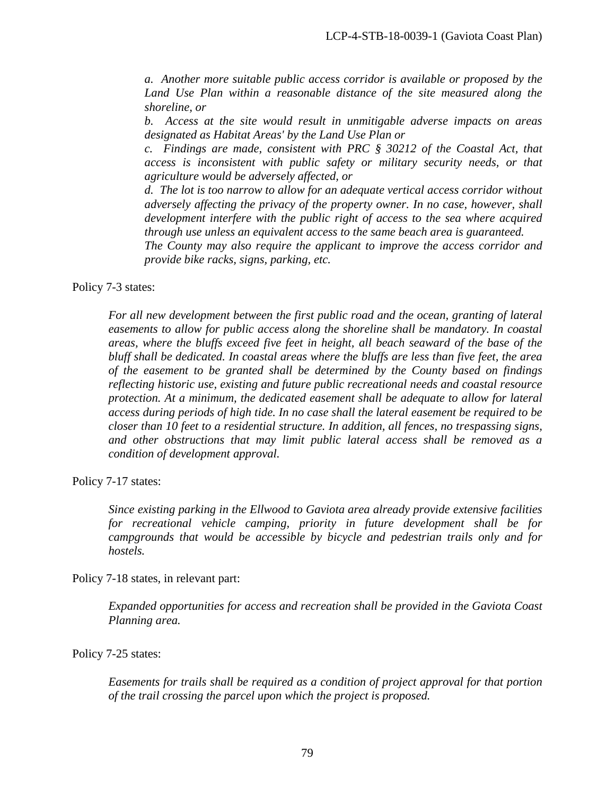*a. Another more suitable public access corridor is available or proposed by the*  Land Use Plan within a reasonable distance of the site measured along the *shoreline, or* 

*b. Access at the site would result in unmitigable adverse impacts on areas designated as Habitat Areas' by the Land Use Plan or* 

*c. Findings are made, consistent with PRC § 30212 of the Coastal Act, that access is inconsistent with public safety or military security needs, or that agriculture would be adversely affected, or* 

*d. The lot is too narrow to allow for an adequate vertical access corridor without adversely affecting the privacy of the property owner. In no case, however, shall development interfere with the public right of access to the sea where acquired through use unless an equivalent access to the same beach area is guaranteed.* 

*The County may also require the applicant to improve the access corridor and provide bike racks, signs, parking, etc.* 

Policy 7-3 states:

*For all new development between the first public road and the ocean, granting of lateral easements to allow for public access along the shoreline shall be mandatory. In coastal areas, where the bluffs exceed five feet in height, all beach seaward of the base of the bluff shall be dedicated. In coastal areas where the bluffs are less than five feet, the area of the easement to be granted shall be determined by the County based on findings reflecting historic use, existing and future public recreational needs and coastal resource protection. At a minimum, the dedicated easement shall be adequate to allow for lateral access during periods of high tide. In no case shall the lateral easement be required to be closer than 10 feet to a residential structure. In addition, all fences, no trespassing signs, and other obstructions that may limit public lateral access shall be removed as a condition of development approval.* 

Policy 7-17 states:

*Since existing parking in the Ellwood to Gaviota area already provide extensive facilities for recreational vehicle camping, priority in future development shall be for campgrounds that would be accessible by bicycle and pedestrian trails only and for hostels.* 

Policy 7-18 states, in relevant part:

*Expanded opportunities for access and recreation shall be provided in the Gaviota Coast Planning area.* 

Policy 7-25 states:

*Easements for trails shall be required as a condition of project approval for that portion of the trail crossing the parcel upon which the project is proposed.*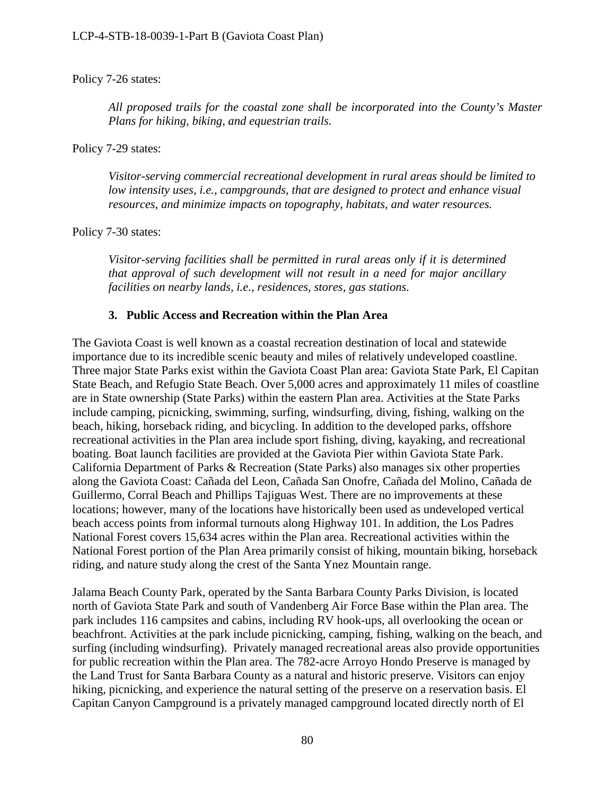### Policy 7-26 states:

*All proposed trails for the coastal zone shall be incorporated into the County's Master Plans for hiking, biking, and equestrian trails.* 

Policy 7-29 states:

*Visitor-serving commercial recreational development in rural areas should be limited to low intensity uses, i.e., campgrounds, that are designed to protect and enhance visual resources, and minimize impacts on topography, habitats, and water resources.* 

Policy 7-30 states:

*Visitor-serving facilities shall be permitted in rural areas only if it is determined that approval of such development will not result in a need for major ancillary facilities on nearby lands, i.e., residences, stores, gas stations.* 

### **3. Public Access and Recreation within the Plan Area**

The Gaviota Coast is well known as a coastal recreation destination of local and statewide importance due to its incredible scenic beauty and miles of relatively undeveloped coastline. Three major State Parks exist within the Gaviota Coast Plan area: Gaviota State Park, El Capitan State Beach, and Refugio State Beach. Over 5,000 acres and approximately 11 miles of coastline are in State ownership (State Parks) within the eastern Plan area. Activities at the State Parks include camping, picnicking, swimming, surfing, windsurfing, diving, fishing, walking on the beach, hiking, horseback riding, and bicycling. In addition to the developed parks, offshore recreational activities in the Plan area include sport fishing, diving, kayaking, and recreational boating. Boat launch facilities are provided at the Gaviota Pier within Gaviota State Park. California Department of Parks & Recreation (State Parks) also manages six other properties along the Gaviota Coast: Cañada del Leon, Cañada San Onofre, Cañada del Molino, Cañada de Guillermo, Corral Beach and Phillips Tajiguas West. There are no improvements at these locations; however, many of the locations have historically been used as undeveloped vertical beach access points from informal turnouts along Highway 101. In addition, the Los Padres National Forest covers 15,634 acres within the Plan area. Recreational activities within the National Forest portion of the Plan Area primarily consist of hiking, mountain biking, horseback riding, and nature study along the crest of the Santa Ynez Mountain range.

Jalama Beach County Park, operated by the Santa Barbara County Parks Division, is located north of Gaviota State Park and south of Vandenberg Air Force Base within the Plan area. The park includes 116 campsites and cabins, including RV hook-ups, all overlooking the ocean or beachfront. Activities at the park include picnicking, camping, fishing, walking on the beach, and surfing (including windsurfing). Privately managed recreational areas also provide opportunities for public recreation within the Plan area. The 782-acre Arroyo Hondo Preserve is managed by the Land Trust for Santa Barbara County as a natural and historic preserve. Visitors can enjoy hiking, picnicking, and experience the natural setting of the preserve on a reservation basis. El Capitan Canyon Campground is a privately managed campground located directly north of El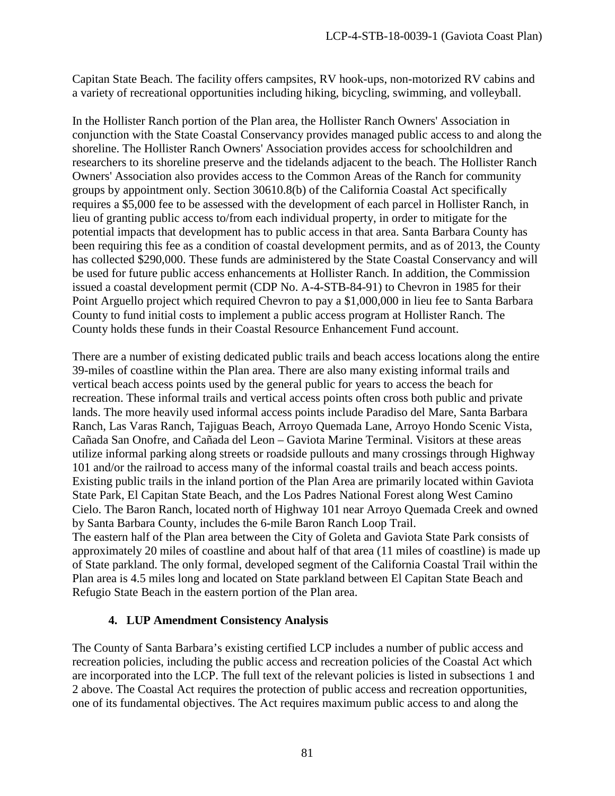Capitan State Beach. The facility offers campsites, RV hook-ups, non-motorized RV cabins and a variety of recreational opportunities including hiking, bicycling, swimming, and volleyball.

In the Hollister Ranch portion of the Plan area, the Hollister Ranch Owners' Association in conjunction with the State Coastal Conservancy provides managed public access to and along the shoreline. The Hollister Ranch Owners' Association provides access for schoolchildren and researchers to its shoreline preserve and the tidelands adjacent to the beach. The Hollister Ranch Owners' Association also provides access to the Common Areas of the Ranch for community groups by appointment only. Section 30610.8(b) of the California Coastal Act specifically requires a \$5,000 fee to be assessed with the development of each parcel in Hollister Ranch, in lieu of granting public access to/from each individual property, in order to mitigate for the potential impacts that development has to public access in that area. Santa Barbara County has been requiring this fee as a condition of coastal development permits, and as of 2013, the County has collected \$290,000. These funds are administered by the State Coastal Conservancy and will be used for future public access enhancements at Hollister Ranch. In addition, the Commission issued a coastal development permit (CDP No. A-4-STB-84-91) to Chevron in 1985 for their Point Arguello project which required Chevron to pay a \$1,000,000 in lieu fee to Santa Barbara County to fund initial costs to implement a public access program at Hollister Ranch. The County holds these funds in their Coastal Resource Enhancement Fund account.

There are a number of existing dedicated public trails and beach access locations along the entire 39-miles of coastline within the Plan area. There are also many existing informal trails and vertical beach access points used by the general public for years to access the beach for recreation. These informal trails and vertical access points often cross both public and private lands. The more heavily used informal access points include Paradiso del Mare, Santa Barbara Ranch, Las Varas Ranch, Tajiguas Beach, Arroyo Quemada Lane, Arroyo Hondo Scenic Vista, Cañada San Onofre, and Cañada del Leon – Gaviota Marine Terminal. Visitors at these areas utilize informal parking along streets or roadside pullouts and many crossings through Highway 101 and/or the railroad to access many of the informal coastal trails and beach access points. Existing public trails in the inland portion of the Plan Area are primarily located within Gaviota State Park, El Capitan State Beach, and the Los Padres National Forest along West Camino Cielo. The Baron Ranch, located north of Highway 101 near Arroyo Quemada Creek and owned by Santa Barbara County, includes the 6-mile Baron Ranch Loop Trail.

The eastern half of the Plan area between the City of Goleta and Gaviota State Park consists of approximately 20 miles of coastline and about half of that area (11 miles of coastline) is made up of State parkland. The only formal, developed segment of the California Coastal Trail within the Plan area is 4.5 miles long and located on State parkland between El Capitan State Beach and Refugio State Beach in the eastern portion of the Plan area.

### **4. LUP Amendment Consistency Analysis**

The County of Santa Barbara's existing certified LCP includes a number of public access and recreation policies, including the public access and recreation policies of the Coastal Act which are incorporated into the LCP. The full text of the relevant policies is listed in subsections 1 and 2 above. The Coastal Act requires the protection of public access and recreation opportunities, one of its fundamental objectives. The Act requires maximum public access to and along the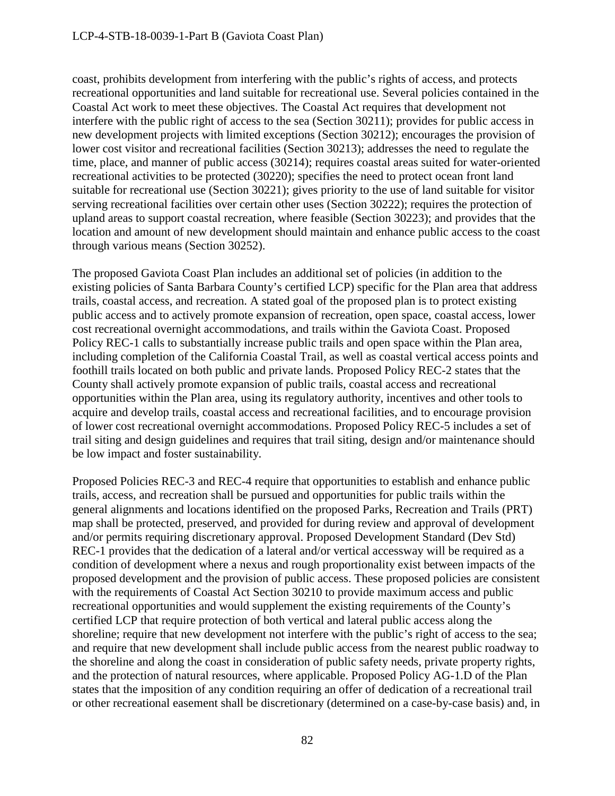coast, prohibits development from interfering with the public's rights of access, and protects recreational opportunities and land suitable for recreational use. Several policies contained in the Coastal Act work to meet these objectives. The Coastal Act requires that development not interfere with the public right of access to the sea (Section 30211); provides for public access in new development projects with limited exceptions (Section 30212); encourages the provision of lower cost visitor and recreational facilities (Section 30213); addresses the need to regulate the time, place, and manner of public access (30214); requires coastal areas suited for water-oriented recreational activities to be protected (30220); specifies the need to protect ocean front land suitable for recreational use (Section 30221); gives priority to the use of land suitable for visitor serving recreational facilities over certain other uses (Section 30222); requires the protection of upland areas to support coastal recreation, where feasible (Section 30223); and provides that the location and amount of new development should maintain and enhance public access to the coast through various means (Section 30252).

The proposed Gaviota Coast Plan includes an additional set of policies (in addition to the existing policies of Santa Barbara County's certified LCP) specific for the Plan area that address trails, coastal access, and recreation. A stated goal of the proposed plan is to protect existing public access and to actively promote expansion of recreation, open space, coastal access, lower cost recreational overnight accommodations, and trails within the Gaviota Coast. Proposed Policy REC-1 calls to substantially increase public trails and open space within the Plan area, including completion of the California Coastal Trail, as well as coastal vertical access points and foothill trails located on both public and private lands. Proposed Policy REC-2 states that the County shall actively promote expansion of public trails, coastal access and recreational opportunities within the Plan area, using its regulatory authority, incentives and other tools to acquire and develop trails, coastal access and recreational facilities, and to encourage provision of lower cost recreational overnight accommodations. Proposed Policy REC-5 includes a set of trail siting and design guidelines and requires that trail siting, design and/or maintenance should be low impact and foster sustainability.

Proposed Policies REC-3 and REC-4 require that opportunities to establish and enhance public trails, access, and recreation shall be pursued and opportunities for public trails within the general alignments and locations identified on the proposed Parks, Recreation and Trails (PRT) map shall be protected, preserved, and provided for during review and approval of development and/or permits requiring discretionary approval. Proposed Development Standard (Dev Std) REC-1 provides that the dedication of a lateral and/or vertical accessway will be required as a condition of development where a nexus and rough proportionality exist between impacts of the proposed development and the provision of public access. These proposed policies are consistent with the requirements of Coastal Act Section 30210 to provide maximum access and public recreational opportunities and would supplement the existing requirements of the County's certified LCP that require protection of both vertical and lateral public access along the shoreline; require that new development not interfere with the public's right of access to the sea; and require that new development shall include public access from the nearest public roadway to the shoreline and along the coast in consideration of public safety needs, private property rights, and the protection of natural resources, where applicable. Proposed Policy AG-1.D of the Plan states that the imposition of any condition requiring an offer of dedication of a recreational trail or other recreational easement shall be discretionary (determined on a case-by-case basis) and, in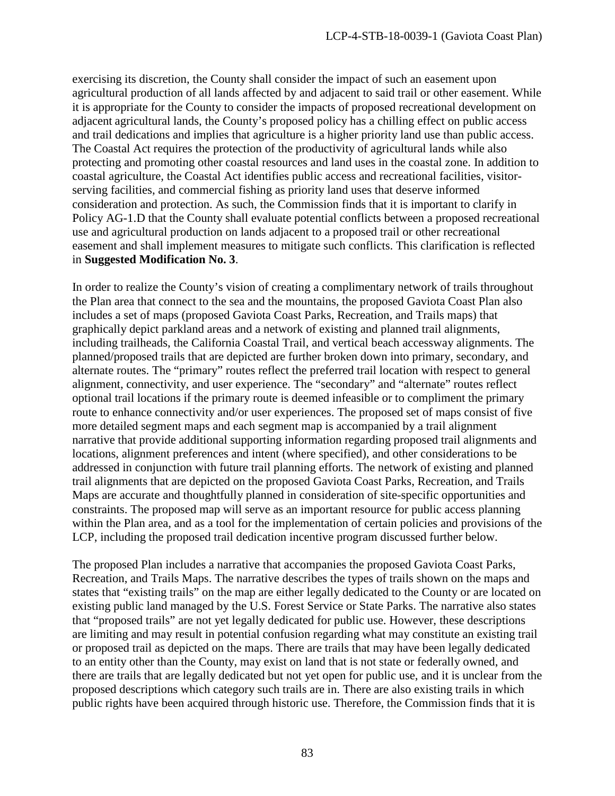exercising its discretion, the County shall consider the impact of such an easement upon agricultural production of all lands affected by and adjacent to said trail or other easement. While it is appropriate for the County to consider the impacts of proposed recreational development on adjacent agricultural lands, the County's proposed policy has a chilling effect on public access and trail dedications and implies that agriculture is a higher priority land use than public access. The Coastal Act requires the protection of the productivity of agricultural lands while also protecting and promoting other coastal resources and land uses in the coastal zone. In addition to coastal agriculture, the Coastal Act identifies public access and recreational facilities, visitorserving facilities, and commercial fishing as priority land uses that deserve informed consideration and protection. As such, the Commission finds that it is important to clarify in Policy AG-1.D that the County shall evaluate potential conflicts between a proposed recreational use and agricultural production on lands adjacent to a proposed trail or other recreational easement and shall implement measures to mitigate such conflicts. This clarification is reflected in **Suggested Modification No. 3**.

In order to realize the County's vision of creating a complimentary network of trails throughout the Plan area that connect to the sea and the mountains, the proposed Gaviota Coast Plan also includes a set of maps (proposed Gaviota Coast Parks, Recreation, and Trails maps) that graphically depict parkland areas and a network of existing and planned trail alignments, including trailheads, the California Coastal Trail, and vertical beach accessway alignments. The planned/proposed trails that are depicted are further broken down into primary, secondary, and alternate routes. The "primary" routes reflect the preferred trail location with respect to general alignment, connectivity, and user experience. The "secondary" and "alternate" routes reflect optional trail locations if the primary route is deemed infeasible or to compliment the primary route to enhance connectivity and/or user experiences. The proposed set of maps consist of five more detailed segment maps and each segment map is accompanied by a trail alignment narrative that provide additional supporting information regarding proposed trail alignments and locations, alignment preferences and intent (where specified), and other considerations to be addressed in conjunction with future trail planning efforts. The network of existing and planned trail alignments that are depicted on the proposed Gaviota Coast Parks, Recreation, and Trails Maps are accurate and thoughtfully planned in consideration of site-specific opportunities and constraints. The proposed map will serve as an important resource for public access planning within the Plan area, and as a tool for the implementation of certain policies and provisions of the LCP, including the proposed trail dedication incentive program discussed further below.

The proposed Plan includes a narrative that accompanies the proposed Gaviota Coast Parks, Recreation, and Trails Maps. The narrative describes the types of trails shown on the maps and states that "existing trails" on the map are either legally dedicated to the County or are located on existing public land managed by the U.S. Forest Service or State Parks. The narrative also states that "proposed trails" are not yet legally dedicated for public use. However, these descriptions are limiting and may result in potential confusion regarding what may constitute an existing trail or proposed trail as depicted on the maps. There are trails that may have been legally dedicated to an entity other than the County, may exist on land that is not state or federally owned, and there are trails that are legally dedicated but not yet open for public use, and it is unclear from the proposed descriptions which category such trails are in. There are also existing trails in which public rights have been acquired through historic use. Therefore, the Commission finds that it is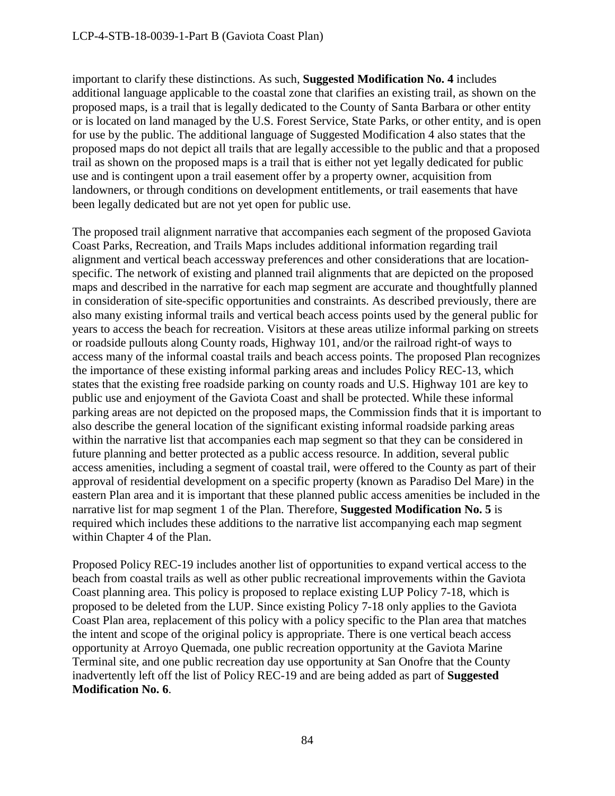important to clarify these distinctions. As such, **Suggested Modification No. 4** includes additional language applicable to the coastal zone that clarifies an existing trail, as shown on the proposed maps, is a trail that is legally dedicated to the County of Santa Barbara or other entity or is located on land managed by the U.S. Forest Service, State Parks, or other entity, and is open for use by the public. The additional language of Suggested Modification 4 also states that the proposed maps do not depict all trails that are legally accessible to the public and that a proposed trail as shown on the proposed maps is a trail that is either not yet legally dedicated for public use and is contingent upon a trail easement offer by a property owner, acquisition from landowners, or through conditions on development entitlements, or trail easements that have been legally dedicated but are not yet open for public use.

The proposed trail alignment narrative that accompanies each segment of the proposed Gaviota Coast Parks, Recreation, and Trails Maps includes additional information regarding trail alignment and vertical beach accessway preferences and other considerations that are locationspecific. The network of existing and planned trail alignments that are depicted on the proposed maps and described in the narrative for each map segment are accurate and thoughtfully planned in consideration of site-specific opportunities and constraints. As described previously, there are also many existing informal trails and vertical beach access points used by the general public for years to access the beach for recreation. Visitors at these areas utilize informal parking on streets or roadside pullouts along County roads, Highway 101, and/or the railroad right-of ways to access many of the informal coastal trails and beach access points. The proposed Plan recognizes the importance of these existing informal parking areas and includes Policy REC-13, which states that the existing free roadside parking on county roads and U.S. Highway 101 are key to public use and enjoyment of the Gaviota Coast and shall be protected. While these informal parking areas are not depicted on the proposed maps, the Commission finds that it is important to also describe the general location of the significant existing informal roadside parking areas within the narrative list that accompanies each map segment so that they can be considered in future planning and better protected as a public access resource. In addition, several public access amenities, including a segment of coastal trail, were offered to the County as part of their approval of residential development on a specific property (known as Paradiso Del Mare) in the eastern Plan area and it is important that these planned public access amenities be included in the narrative list for map segment 1 of the Plan. Therefore, **Suggested Modification No. 5** is required which includes these additions to the narrative list accompanying each map segment within Chapter 4 of the Plan.

Proposed Policy REC-19 includes another list of opportunities to expand vertical access to the beach from coastal trails as well as other public recreational improvements within the Gaviota Coast planning area. This policy is proposed to replace existing LUP Policy 7-18, which is proposed to be deleted from the LUP. Since existing Policy 7-18 only applies to the Gaviota Coast Plan area, replacement of this policy with a policy specific to the Plan area that matches the intent and scope of the original policy is appropriate. There is one vertical beach access opportunity at Arroyo Quemada, one public recreation opportunity at the Gaviota Marine Terminal site, and one public recreation day use opportunity at San Onofre that the County inadvertently left off the list of Policy REC-19 and are being added as part of **Suggested Modification No. 6**.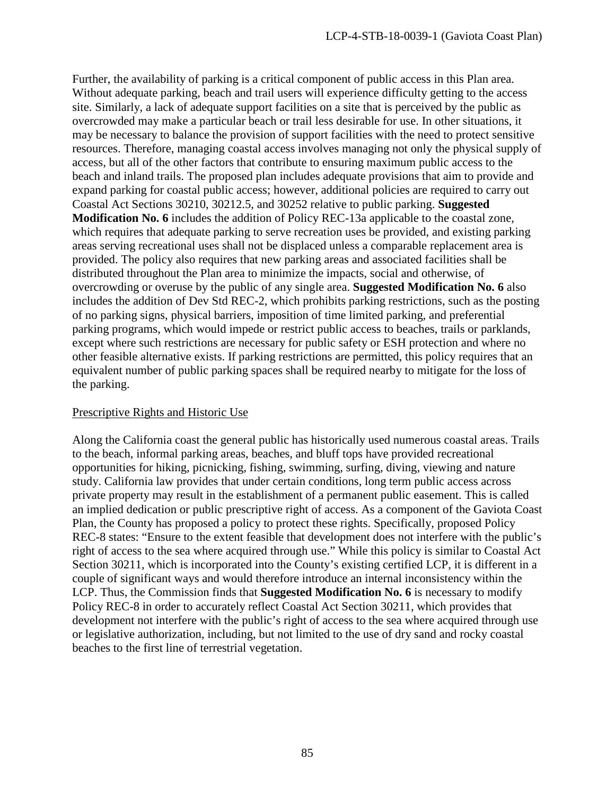Further, the availability of parking is a critical component of public access in this Plan area. Without adequate parking, beach and trail users will experience difficulty getting to the access site. Similarly, a lack of adequate support facilities on a site that is perceived by the public as overcrowded may make a particular beach or trail less desirable for use. In other situations, it may be necessary to balance the provision of support facilities with the need to protect sensitive resources. Therefore, managing coastal access involves managing not only the physical supply of access, but all of the other factors that contribute to ensuring maximum public access to the beach and inland trails. The proposed plan includes adequate provisions that aim to provide and expand parking for coastal public access; however, additional policies are required to carry out Coastal Act Sections 30210, 30212.5, and 30252 relative to public parking. **Suggested Modification No. 6** includes the addition of Policy REC-13a applicable to the coastal zone, which requires that adequate parking to serve recreation uses be provided, and existing parking areas serving recreational uses shall not be displaced unless a comparable replacement area is provided. The policy also requires that new parking areas and associated facilities shall be distributed throughout the Plan area to minimize the impacts, social and otherwise, of overcrowding or overuse by the public of any single area. **Suggested Modification No. 6** also includes the addition of Dev Std REC-2, which prohibits parking restrictions, such as the posting of no parking signs, physical barriers, imposition of time limited parking, and preferential parking programs, which would impede or restrict public access to beaches, trails or parklands, except where such restrictions are necessary for public safety or ESH protection and where no other feasible alternative exists. If parking restrictions are permitted, this policy requires that an equivalent number of public parking spaces shall be required nearby to mitigate for the loss of the parking.

### Prescriptive Rights and Historic Use

Along the California coast the general public has historically used numerous coastal areas. Trails to the beach, informal parking areas, beaches, and bluff tops have provided recreational opportunities for hiking, picnicking, fishing, swimming, surfing, diving, viewing and nature study. California law provides that under certain conditions, long term public access across private property may result in the establishment of a permanent public easement. This is called an implied dedication or public prescriptive right of access. As a component of the Gaviota Coast Plan, the County has proposed a policy to protect these rights. Specifically, proposed Policy REC-8 states: "Ensure to the extent feasible that development does not interfere with the public's right of access to the sea where acquired through use." While this policy is similar to Coastal Act Section 30211, which is incorporated into the County's existing certified LCP, it is different in a couple of significant ways and would therefore introduce an internal inconsistency within the LCP. Thus, the Commission finds that **Suggested Modification No. 6** is necessary to modify Policy REC-8 in order to accurately reflect Coastal Act Section 30211, which provides that development not interfere with the public's right of access to the sea where acquired through use or legislative authorization, including, but not limited to the use of dry sand and rocky coastal beaches to the first line of terrestrial vegetation.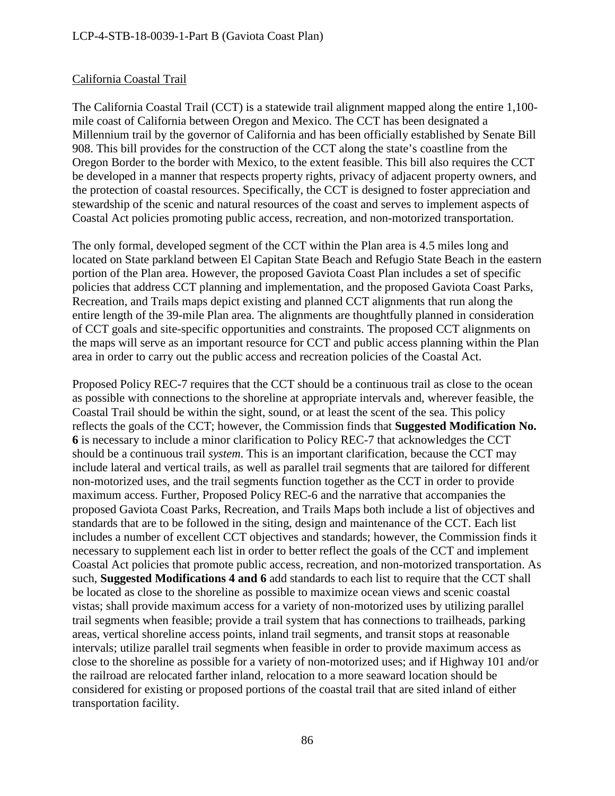### California Coastal Trail

The California Coastal Trail (CCT) is a statewide trail alignment mapped along the entire 1,100 mile coast of California between Oregon and Mexico. The CCT has been designated a Millennium trail by the governor of California and has been officially established by Senate Bill 908. This bill provides for the construction of the CCT along the state's coastline from the Oregon Border to the border with Mexico, to the extent feasible. This bill also requires the CCT be developed in a manner that respects property rights, privacy of adjacent property owners, and the protection of coastal resources. Specifically, the CCT is designed to foster appreciation and stewardship of the scenic and natural resources of the coast and serves to implement aspects of Coastal Act policies promoting public access, recreation, and non-motorized transportation.

The only formal, developed segment of the CCT within the Plan area is 4.5 miles long and located on State parkland between El Capitan State Beach and Refugio State Beach in the eastern portion of the Plan area. However, the proposed Gaviota Coast Plan includes a set of specific policies that address CCT planning and implementation, and the proposed Gaviota Coast Parks, Recreation, and Trails maps depict existing and planned CCT alignments that run along the entire length of the 39-mile Plan area. The alignments are thoughtfully planned in consideration of CCT goals and site-specific opportunities and constraints. The proposed CCT alignments on the maps will serve as an important resource for CCT and public access planning within the Plan area in order to carry out the public access and recreation policies of the Coastal Act.

Proposed Policy REC-7 requires that the CCT should be a continuous trail as close to the ocean as possible with connections to the shoreline at appropriate intervals and, wherever feasible, the Coastal Trail should be within the sight, sound, or at least the scent of the sea. This policy reflects the goals of the CCT; however, the Commission finds that **Suggested Modification No. 6** is necessary to include a minor clarification to Policy REC-7 that acknowledges the CCT should be a continuous trail *system*. This is an important clarification, because the CCT may include lateral and vertical trails, as well as parallel trail segments that are tailored for different non-motorized uses, and the trail segments function together as the CCT in order to provide maximum access. Further, Proposed Policy REC-6 and the narrative that accompanies the proposed Gaviota Coast Parks, Recreation, and Trails Maps both include a list of objectives and standards that are to be followed in the siting, design and maintenance of the CCT. Each list includes a number of excellent CCT objectives and standards; however, the Commission finds it necessary to supplement each list in order to better reflect the goals of the CCT and implement Coastal Act policies that promote public access, recreation, and non-motorized transportation. As such, **Suggested Modifications 4 and 6** add standards to each list to require that the CCT shall be located as close to the shoreline as possible to maximize ocean views and scenic coastal vistas; shall provide maximum access for a variety of non-motorized uses by utilizing parallel trail segments when feasible; provide a trail system that has connections to trailheads, parking areas, vertical shoreline access points, inland trail segments, and transit stops at reasonable intervals; utilize parallel trail segments when feasible in order to provide maximum access as close to the shoreline as possible for a variety of non-motorized uses; and if Highway 101 and/or the railroad are relocated farther inland, relocation to a more seaward location should be considered for existing or proposed portions of the coastal trail that are sited inland of either transportation facility.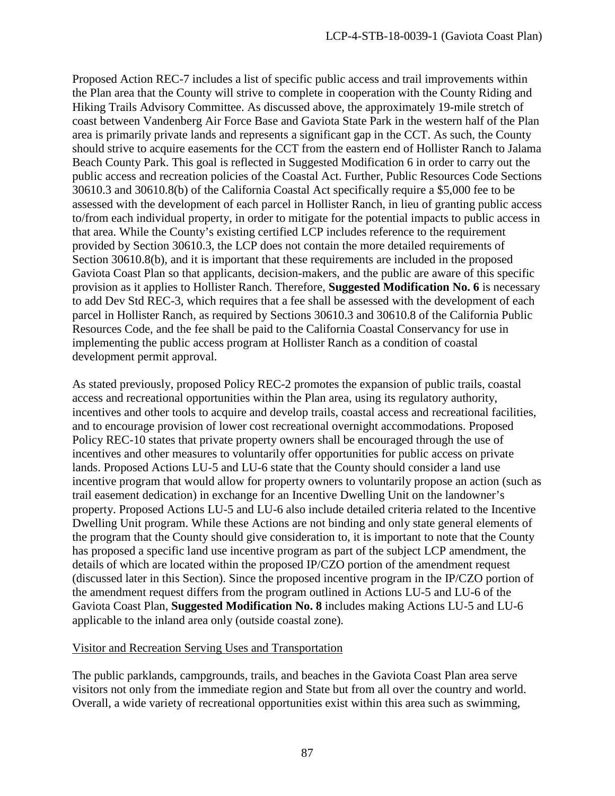Proposed Action REC-7 includes a list of specific public access and trail improvements within the Plan area that the County will strive to complete in cooperation with the County Riding and Hiking Trails Advisory Committee. As discussed above, the approximately 19-mile stretch of coast between Vandenberg Air Force Base and Gaviota State Park in the western half of the Plan area is primarily private lands and represents a significant gap in the CCT. As such, the County should strive to acquire easements for the CCT from the eastern end of Hollister Ranch to Jalama Beach County Park. This goal is reflected in Suggested Modification 6 in order to carry out the public access and recreation policies of the Coastal Act. Further, Public Resources Code Sections 30610.3 and 30610.8(b) of the California Coastal Act specifically require a \$5,000 fee to be assessed with the development of each parcel in Hollister Ranch, in lieu of granting public access to/from each individual property, in order to mitigate for the potential impacts to public access in that area. While the County's existing certified LCP includes reference to the requirement provided by Section 30610.3, the LCP does not contain the more detailed requirements of Section 30610.8(b), and it is important that these requirements are included in the proposed Gaviota Coast Plan so that applicants, decision-makers, and the public are aware of this specific provision as it applies to Hollister Ranch. Therefore, **Suggested Modification No. 6** is necessary to add Dev Std REC-3, which requires that a fee shall be assessed with the development of each parcel in Hollister Ranch, as required by Sections 30610.3 and 30610.8 of the California Public Resources Code, and the fee shall be paid to the California Coastal Conservancy for use in implementing the public access program at Hollister Ranch as a condition of coastal development permit approval.

As stated previously, proposed Policy REC-2 promotes the expansion of public trails, coastal access and recreational opportunities within the Plan area, using its regulatory authority, incentives and other tools to acquire and develop trails, coastal access and recreational facilities, and to encourage provision of lower cost recreational overnight accommodations. Proposed Policy REC-10 states that private property owners shall be encouraged through the use of incentives and other measures to voluntarily offer opportunities for public access on private lands. Proposed Actions LU-5 and LU-6 state that the County should consider a land use incentive program that would allow for property owners to voluntarily propose an action (such as trail easement dedication) in exchange for an Incentive Dwelling Unit on the landowner's property. Proposed Actions LU-5 and LU-6 also include detailed criteria related to the Incentive Dwelling Unit program. While these Actions are not binding and only state general elements of the program that the County should give consideration to, it is important to note that the County has proposed a specific land use incentive program as part of the subject LCP amendment, the details of which are located within the proposed IP/CZO portion of the amendment request (discussed later in this Section). Since the proposed incentive program in the IP/CZO portion of the amendment request differs from the program outlined in Actions LU-5 and LU-6 of the Gaviota Coast Plan, **Suggested Modification No. 8** includes making Actions LU-5 and LU-6 applicable to the inland area only (outside coastal zone).

### Visitor and Recreation Serving Uses and Transportation

The public parklands, campgrounds, trails, and beaches in the Gaviota Coast Plan area serve visitors not only from the immediate region and State but from all over the country and world. Overall, a wide variety of recreational opportunities exist within this area such as swimming,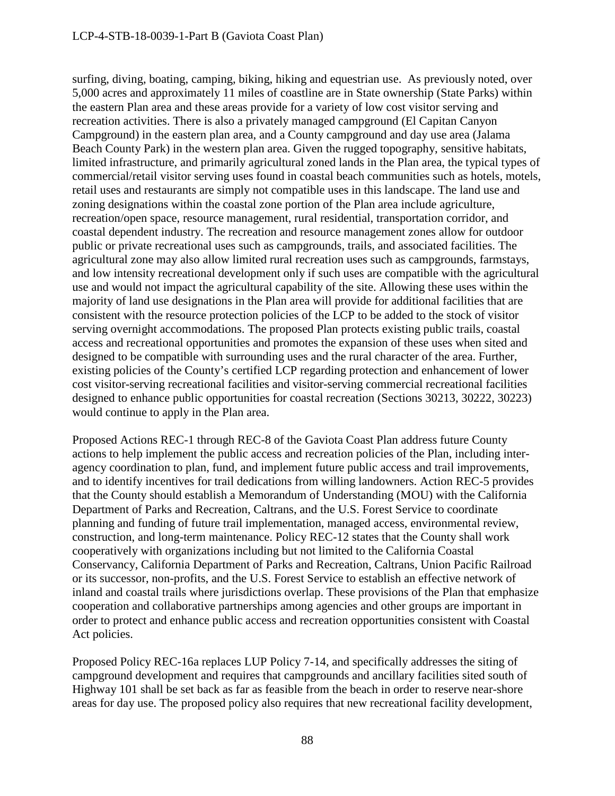surfing, diving, boating, camping, biking, hiking and equestrian use. As previously noted, over 5,000 acres and approximately 11 miles of coastline are in State ownership (State Parks) within the eastern Plan area and these areas provide for a variety of low cost visitor serving and recreation activities. There is also a privately managed campground (El Capitan Canyon Campground) in the eastern plan area, and a County campground and day use area (Jalama Beach County Park) in the western plan area. Given the rugged topography, sensitive habitats, limited infrastructure, and primarily agricultural zoned lands in the Plan area, the typical types of commercial/retail visitor serving uses found in coastal beach communities such as hotels, motels, retail uses and restaurants are simply not compatible uses in this landscape. The land use and zoning designations within the coastal zone portion of the Plan area include agriculture, recreation/open space, resource management, rural residential, transportation corridor, and coastal dependent industry. The recreation and resource management zones allow for outdoor public or private recreational uses such as campgrounds, trails, and associated facilities. The agricultural zone may also allow limited rural recreation uses such as campgrounds, farmstays, and low intensity recreational development only if such uses are compatible with the agricultural use and would not impact the agricultural capability of the site. Allowing these uses within the majority of land use designations in the Plan area will provide for additional facilities that are consistent with the resource protection policies of the LCP to be added to the stock of visitor serving overnight accommodations. The proposed Plan protects existing public trails, coastal access and recreational opportunities and promotes the expansion of these uses when sited and designed to be compatible with surrounding uses and the rural character of the area. Further, existing policies of the County's certified LCP regarding protection and enhancement of lower cost visitor-serving recreational facilities and visitor-serving commercial recreational facilities designed to enhance public opportunities for coastal recreation (Sections 30213, 30222, 30223) would continue to apply in the Plan area.

Proposed Actions REC-1 through REC-8 of the Gaviota Coast Plan address future County actions to help implement the public access and recreation policies of the Plan, including interagency coordination to plan, fund, and implement future public access and trail improvements, and to identify incentives for trail dedications from willing landowners. Action REC-5 provides that the County should establish a Memorandum of Understanding (MOU) with the California Department of Parks and Recreation, Caltrans, and the U.S. Forest Service to coordinate planning and funding of future trail implementation, managed access, environmental review, construction, and long-term maintenance. Policy REC-12 states that the County shall work cooperatively with organizations including but not limited to the California Coastal Conservancy, California Department of Parks and Recreation, Caltrans, Union Pacific Railroad or its successor, non-profits, and the U.S. Forest Service to establish an effective network of inland and coastal trails where jurisdictions overlap. These provisions of the Plan that emphasize cooperation and collaborative partnerships among agencies and other groups are important in order to protect and enhance public access and recreation opportunities consistent with Coastal Act policies.

Proposed Policy REC-16a replaces LUP Policy 7-14, and specifically addresses the siting of campground development and requires that campgrounds and ancillary facilities sited south of Highway 101 shall be set back as far as feasible from the beach in order to reserve near-shore areas for day use. The proposed policy also requires that new recreational facility development,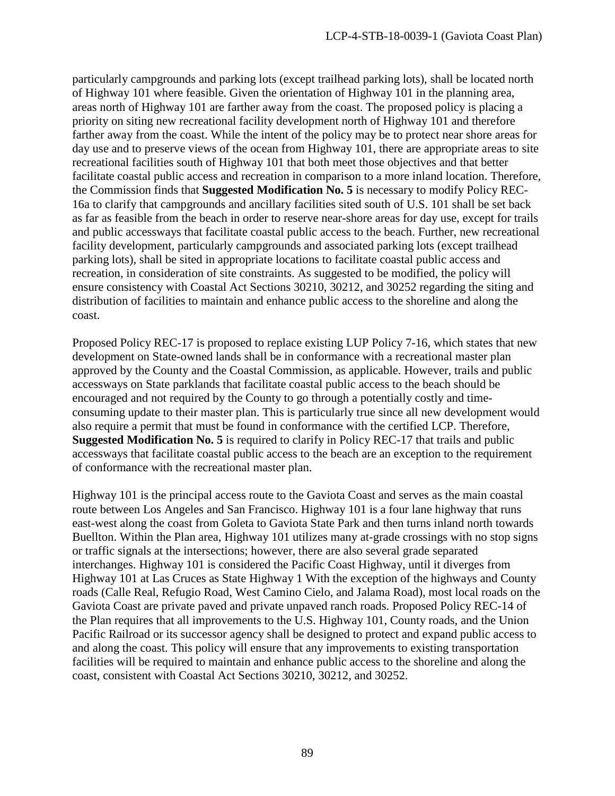particularly campgrounds and parking lots (except trailhead parking lots), shall be located north of Highway 101 where feasible. Given the orientation of Highway 101 in the planning area, areas north of Highway 101 are farther away from the coast. The proposed policy is placing a priority on siting new recreational facility development north of Highway 101 and therefore farther away from the coast. While the intent of the policy may be to protect near shore areas for day use and to preserve views of the ocean from Highway 101, there are appropriate areas to site recreational facilities south of Highway 101 that both meet those objectives and that better facilitate coastal public access and recreation in comparison to a more inland location. Therefore, the Commission finds that **Suggested Modification No. 5** is necessary to modify Policy REC-16a to clarify that campgrounds and ancillary facilities sited south of U.S. 101 shall be set back as far as feasible from the beach in order to reserve near-shore areas for day use, except for trails and public accessways that facilitate coastal public access to the beach. Further, new recreational facility development, particularly campgrounds and associated parking lots (except trailhead parking lots), shall be sited in appropriate locations to facilitate coastal public access and recreation, in consideration of site constraints. As suggested to be modified, the policy will ensure consistency with Coastal Act Sections 30210, 30212, and 30252 regarding the siting and distribution of facilities to maintain and enhance public access to the shoreline and along the coast.

Proposed Policy REC-17 is proposed to replace existing LUP Policy 7-16, which states that new development on State-owned lands shall be in conformance with a recreational master plan approved by the County and the Coastal Commission, as applicable. However, trails and public accessways on State parklands that facilitate coastal public access to the beach should be encouraged and not required by the County to go through a potentially costly and timeconsuming update to their master plan. This is particularly true since all new development would also require a permit that must be found in conformance with the certified LCP. Therefore, **Suggested Modification No. 5** is required to clarify in Policy REC-17 that trails and public accessways that facilitate coastal public access to the beach are an exception to the requirement of conformance with the recreational master plan.

Highway 101 is the principal access route to the Gaviota Coast and serves as the main coastal route between Los Angeles and San Francisco. Highway 101 is a four lane highway that runs east-west along the coast from Goleta to Gaviota State Park and then turns inland north towards Buellton. Within the Plan area, Highway 101 utilizes many at-grade crossings with no stop signs or traffic signals at the intersections; however, there are also several grade separated interchanges. Highway 101 is considered the Pacific Coast Highway, until it diverges from Highway 101 at Las Cruces as State Highway 1 With the exception of the highways and County roads (Calle Real, Refugio Road, West Camino Cielo, and Jalama Road), most local roads on the Gaviota Coast are private paved and private unpaved ranch roads. Proposed Policy REC-14 of the Plan requires that all improvements to the U.S. Highway 101, County roads, and the Union Pacific Railroad or its successor agency shall be designed to protect and expand public access to and along the coast. This policy will ensure that any improvements to existing transportation facilities will be required to maintain and enhance public access to the shoreline and along the coast, consistent with Coastal Act Sections 30210, 30212, and 30252.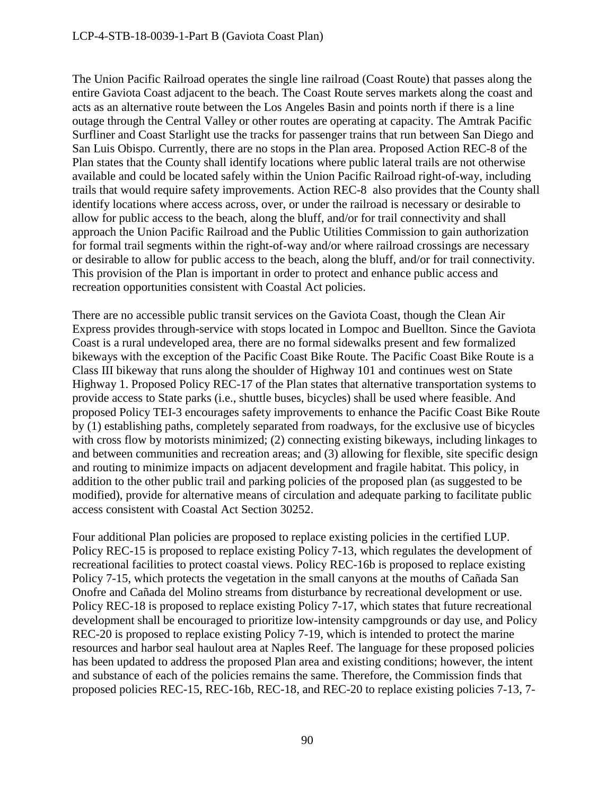The Union Pacific Railroad operates the single line railroad (Coast Route) that passes along the entire Gaviota Coast adjacent to the beach. The Coast Route serves markets along the coast and acts as an alternative route between the Los Angeles Basin and points north if there is a line outage through the Central Valley or other routes are operating at capacity. The Amtrak Pacific Surfliner and Coast Starlight use the tracks for passenger trains that run between San Diego and San Luis Obispo. Currently, there are no stops in the Plan area. Proposed Action REC-8 of the Plan states that the County shall identify locations where public lateral trails are not otherwise available and could be located safely within the Union Pacific Railroad right-of-way, including trails that would require safety improvements. Action REC-8 also provides that the County shall identify locations where access across, over, or under the railroad is necessary or desirable to allow for public access to the beach, along the bluff, and/or for trail connectivity and shall approach the Union Pacific Railroad and the Public Utilities Commission to gain authorization for formal trail segments within the right-of-way and/or where railroad crossings are necessary or desirable to allow for public access to the beach, along the bluff, and/or for trail connectivity. This provision of the Plan is important in order to protect and enhance public access and recreation opportunities consistent with Coastal Act policies.

There are no accessible public transit services on the Gaviota Coast, though the Clean Air Express provides through-service with stops located in Lompoc and Buellton. Since the Gaviota Coast is a rural undeveloped area, there are no formal sidewalks present and few formalized bikeways with the exception of the Pacific Coast Bike Route. The Pacific Coast Bike Route is a Class III bikeway that runs along the shoulder of Highway 101 and continues west on State Highway 1. Proposed Policy REC-17 of the Plan states that alternative transportation systems to provide access to State parks (i.e., shuttle buses, bicycles) shall be used where feasible. And proposed Policy TEI-3 encourages safety improvements to enhance the Pacific Coast Bike Route by (1) establishing paths, completely separated from roadways, for the exclusive use of bicycles with cross flow by motorists minimized; (2) connecting existing bikeways, including linkages to and between communities and recreation areas; and (3) allowing for flexible, site specific design and routing to minimize impacts on adjacent development and fragile habitat. This policy, in addition to the other public trail and parking policies of the proposed plan (as suggested to be modified), provide for alternative means of circulation and adequate parking to facilitate public access consistent with Coastal Act Section 30252.

Four additional Plan policies are proposed to replace existing policies in the certified LUP. Policy REC-15 is proposed to replace existing Policy 7-13, which regulates the development of recreational facilities to protect coastal views. Policy REC-16b is proposed to replace existing Policy 7-15, which protects the vegetation in the small canyons at the mouths of Cañada San Onofre and Cañada del Molino streams from disturbance by recreational development or use. Policy REC-18 is proposed to replace existing Policy 7-17, which states that future recreational development shall be encouraged to prioritize low-intensity campgrounds or day use, and Policy REC-20 is proposed to replace existing Policy 7-19, which is intended to protect the marine resources and harbor seal haulout area at Naples Reef. The language for these proposed policies has been updated to address the proposed Plan area and existing conditions; however, the intent and substance of each of the policies remains the same. Therefore, the Commission finds that proposed policies REC-15, REC-16b, REC-18, and REC-20 to replace existing policies 7-13, 7-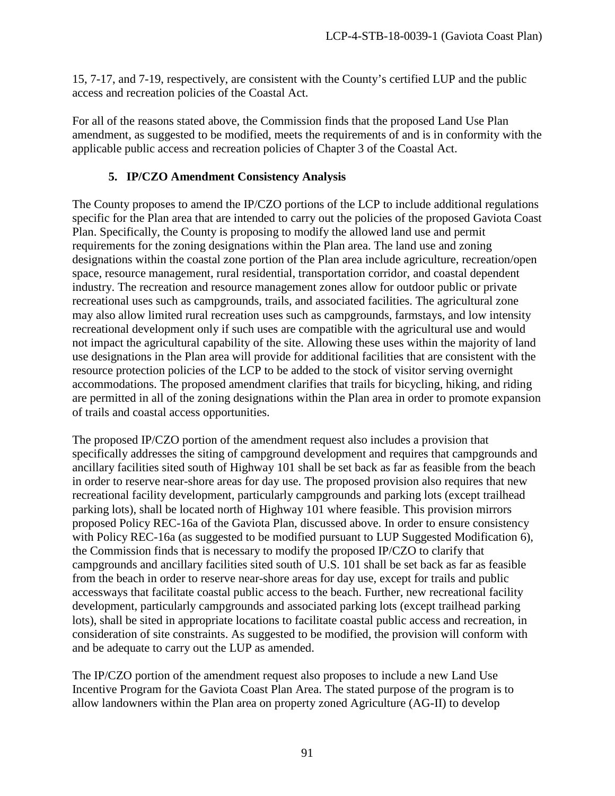15, 7-17, and 7-19, respectively, are consistent with the County's certified LUP and the public access and recreation policies of the Coastal Act.

For all of the reasons stated above, the Commission finds that the proposed Land Use Plan amendment, as suggested to be modified, meets the requirements of and is in conformity with the applicable public access and recreation policies of Chapter 3 of the Coastal Act.

## **5. IP/CZO Amendment Consistency Analysis**

The County proposes to amend the IP/CZO portions of the LCP to include additional regulations specific for the Plan area that are intended to carry out the policies of the proposed Gaviota Coast Plan. Specifically, the County is proposing to modify the allowed land use and permit requirements for the zoning designations within the Plan area. The land use and zoning designations within the coastal zone portion of the Plan area include agriculture, recreation/open space, resource management, rural residential, transportation corridor, and coastal dependent industry. The recreation and resource management zones allow for outdoor public or private recreational uses such as campgrounds, trails, and associated facilities. The agricultural zone may also allow limited rural recreation uses such as campgrounds, farmstays, and low intensity recreational development only if such uses are compatible with the agricultural use and would not impact the agricultural capability of the site. Allowing these uses within the majority of land use designations in the Plan area will provide for additional facilities that are consistent with the resource protection policies of the LCP to be added to the stock of visitor serving overnight accommodations. The proposed amendment clarifies that trails for bicycling, hiking, and riding are permitted in all of the zoning designations within the Plan area in order to promote expansion of trails and coastal access opportunities.

The proposed IP/CZO portion of the amendment request also includes a provision that specifically addresses the siting of campground development and requires that campgrounds and ancillary facilities sited south of Highway 101 shall be set back as far as feasible from the beach in order to reserve near-shore areas for day use. The proposed provision also requires that new recreational facility development, particularly campgrounds and parking lots (except trailhead parking lots), shall be located north of Highway 101 where feasible. This provision mirrors proposed Policy REC-16a of the Gaviota Plan, discussed above. In order to ensure consistency with Policy REC-16a (as suggested to be modified pursuant to LUP Suggested Modification 6), the Commission finds that is necessary to modify the proposed IP/CZO to clarify that campgrounds and ancillary facilities sited south of U.S. 101 shall be set back as far as feasible from the beach in order to reserve near-shore areas for day use, except for trails and public accessways that facilitate coastal public access to the beach. Further, new recreational facility development, particularly campgrounds and associated parking lots (except trailhead parking lots), shall be sited in appropriate locations to facilitate coastal public access and recreation, in consideration of site constraints. As suggested to be modified, the provision will conform with and be adequate to carry out the LUP as amended.

The IP/CZO portion of the amendment request also proposes to include a new Land Use Incentive Program for the Gaviota Coast Plan Area. The stated purpose of the program is to allow landowners within the Plan area on property zoned Agriculture (AG-II) to develop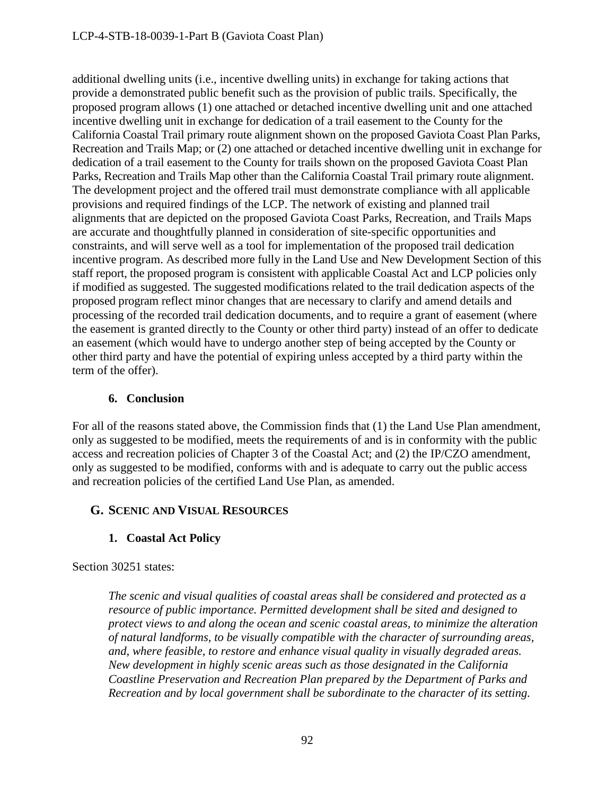additional dwelling units (i.e., incentive dwelling units) in exchange for taking actions that provide a demonstrated public benefit such as the provision of public trails. Specifically, the proposed program allows (1) one attached or detached incentive dwelling unit and one attached incentive dwelling unit in exchange for dedication of a trail easement to the County for the California Coastal Trail primary route alignment shown on the proposed Gaviota Coast Plan Parks, Recreation and Trails Map; or (2) one attached or detached incentive dwelling unit in exchange for dedication of a trail easement to the County for trails shown on the proposed Gaviota Coast Plan Parks, Recreation and Trails Map other than the California Coastal Trail primary route alignment. The development project and the offered trail must demonstrate compliance with all applicable provisions and required findings of the LCP. The network of existing and planned trail alignments that are depicted on the proposed Gaviota Coast Parks, Recreation, and Trails Maps are accurate and thoughtfully planned in consideration of site-specific opportunities and constraints, and will serve well as a tool for implementation of the proposed trail dedication incentive program. As described more fully in the Land Use and New Development Section of this staff report, the proposed program is consistent with applicable Coastal Act and LCP policies only if modified as suggested. The suggested modifications related to the trail dedication aspects of the proposed program reflect minor changes that are necessary to clarify and amend details and processing of the recorded trail dedication documents, and to require a grant of easement (where the easement is granted directly to the County or other third party) instead of an offer to dedicate an easement (which would have to undergo another step of being accepted by the County or other third party and have the potential of expiring unless accepted by a third party within the term of the offer).

## **6. Conclusion**

For all of the reasons stated above, the Commission finds that (1) the Land Use Plan amendment, only as suggested to be modified, meets the requirements of and is in conformity with the public access and recreation policies of Chapter 3 of the Coastal Act; and (2) the IP/CZO amendment, only as suggested to be modified, conforms with and is adequate to carry out the public access and recreation policies of the certified Land Use Plan, as amended.

## **G. SCENIC AND VISUAL RESOURCES**

## **1. Coastal Act Policy**

Section 30251 states:

*The scenic and visual qualities of coastal areas shall be considered and protected as a resource of public importance. Permitted development shall be sited and designed to protect views to and along the ocean and scenic coastal areas, to minimize the alteration of natural landforms, to be visually compatible with the character of surrounding areas, and, where feasible, to restore and enhance visual quality in visually degraded areas. New development in highly scenic areas such as those designated in the California Coastline Preservation and Recreation Plan prepared by the Department of Parks and Recreation and by local government shall be subordinate to the character of its setting.*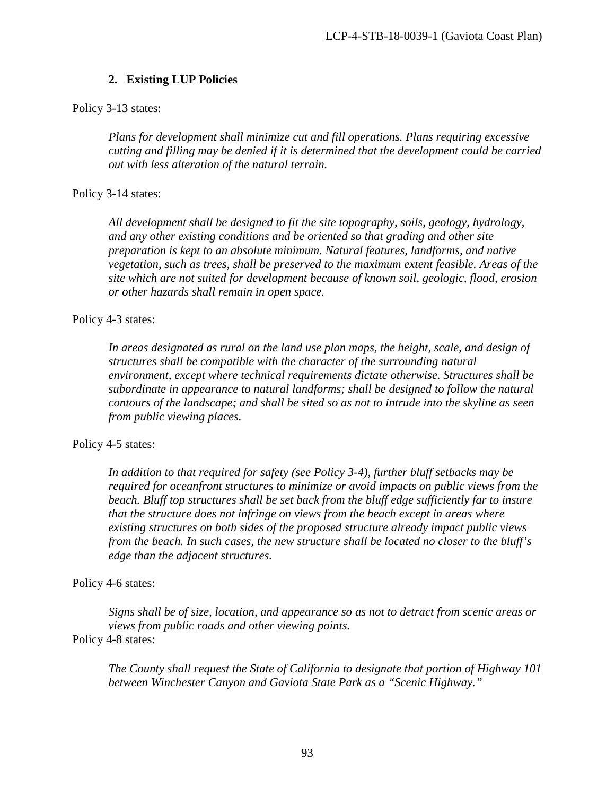### **2. Existing LUP Policies**

Policy 3-13 states:

*Plans for development shall minimize cut and fill operations. Plans requiring excessive cutting and filling may be denied if it is determined that the development could be carried out with less alteration of the natural terrain.*

Policy 3-14 states:

*All development shall be designed to fit the site topography, soils, geology, hydrology, and any other existing conditions and be oriented so that grading and other site preparation is kept to an absolute minimum. Natural features, landforms, and native vegetation, such as trees, shall be preserved to the maximum extent feasible. Areas of the site which are not suited for development because of known soil, geologic, flood, erosion or other hazards shall remain in open space.* 

#### Policy 4-3 states:

In areas designated as rural on the land use plan maps, the height, scale, and design of *structures shall be compatible with the character of the surrounding natural environment, except where technical requirements dictate otherwise. Structures shall be subordinate in appearance to natural landforms; shall be designed to follow the natural contours of the landscape; and shall be sited so as not to intrude into the skyline as seen from public viewing places.*

#### Policy 4-5 states:

*In addition to that required for safety (see Policy 3-4), further bluff setbacks may be required for oceanfront structures to minimize or avoid impacts on public views from the beach. Bluff top structures shall be set back from the bluff edge sufficiently far to insure that the structure does not infringe on views from the beach except in areas where existing structures on both sides of the proposed structure already impact public views from the beach. In such cases, the new structure shall be located no closer to the bluff's edge than the adjacent structures.* 

#### Policy 4-6 states:

*Signs shall be of size, location, and appearance so as not to detract from scenic areas or views from public roads and other viewing points.*  Policy 4-8 states:

*The County shall request the State of California to designate that portion of Highway 101 between Winchester Canyon and Gaviota State Park as a "Scenic Highway."*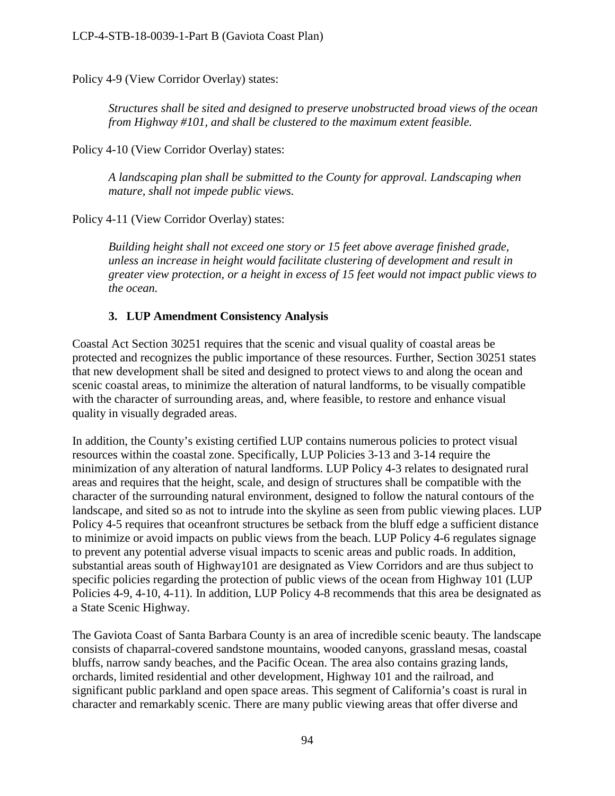Policy 4-9 (View Corridor Overlay) states:

*Structures shall be sited and designed to preserve unobstructed broad views of the ocean from Highway #101, and shall be clustered to the maximum extent feasible.*

Policy 4-10 (View Corridor Overlay) states:

*A landscaping plan shall be submitted to the County for approval. Landscaping when mature, shall not impede public views.* 

Policy 4-11 (View Corridor Overlay) states:

*Building height shall not exceed one story or 15 feet above average finished grade, unless an increase in height would facilitate clustering of development and result in greater view protection, or a height in excess of 15 feet would not impact public views to the ocean.*

### **3. LUP Amendment Consistency Analysis**

Coastal Act Section 30251 requires that the scenic and visual quality of coastal areas be protected and recognizes the public importance of these resources. Further, Section 30251 states that new development shall be sited and designed to protect views to and along the ocean and scenic coastal areas, to minimize the alteration of natural landforms, to be visually compatible with the character of surrounding areas, and, where feasible, to restore and enhance visual quality in visually degraded areas.

In addition, the County's existing certified LUP contains numerous policies to protect visual resources within the coastal zone. Specifically, LUP Policies 3-13 and 3-14 require the minimization of any alteration of natural landforms. LUP Policy 4-3 relates to designated rural areas and requires that the height, scale, and design of structures shall be compatible with the character of the surrounding natural environment, designed to follow the natural contours of the landscape, and sited so as not to intrude into the skyline as seen from public viewing places. LUP Policy 4-5 requires that oceanfront structures be setback from the bluff edge a sufficient distance to minimize or avoid impacts on public views from the beach. LUP Policy 4-6 regulates signage to prevent any potential adverse visual impacts to scenic areas and public roads. In addition, substantial areas south of Highway101 are designated as View Corridors and are thus subject to specific policies regarding the protection of public views of the ocean from Highway 101 (LUP Policies 4-9, 4-10, 4-11). In addition, LUP Policy 4-8 recommends that this area be designated as a State Scenic Highway.

The Gaviota Coast of Santa Barbara County is an area of incredible scenic beauty. The landscape consists of chaparral-covered sandstone mountains, wooded canyons, grassland mesas, coastal bluffs, narrow sandy beaches, and the Pacific Ocean. The area also contains grazing lands, orchards, limited residential and other development, Highway 101 and the railroad, and significant public parkland and open space areas. This segment of California's coast is rural in character and remarkably scenic. There are many public viewing areas that offer diverse and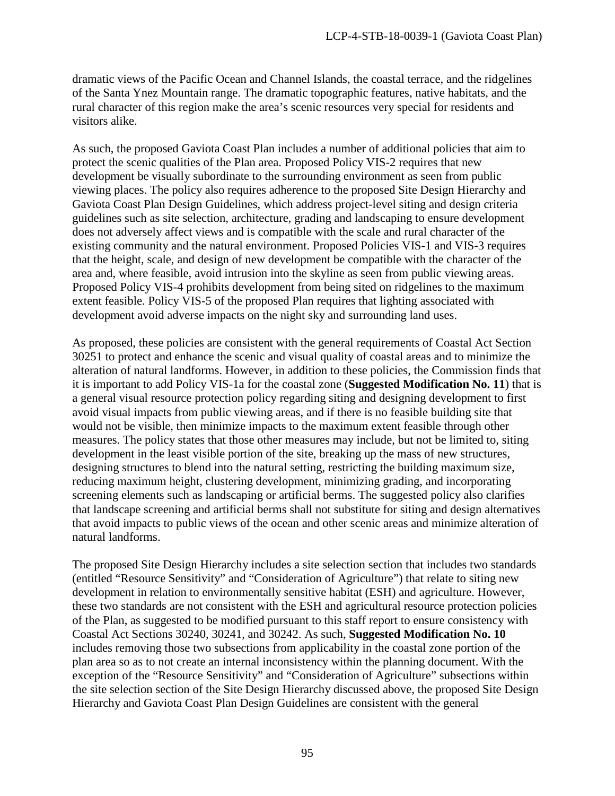dramatic views of the Pacific Ocean and Channel Islands, the coastal terrace, and the ridgelines of the Santa Ynez Mountain range. The dramatic topographic features, native habitats, and the rural character of this region make the area's scenic resources very special for residents and visitors alike.

As such, the proposed Gaviota Coast Plan includes a number of additional policies that aim to protect the scenic qualities of the Plan area. Proposed Policy VIS-2 requires that new development be visually subordinate to the surrounding environment as seen from public viewing places. The policy also requires adherence to the proposed Site Design Hierarchy and Gaviota Coast Plan Design Guidelines, which address project-level siting and design criteria guidelines such as site selection, architecture, grading and landscaping to ensure development does not adversely affect views and is compatible with the scale and rural character of the existing community and the natural environment. Proposed Policies VIS-1 and VIS-3 requires that the height, scale, and design of new development be compatible with the character of the area and, where feasible, avoid intrusion into the skyline as seen from public viewing areas. Proposed Policy VIS-4 prohibits development from being sited on ridgelines to the maximum extent feasible. Policy VIS-5 of the proposed Plan requires that lighting associated with development avoid adverse impacts on the night sky and surrounding land uses.

As proposed, these policies are consistent with the general requirements of Coastal Act Section 30251 to protect and enhance the scenic and visual quality of coastal areas and to minimize the alteration of natural landforms. However, in addition to these policies, the Commission finds that it is important to add Policy VIS-1a for the coastal zone (**Suggested Modification No. 11**) that is a general visual resource protection policy regarding siting and designing development to first avoid visual impacts from public viewing areas, and if there is no feasible building site that would not be visible, then minimize impacts to the maximum extent feasible through other measures. The policy states that those other measures may include, but not be limited to, siting development in the least visible portion of the site, breaking up the mass of new structures, designing structures to blend into the natural setting, restricting the building maximum size, reducing maximum height, clustering development, minimizing grading, and incorporating screening elements such as landscaping or artificial berms. The suggested policy also clarifies that landscape screening and artificial berms shall not substitute for siting and design alternatives that avoid impacts to public views of the ocean and other scenic areas and minimize alteration of natural landforms.

The proposed Site Design Hierarchy includes a site selection section that includes two standards (entitled "Resource Sensitivity" and "Consideration of Agriculture") that relate to siting new development in relation to environmentally sensitive habitat (ESH) and agriculture. However, these two standards are not consistent with the ESH and agricultural resource protection policies of the Plan, as suggested to be modified pursuant to this staff report to ensure consistency with Coastal Act Sections 30240, 30241, and 30242. As such, **Suggested Modification No. 10** includes removing those two subsections from applicability in the coastal zone portion of the plan area so as to not create an internal inconsistency within the planning document. With the exception of the "Resource Sensitivity" and "Consideration of Agriculture" subsections within the site selection section of the Site Design Hierarchy discussed above, the proposed Site Design Hierarchy and Gaviota Coast Plan Design Guidelines are consistent with the general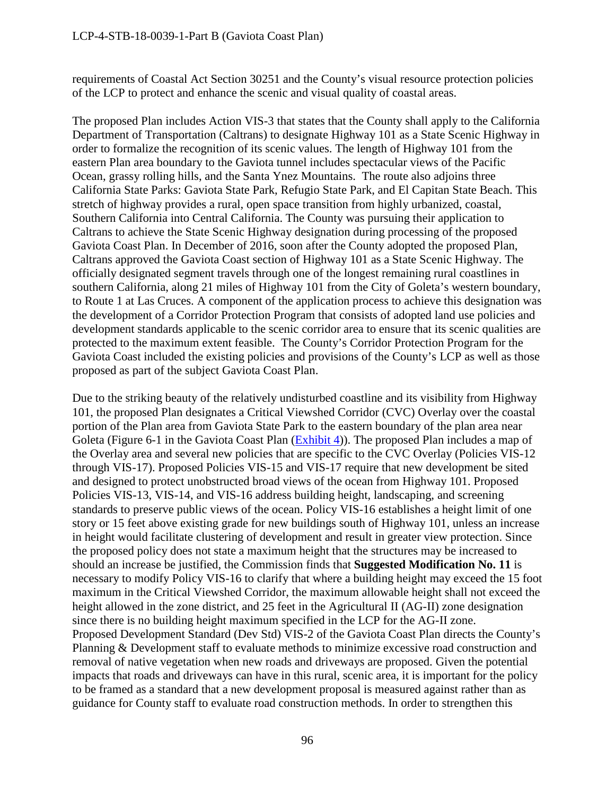requirements of Coastal Act Section 30251 and the County's visual resource protection policies of the LCP to protect and enhance the scenic and visual quality of coastal areas.

The proposed Plan includes Action VIS-3 that states that the County shall apply to the California Department of Transportation (Caltrans) to designate Highway 101 as a State Scenic Highway in order to formalize the recognition of its scenic values. The length of Highway 101 from the eastern Plan area boundary to the Gaviota tunnel includes spectacular views of the Pacific Ocean, grassy rolling hills, and the Santa Ynez Mountains. The route also adjoins three California State Parks: Gaviota State Park, Refugio State Park, and El Capitan State Beach. This stretch of highway provides a rural, open space transition from highly urbanized, coastal, Southern California into Central California. The County was pursuing their application to Caltrans to achieve the State Scenic Highway designation during processing of the proposed Gaviota Coast Plan. In December of 2016, soon after the County adopted the proposed Plan, Caltrans approved the Gaviota Coast section of Highway 101 as a State Scenic Highway. The officially designated segment travels through one of the longest remaining rural coastlines in southern California, along 21 miles of Highway 101 from the City of Goleta's western boundary, to Route 1 at Las Cruces. A component of the application process to achieve this designation was the development of a Corridor Protection Program that consists of adopted land use policies and development standards applicable to the scenic corridor area to ensure that its scenic qualities are protected to the maximum extent feasible. The County's Corridor Protection Program for the Gaviota Coast included the existing policies and provisions of the County's LCP as well as those proposed as part of the subject Gaviota Coast Plan.

Due to the striking beauty of the relatively undisturbed coastline and its visibility from Highway 101, the proposed Plan designates a Critical Viewshed Corridor (CVC) Overlay over the coastal portion of the Plan area from Gaviota State Park to the eastern boundary of the plan area near Goleta (Figure 6-1 in the Gaviota Coast Plan [\(Exhibit 4\)](https://documents.coastal.ca.gov/reports/2018/8/F16a/F16a-8-2018-exhibits.pdf)). The proposed Plan includes a map of the Overlay area and several new policies that are specific to the CVC Overlay (Policies VIS-12 through VIS-17). Proposed Policies VIS-15 and VIS-17 require that new development be sited and designed to protect unobstructed broad views of the ocean from Highway 101. Proposed Policies VIS-13, VIS-14, and VIS-16 address building height, landscaping, and screening standards to preserve public views of the ocean. Policy VIS-16 establishes a height limit of one story or 15 feet above existing grade for new buildings south of Highway 101, unless an increase in height would facilitate clustering of development and result in greater view protection. Since the proposed policy does not state a maximum height that the structures may be increased to should an increase be justified, the Commission finds that **Suggested Modification No. 11** is necessary to modify Policy VIS-16 to clarify that where a building height may exceed the 15 foot maximum in the Critical Viewshed Corridor, the maximum allowable height shall not exceed the height allowed in the zone district, and 25 feet in the Agricultural II (AG-II) zone designation since there is no building height maximum specified in the LCP for the AG-II zone. Proposed Development Standard (Dev Std) VIS-2 of the Gaviota Coast Plan directs the County's Planning & Development staff to evaluate methods to minimize excessive road construction and removal of native vegetation when new roads and driveways are proposed. Given the potential impacts that roads and driveways can have in this rural, scenic area, it is important for the policy to be framed as a standard that a new development proposal is measured against rather than as guidance for County staff to evaluate road construction methods. In order to strengthen this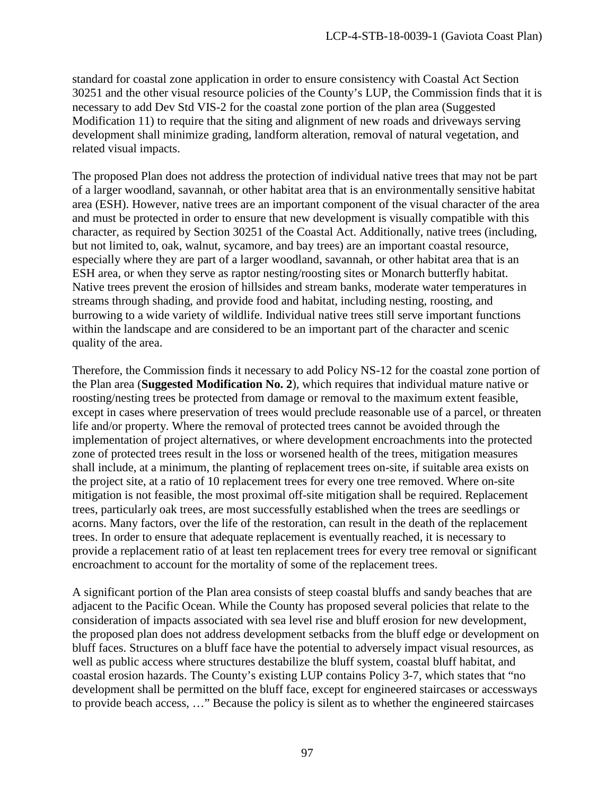standard for coastal zone application in order to ensure consistency with Coastal Act Section 30251 and the other visual resource policies of the County's LUP, the Commission finds that it is necessary to add Dev Std VIS-2 for the coastal zone portion of the plan area (Suggested Modification 11) to require that the siting and alignment of new roads and driveways serving development shall minimize grading, landform alteration, removal of natural vegetation, and related visual impacts.

The proposed Plan does not address the protection of individual native trees that may not be part of a larger woodland, savannah, or other habitat area that is an environmentally sensitive habitat area (ESH). However, native trees are an important component of the visual character of the area and must be protected in order to ensure that new development is visually compatible with this character, as required by Section 30251 of the Coastal Act. Additionally, native trees (including, but not limited to, oak, walnut, sycamore, and bay trees) are an important coastal resource, especially where they are part of a larger woodland, savannah, or other habitat area that is an ESH area, or when they serve as raptor nesting/roosting sites or Monarch butterfly habitat. Native trees prevent the erosion of hillsides and stream banks, moderate water temperatures in streams through shading, and provide food and habitat, including nesting, roosting, and burrowing to a wide variety of wildlife. Individual native trees still serve important functions within the landscape and are considered to be an important part of the character and scenic quality of the area.

Therefore, the Commission finds it necessary to add Policy NS-12 for the coastal zone portion of the Plan area (**Suggested Modification No. 2**), which requires that individual mature native or roosting/nesting trees be protected from damage or removal to the maximum extent feasible, except in cases where preservation of trees would preclude reasonable use of a parcel, or threaten life and/or property. Where the removal of protected trees cannot be avoided through the implementation of project alternatives, or where development encroachments into the protected zone of protected trees result in the loss or worsened health of the trees, mitigation measures shall include, at a minimum, the planting of replacement trees on-site, if suitable area exists on the project site, at a ratio of 10 replacement trees for every one tree removed. Where on-site mitigation is not feasible, the most proximal off-site mitigation shall be required. Replacement trees, particularly oak trees, are most successfully established when the trees are seedlings or acorns. Many factors, over the life of the restoration, can result in the death of the replacement trees. In order to ensure that adequate replacement is eventually reached, it is necessary to provide a replacement ratio of at least ten replacement trees for every tree removal or significant encroachment to account for the mortality of some of the replacement trees.

A significant portion of the Plan area consists of steep coastal bluffs and sandy beaches that are adjacent to the Pacific Ocean. While the County has proposed several policies that relate to the consideration of impacts associated with sea level rise and bluff erosion for new development, the proposed plan does not address development setbacks from the bluff edge or development on bluff faces. Structures on a bluff face have the potential to adversely impact visual resources, as well as public access where structures destabilize the bluff system, coastal bluff habitat, and coastal erosion hazards. The County's existing LUP contains Policy 3-7, which states that "no development shall be permitted on the bluff face, except for engineered staircases or accessways to provide beach access, …" Because the policy is silent as to whether the engineered staircases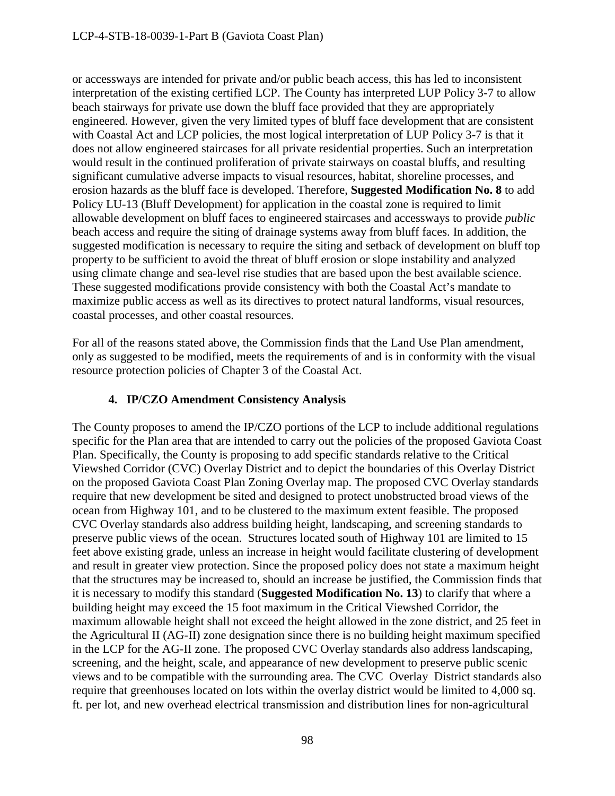or accessways are intended for private and/or public beach access, this has led to inconsistent interpretation of the existing certified LCP. The County has interpreted LUP Policy 3-7 to allow beach stairways for private use down the bluff face provided that they are appropriately engineered. However, given the very limited types of bluff face development that are consistent with Coastal Act and LCP policies, the most logical interpretation of LUP Policy 3-7 is that it does not allow engineered staircases for all private residential properties. Such an interpretation would result in the continued proliferation of private stairways on coastal bluffs, and resulting significant cumulative adverse impacts to visual resources, habitat, shoreline processes, and erosion hazards as the bluff face is developed. Therefore, **Suggested Modification No. 8** to add Policy LU-13 (Bluff Development) for application in the coastal zone is required to limit allowable development on bluff faces to engineered staircases and accessways to provide *public*  beach access and require the siting of drainage systems away from bluff faces. In addition, the suggested modification is necessary to require the siting and setback of development on bluff top property to be sufficient to avoid the threat of bluff erosion or slope instability and analyzed using climate change and sea-level rise studies that are based upon the best available science. These suggested modifications provide consistency with both the Coastal Act's mandate to maximize public access as well as its directives to protect natural landforms, visual resources, coastal processes, and other coastal resources.

For all of the reasons stated above, the Commission finds that the Land Use Plan amendment, only as suggested to be modified, meets the requirements of and is in conformity with the visual resource protection policies of Chapter 3 of the Coastal Act.

## **4. IP/CZO Amendment Consistency Analysis**

The County proposes to amend the IP/CZO portions of the LCP to include additional regulations specific for the Plan area that are intended to carry out the policies of the proposed Gaviota Coast Plan. Specifically, the County is proposing to add specific standards relative to the Critical Viewshed Corridor (CVC) Overlay District and to depict the boundaries of this Overlay District on the proposed Gaviota Coast Plan Zoning Overlay map. The proposed CVC Overlay standards require that new development be sited and designed to protect unobstructed broad views of the ocean from Highway 101, and to be clustered to the maximum extent feasible. The proposed CVC Overlay standards also address building height, landscaping, and screening standards to preserve public views of the ocean. Structures located south of Highway 101 are limited to 15 feet above existing grade, unless an increase in height would facilitate clustering of development and result in greater view protection. Since the proposed policy does not state a maximum height that the structures may be increased to, should an increase be justified, the Commission finds that it is necessary to modify this standard (**Suggested Modification No. 13**) to clarify that where a building height may exceed the 15 foot maximum in the Critical Viewshed Corridor, the maximum allowable height shall not exceed the height allowed in the zone district, and 25 feet in the Agricultural II (AG-II) zone designation since there is no building height maximum specified in the LCP for the AG-II zone. The proposed CVC Overlay standards also address landscaping, screening, and the height, scale, and appearance of new development to preserve public scenic views and to be compatible with the surrounding area. The CVC Overlay District standards also require that greenhouses located on lots within the overlay district would be limited to 4,000 sq. ft. per lot, and new overhead electrical transmission and distribution lines for non-agricultural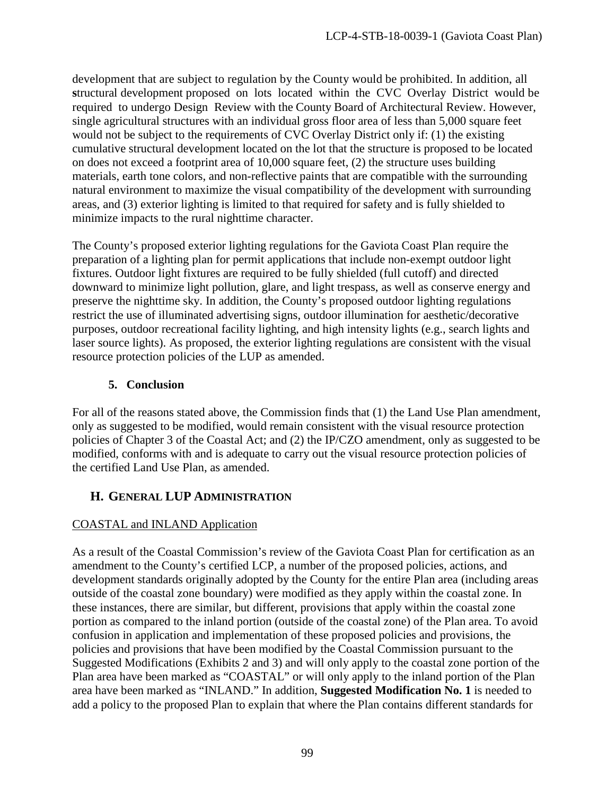development that are subject to regulation by the County would be prohibited. In addition, all **s**tructural development proposed on lots located within the CVC Overlay District would be required to undergo Design Review with the County Board of Architectural Review. However, single agricultural structures with an individual gross floor area of less than 5,000 square feet would not be subject to the requirements of CVC Overlay District only if: (1) the existing cumulative structural development located on the lot that the structure is proposed to be located on does not exceed a footprint area of 10,000 square feet, (2) the structure uses building materials, earth tone colors, and non-reflective paints that are compatible with the surrounding natural environment to maximize the visual compatibility of the development with surrounding areas, and (3) exterior lighting is limited to that required for safety and is fully shielded to minimize impacts to the rural nighttime character.

The County's proposed exterior lighting regulations for the Gaviota Coast Plan require the preparation of a lighting plan for permit applications that include non-exempt outdoor light fixtures. Outdoor light fixtures are required to be fully shielded (full cutoff) and directed downward to minimize light pollution, glare, and light trespass, as well as conserve energy and preserve the nighttime sky. In addition, the County's proposed outdoor lighting regulations restrict the use of illuminated advertising signs, outdoor illumination for aesthetic/decorative purposes, outdoor recreational facility lighting, and high intensity lights (e.g., search lights and laser source lights). As proposed, the exterior lighting regulations are consistent with the visual resource protection policies of the LUP as amended.

## **5. Conclusion**

For all of the reasons stated above, the Commission finds that (1) the Land Use Plan amendment, only as suggested to be modified, would remain consistent with the visual resource protection policies of Chapter 3 of the Coastal Act; and (2) the IP/CZO amendment, only as suggested to be modified, conforms with and is adequate to carry out the visual resource protection policies of the certified Land Use Plan, as amended.

# **H. GENERAL LUP ADMINISTRATION**

## COASTAL and INLAND Application

As a result of the Coastal Commission's review of the Gaviota Coast Plan for certification as an amendment to the County's certified LCP, a number of the proposed policies, actions, and development standards originally adopted by the County for the entire Plan area (including areas outside of the coastal zone boundary) were modified as they apply within the coastal zone. In these instances, there are similar, but different, provisions that apply within the coastal zone portion as compared to the inland portion (outside of the coastal zone) of the Plan area. To avoid confusion in application and implementation of these proposed policies and provisions, the policies and provisions that have been modified by the Coastal Commission pursuant to the Suggested Modifications (Exhibits 2 and 3) and will only apply to the coastal zone portion of the Plan area have been marked as "COASTAL" or will only apply to the inland portion of the Plan area have been marked as "INLAND." In addition, **Suggested Modification No. 1** is needed to add a policy to the proposed Plan to explain that where the Plan contains different standards for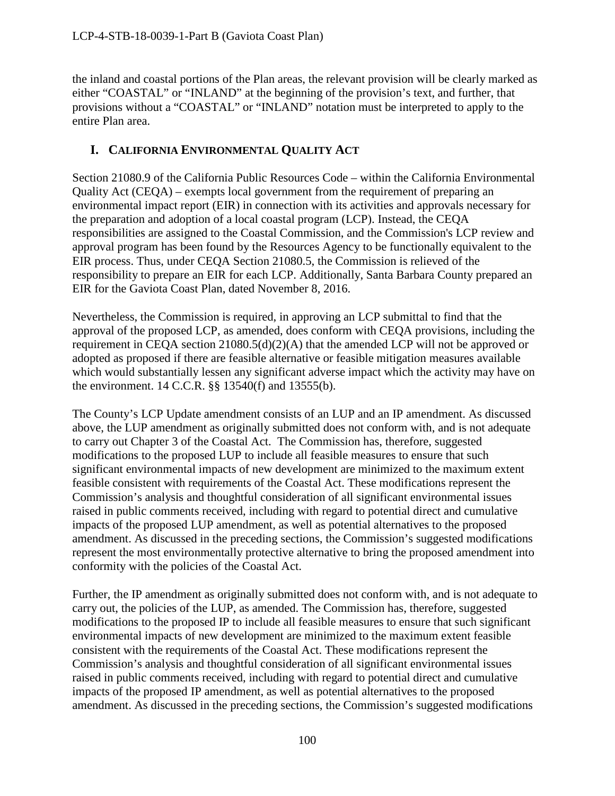the inland and coastal portions of the Plan areas, the relevant provision will be clearly marked as either "COASTAL" or "INLAND" at the beginning of the provision's text, and further, that provisions without a "COASTAL" or "INLAND" notation must be interpreted to apply to the entire Plan area.

# **I. CALIFORNIA ENVIRONMENTAL QUALITY ACT**

Section 21080.9 of the California Public Resources Code – within the California Environmental Quality Act (CEQA) – exempts local government from the requirement of preparing an environmental impact report (EIR) in connection with its activities and approvals necessary for the preparation and adoption of a local coastal program (LCP). Instead, the CEQA responsibilities are assigned to the Coastal Commission, and the Commission's LCP review and approval program has been found by the Resources Agency to be functionally equivalent to the EIR process. Thus, under CEQA Section 21080.5, the Commission is relieved of the responsibility to prepare an EIR for each LCP. Additionally, Santa Barbara County prepared an EIR for the Gaviota Coast Plan, dated November 8, 2016.

Nevertheless, the Commission is required, in approving an LCP submittal to find that the approval of the proposed LCP, as amended, does conform with CEQA provisions, including the requirement in CEQA section 21080.5(d)(2)(A) that the amended LCP will not be approved or adopted as proposed if there are feasible alternative or feasible mitigation measures available which would substantially lessen any significant adverse impact which the activity may have on the environment. 14 C.C.R. §§ 13540(f) and 13555(b).

The County's LCP Update amendment consists of an LUP and an IP amendment. As discussed above, the LUP amendment as originally submitted does not conform with, and is not adequate to carry out Chapter 3 of the Coastal Act. The Commission has, therefore, suggested modifications to the proposed LUP to include all feasible measures to ensure that such significant environmental impacts of new development are minimized to the maximum extent feasible consistent with requirements of the Coastal Act. These modifications represent the Commission's analysis and thoughtful consideration of all significant environmental issues raised in public comments received, including with regard to potential direct and cumulative impacts of the proposed LUP amendment, as well as potential alternatives to the proposed amendment. As discussed in the preceding sections, the Commission's suggested modifications represent the most environmentally protective alternative to bring the proposed amendment into conformity with the policies of the Coastal Act.

Further, the IP amendment as originally submitted does not conform with, and is not adequate to carry out, the policies of the LUP, as amended. The Commission has, therefore, suggested modifications to the proposed IP to include all feasible measures to ensure that such significant environmental impacts of new development are minimized to the maximum extent feasible consistent with the requirements of the Coastal Act. These modifications represent the Commission's analysis and thoughtful consideration of all significant environmental issues raised in public comments received, including with regard to potential direct and cumulative impacts of the proposed IP amendment, as well as potential alternatives to the proposed amendment. As discussed in the preceding sections, the Commission's suggested modifications